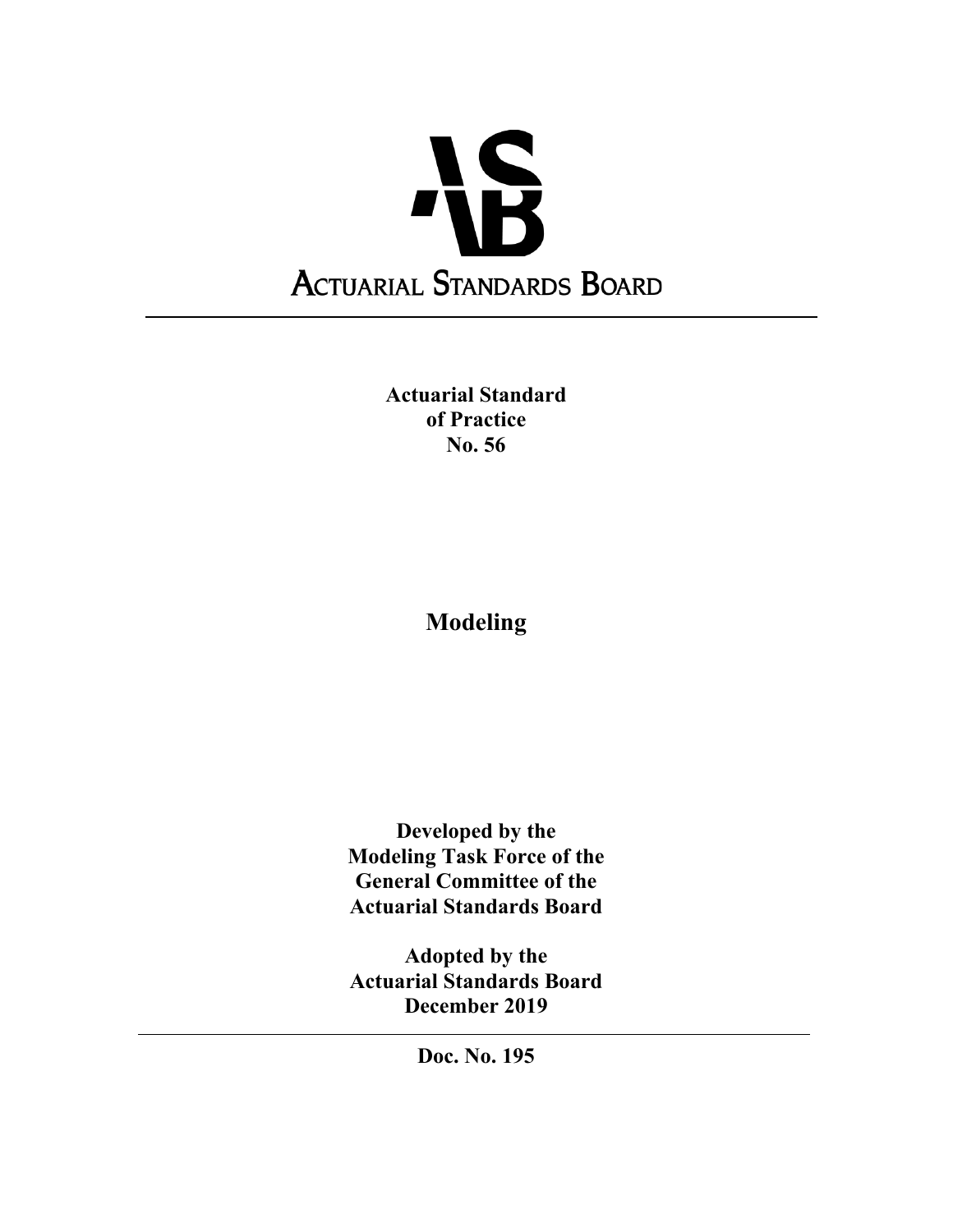

**Actuarial Standard of Practice No. 56** 

**Modeling** 

**Developed by the Modeling Task Force of the General Committee of the Actuarial Standards Board** 

**Adopted by the Actuarial Standards Board December 2019** 

**Doc. No. 195**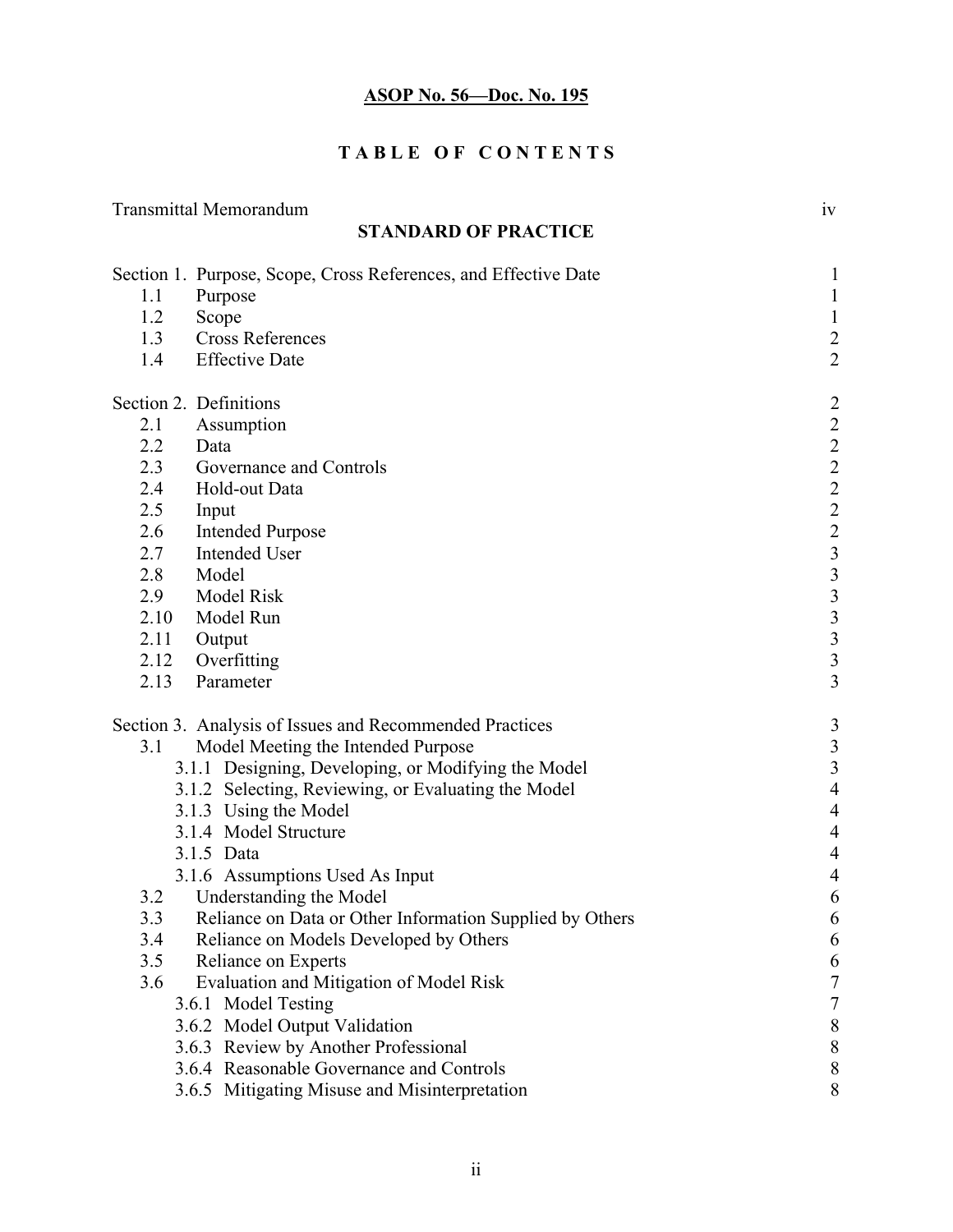# **TABLE OF CONTENTS**

|                        | <b>Transmittal Memorandum</b>                                   | iv                                         |
|------------------------|-----------------------------------------------------------------|--------------------------------------------|
|                        | <b>STANDARD OF PRACTICE</b>                                     |                                            |
|                        | Section 1. Purpose, Scope, Cross References, and Effective Date | $\mathbf{1}$                               |
| 1.1                    | Purpose                                                         | $\mathbf{1}$                               |
| 1.2                    | Scope                                                           | $\mathbf{1}$                               |
| 1.3                    | <b>Cross References</b>                                         | $\overline{\mathbf{c}}$                    |
| 1.4                    | <b>Effective Date</b>                                           | $\overline{2}$                             |
| Section 2. Definitions |                                                                 | $\overline{c}$                             |
| 2.1                    | Assumption                                                      | $\overline{c}$                             |
| 2.2                    | Data                                                            | $2$<br>$2$<br>$2$<br>$2$<br>$3$            |
| 2.3                    | Governance and Controls                                         |                                            |
| 2.4                    | Hold-out Data                                                   |                                            |
| 2.5                    | Input                                                           |                                            |
| 2.6                    | <b>Intended Purpose</b>                                         |                                            |
| 2.7                    | <b>Intended User</b>                                            |                                            |
| 2.8                    | Model                                                           |                                            |
| 2.9                    | Model Risk                                                      | $\begin{array}{c} 3 \\ 3 \\ 3 \end{array}$ |
| 2.10                   | Model Run                                                       |                                            |
| 2.11                   | Output                                                          | $\overline{\mathbf{3}}$                    |
| 2.12                   | Overfitting                                                     | $\overline{\mathbf{3}}$                    |
| 2.13                   | Parameter                                                       | $\overline{3}$                             |
|                        | Section 3. Analysis of Issues and Recommended Practices         | $\mathfrak{Z}$                             |
| 3.1                    | Model Meeting the Intended Purpose                              | $\mathfrak{Z}$                             |
|                        | 3.1.1 Designing, Developing, or Modifying the Model             | $\mathfrak{Z}$                             |
|                        | 3.1.2 Selecting, Reviewing, or Evaluating the Model             | $\overline{4}$                             |
|                        | 3.1.3 Using the Model                                           | $\overline{4}$                             |
|                        | 3.1.4 Model Structure                                           | $\overline{4}$                             |
|                        | 3.1.5 Data                                                      | $\overline{4}$                             |
|                        | 3.1.6 Assumptions Used As Input                                 | $\overline{4}$                             |
| 3.2                    | <b>Understanding the Model</b>                                  | 6                                          |
| 3.3                    | Reliance on Data or Other Information Supplied by Others        | 6                                          |
| 3.4                    | Reliance on Models Developed by Others                          | 6                                          |
| 3.5                    | Reliance on Experts                                             | 6                                          |
| 3.6                    | Evaluation and Mitigation of Model Risk                         | $\boldsymbol{7}$                           |
|                        | 3.6.1 Model Testing                                             | 7                                          |
|                        | 3.6.2 Model Output Validation                                   | $\boldsymbol{8}$                           |
|                        | 3.6.3 Review by Another Professional                            | $8\phantom{1}$                             |
|                        | 3.6.4 Reasonable Governance and Controls                        | $8\phantom{1}$                             |
|                        | 3.6.5 Mitigating Misuse and Misinterpretation                   | 8                                          |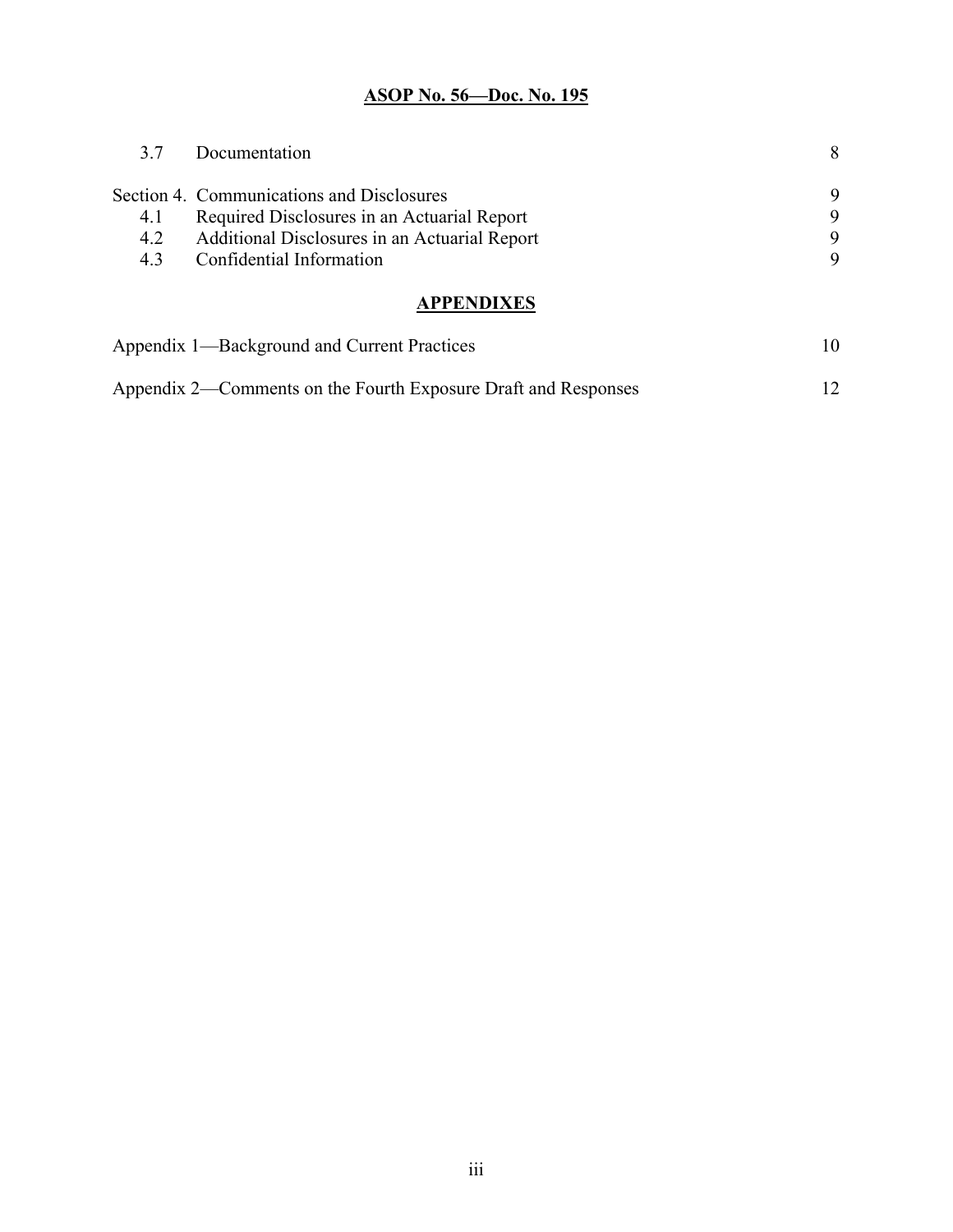| 3.7 | Documentation                                 | 8 |
|-----|-----------------------------------------------|---|
|     | Section 4. Communications and Disclosures     | 9 |
| 4.1 | Required Disclosures in an Actuarial Report   | 9 |
| 4.2 | Additional Disclosures in an Actuarial Report | 9 |
| 4.3 | Confidential Information                      | 9 |
|     | <b>APPENDIXES</b>                             |   |

| Appendix 1—Background and Current Practices                    |  |
|----------------------------------------------------------------|--|
| Appendix 2—Comments on the Fourth Exposure Draft and Responses |  |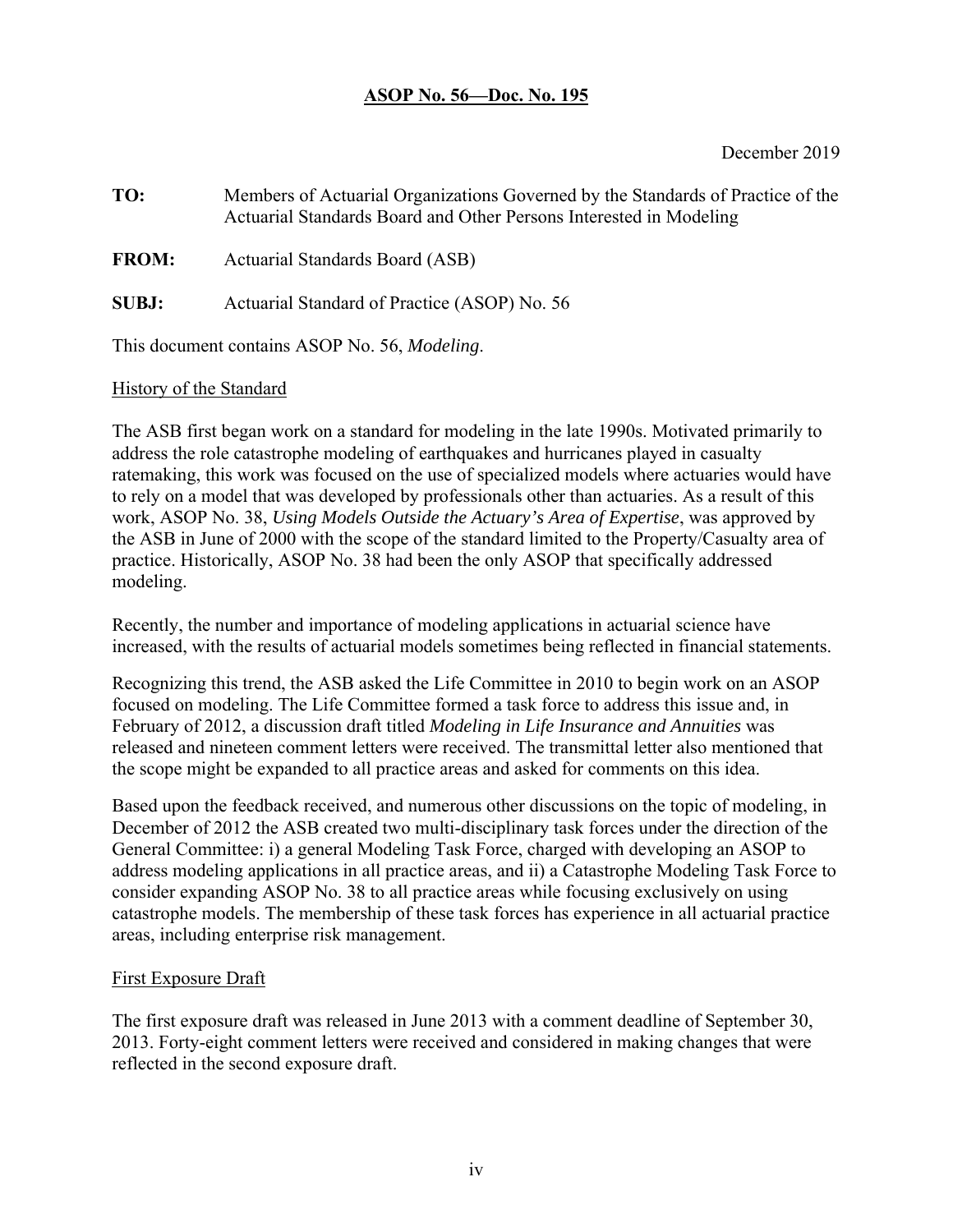#### December 2019

**TO:** Members of Actuarial Organizations Governed by the Standards of Practice of the Actuarial Standards Board and Other Persons Interested in Modeling **FROM:** Actuarial Standards Board (ASB) **SUBJ:** Actuarial Standard of Practice (ASOP) No. 56

This document contains ASOP No. 56, *Modeling*.

### History of the Standard

The ASB first began work on a standard for modeling in the late 1990s. Motivated primarily to address the role catastrophe modeling of earthquakes and hurricanes played in casualty ratemaking, this work was focused on the use of specialized models where actuaries would have to rely on a model that was developed by professionals other than actuaries. As a result of this work, ASOP No. 38, *Using Models Outside the Actuary's Area of Expertise*, was approved by the ASB in June of 2000 with the scope of the standard limited to the Property/Casualty area of practice. Historically, ASOP No. 38 had been the only ASOP that specifically addressed modeling.

Recently, the number and importance of modeling applications in actuarial science have increased, with the results of actuarial models sometimes being reflected in financial statements.

Recognizing this trend, the ASB asked the Life Committee in 2010 to begin work on an ASOP focused on modeling. The Life Committee formed a task force to address this issue and, in February of 2012, a discussion draft titled *Modeling in Life Insurance and Annuities* was released and nineteen comment letters were received. The transmittal letter also mentioned that the scope might be expanded to all practice areas and asked for comments on this idea.

Based upon the feedback received, and numerous other discussions on the topic of modeling, in December of 2012 the ASB created two multi-disciplinary task forces under the direction of the General Committee: i) a general Modeling Task Force, charged with developing an ASOP to address modeling applications in all practice areas, and ii) a Catastrophe Modeling Task Force to consider expanding ASOP No. 38 to all practice areas while focusing exclusively on using catastrophe models. The membership of these task forces has experience in all actuarial practice areas, including enterprise risk management.

### First Exposure Draft

The first exposure draft was released in June 2013 with a comment deadline of September 30, 2013. Forty-eight comment letters were received and considered in making changes that were reflected in the second exposure draft.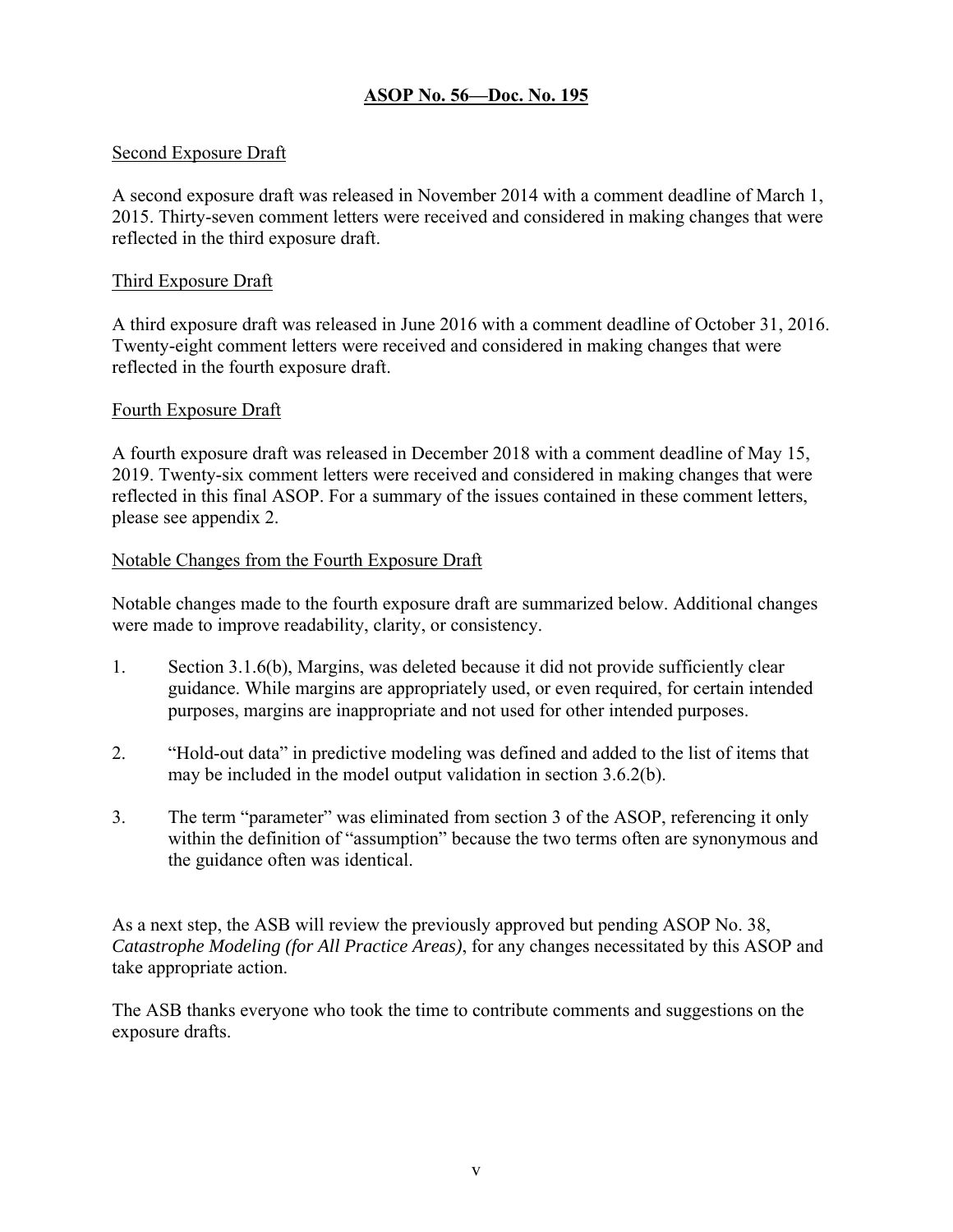### Second Exposure Draft

A second exposure draft was released in November 2014 with a comment deadline of March 1, 2015. Thirty-seven comment letters were received and considered in making changes that were reflected in the third exposure draft.

#### Third Exposure Draft

A third exposure draft was released in June 2016 with a comment deadline of October 31, 2016. Twenty-eight comment letters were received and considered in making changes that were reflected in the fourth exposure draft.

#### Fourth Exposure Draft

A fourth exposure draft was released in December 2018 with a comment deadline of May 15, 2019. Twenty-six comment letters were received and considered in making changes that were reflected in this final ASOP. For a summary of the issues contained in these comment letters, please see appendix 2.

#### Notable Changes from the Fourth Exposure Draft

Notable changes made to the fourth exposure draft are summarized below. Additional changes were made to improve readability, clarity, or consistency.

- 1. Section 3.1.6(b), Margins, was deleted because it did not provide sufficiently clear guidance. While margins are appropriately used, or even required, for certain intended purposes, margins are inappropriate and not used for other intended purposes.
- 2. "Hold-out data" in predictive modeling was defined and added to the list of items that may be included in the model output validation in section 3.6.2(b).
- 3. The term "parameter" was eliminated from section 3 of the ASOP, referencing it only within the definition of "assumption" because the two terms often are synonymous and the guidance often was identical.

As a next step, the ASB will review the previously approved but pending ASOP No. 38, *Catastrophe Modeling (for All Practice Areas)*, for any changes necessitated by this ASOP and take appropriate action.

The ASB thanks everyone who took the time to contribute comments and suggestions on the exposure drafts.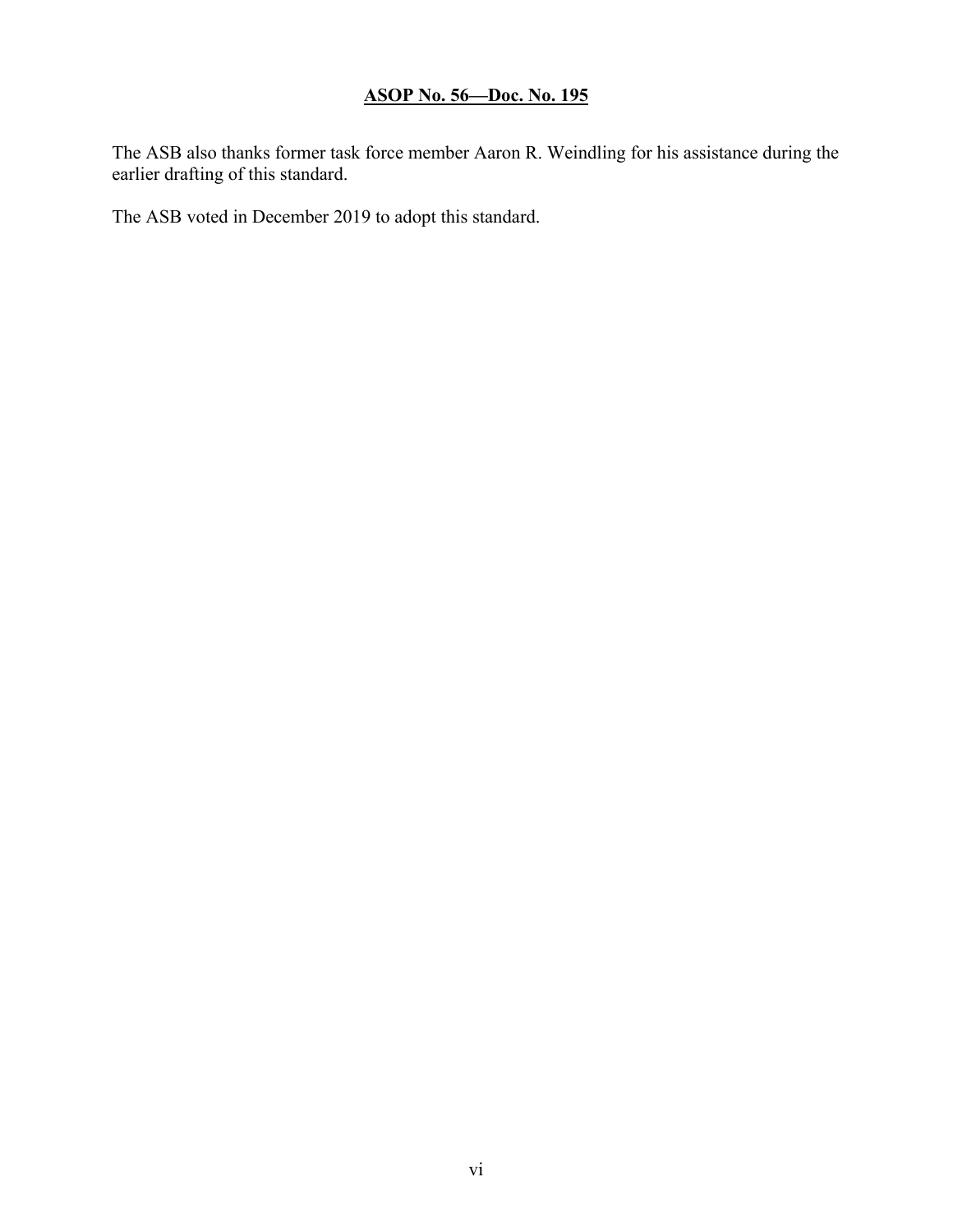The ASB also thanks former task force member Aaron R. Weindling for his assistance during the earlier drafting of this standard.

The ASB voted in December 2019 to adopt this standard.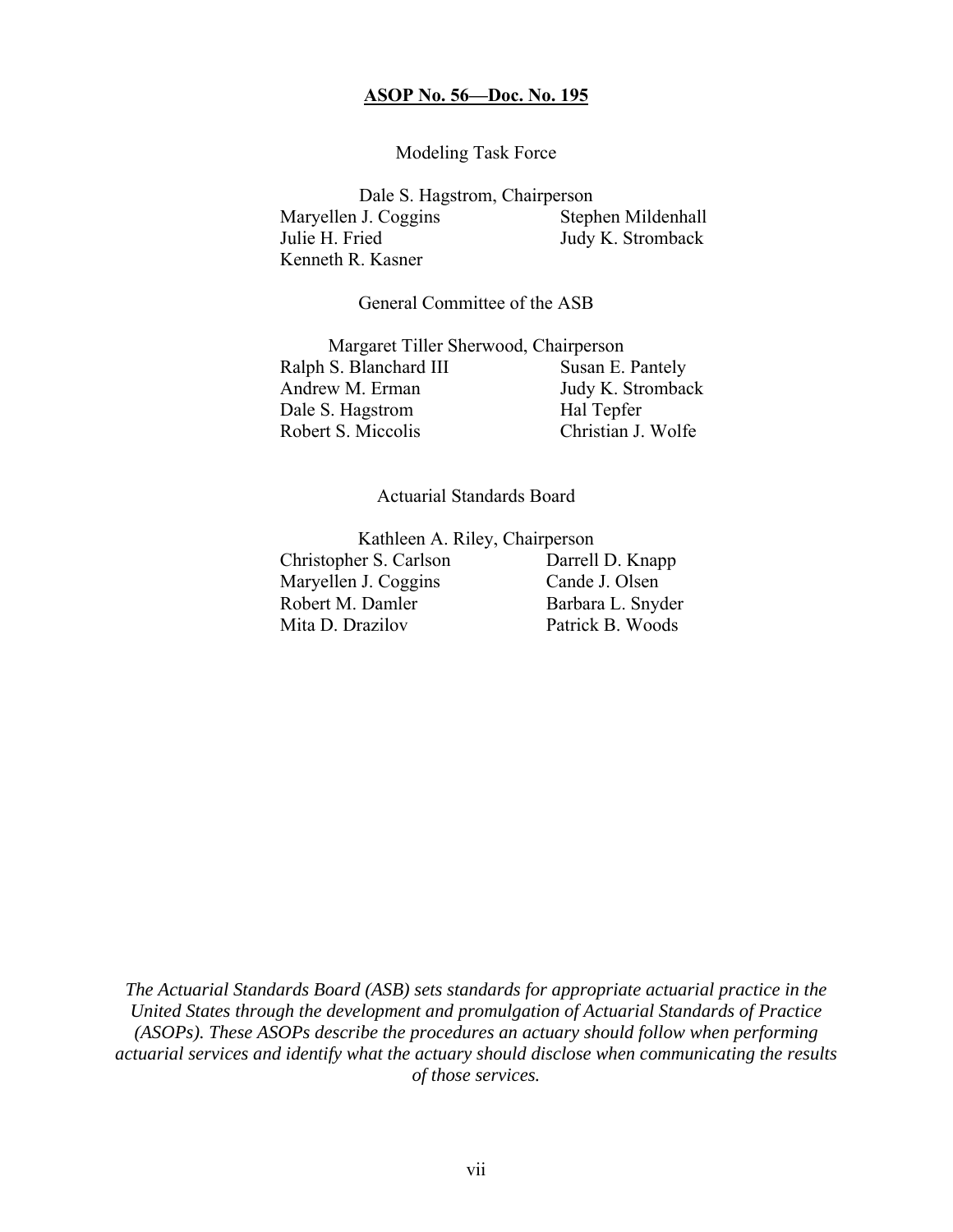#### Modeling Task Force

Dale S. Hagstrom, Chairperson Maryellen J. Coggins Stephen Mildenhall Julie H. Fried Judy K. Stromback Kenneth R. Kasner

#### General Committee of the ASB

Margaret Tiller Sherwood, Chairperson Ralph S. Blanchard III Susan E. Pantely Andrew M. Erman Judy K. Stromback Dale S. Hagstrom Hal Tepfer Robert S. Miccolis Christian J. Wolfe

#### Actuarial Standards Board

Kathleen A. Riley, Chairperson Christopher S. Carlson Darrell D. Knapp Maryellen J. Coggins Cande J. Olsen Robert M. Damler Barbara L. Snyder Mita D. Drazilov Patrick B. Woods

*The Actuarial Standards Board (ASB) sets standards for appropriate actuarial practice in the United States through the development and promulgation of Actuarial Standards of Practice (ASOPs). These ASOPs describe the procedures an actuary should follow when performing actuarial services and identify what the actuary should disclose when communicating the results of those services.*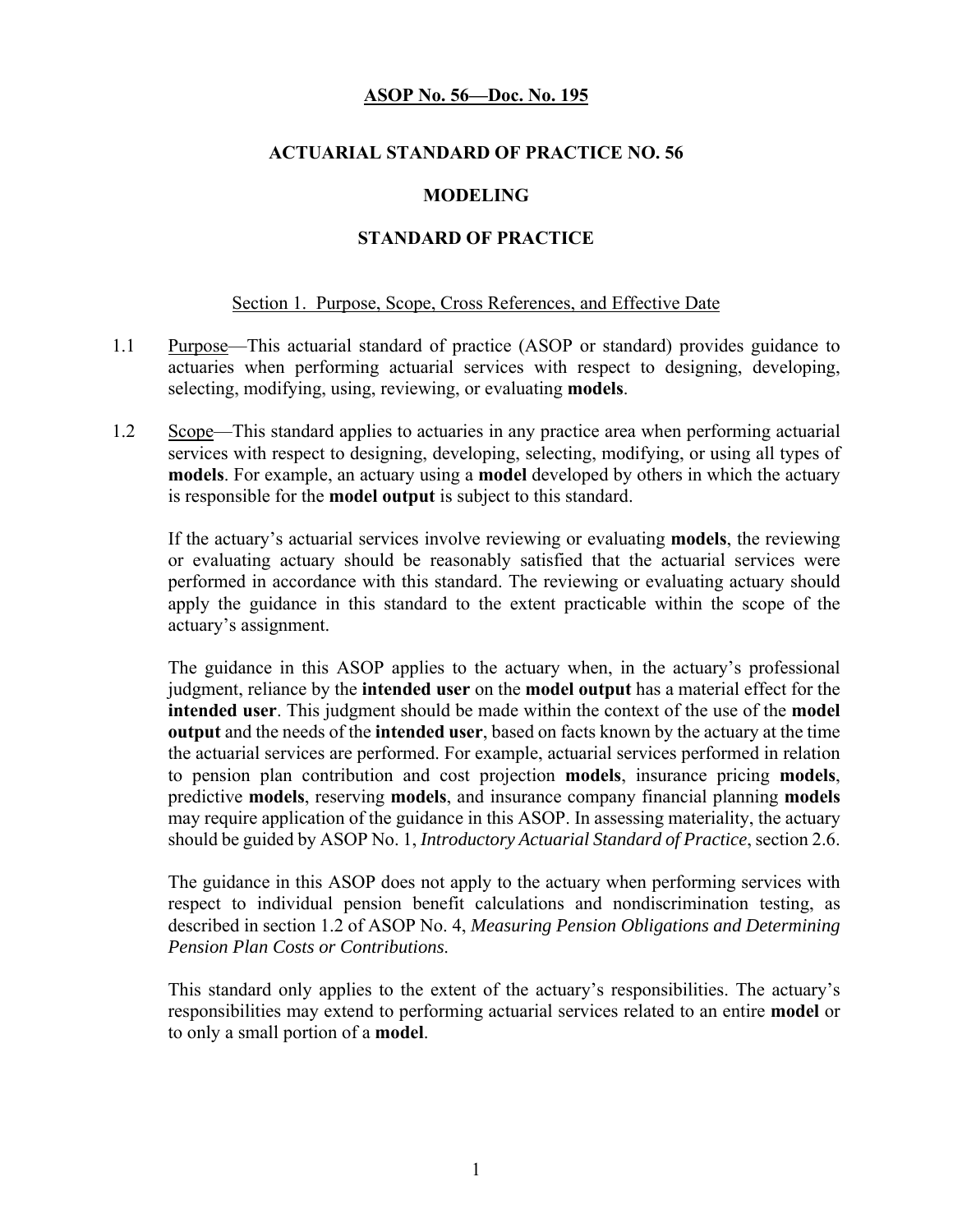#### **ACTUARIAL STANDARD OF PRACTICE NO. 56**

#### **MODELING**

#### **STANDARD OF PRACTICE**

#### Section 1. Purpose, Scope, Cross References, and Effective Date

- 1.1 Purpose—This actuarial standard of practice (ASOP or standard) provides guidance to actuaries when performing actuarial services with respect to designing, developing, selecting, modifying, using, reviewing, or evaluating **models**.
- 1.2 Scope—This standard applies to actuaries in any practice area when performing actuarial services with respect to designing, developing, selecting, modifying, or using all types of **models**. For example, an actuary using a **model** developed by others in which the actuary is responsible for the **model output** is subject to this standard.

 If the actuary's actuarial services involve reviewing or evaluating **models**, the reviewing or evaluating actuary should be reasonably satisfied that the actuarial services were performed in accordance with this standard. The reviewing or evaluating actuary should apply the guidance in this standard to the extent practicable within the scope of the actuary's assignment.

The guidance in this ASOP applies to the actuary when, in the actuary's professional judgment, reliance by the **intended user** on the **model output** has a material effect for the **intended user**. This judgment should be made within the context of the use of the **model output** and the needs of the **intended user**, based on facts known by the actuary at the time the actuarial services are performed. For example, actuarial services performed in relation to pension plan contribution and cost projection **models**, insurance pricing **models**, predictive **models**, reserving **models**, and insurance company financial planning **models** may require application of the guidance in this ASOP. In assessing materiality, the actuary should be guided by ASOP No. 1, *Introductory Actuarial Standard of Practice*, section 2.6.

The guidance in this ASOP does not apply to the actuary when performing services with respect to individual pension benefit calculations and nondiscrimination testing, as described in section 1.2 of ASOP No. 4, *Measuring Pension Obligations and Determining Pension Plan Costs or Contributions*.

This standard only applies to the extent of the actuary's responsibilities. The actuary's responsibilities may extend to performing actuarial services related to an entire **model** or to only a small portion of a **model**.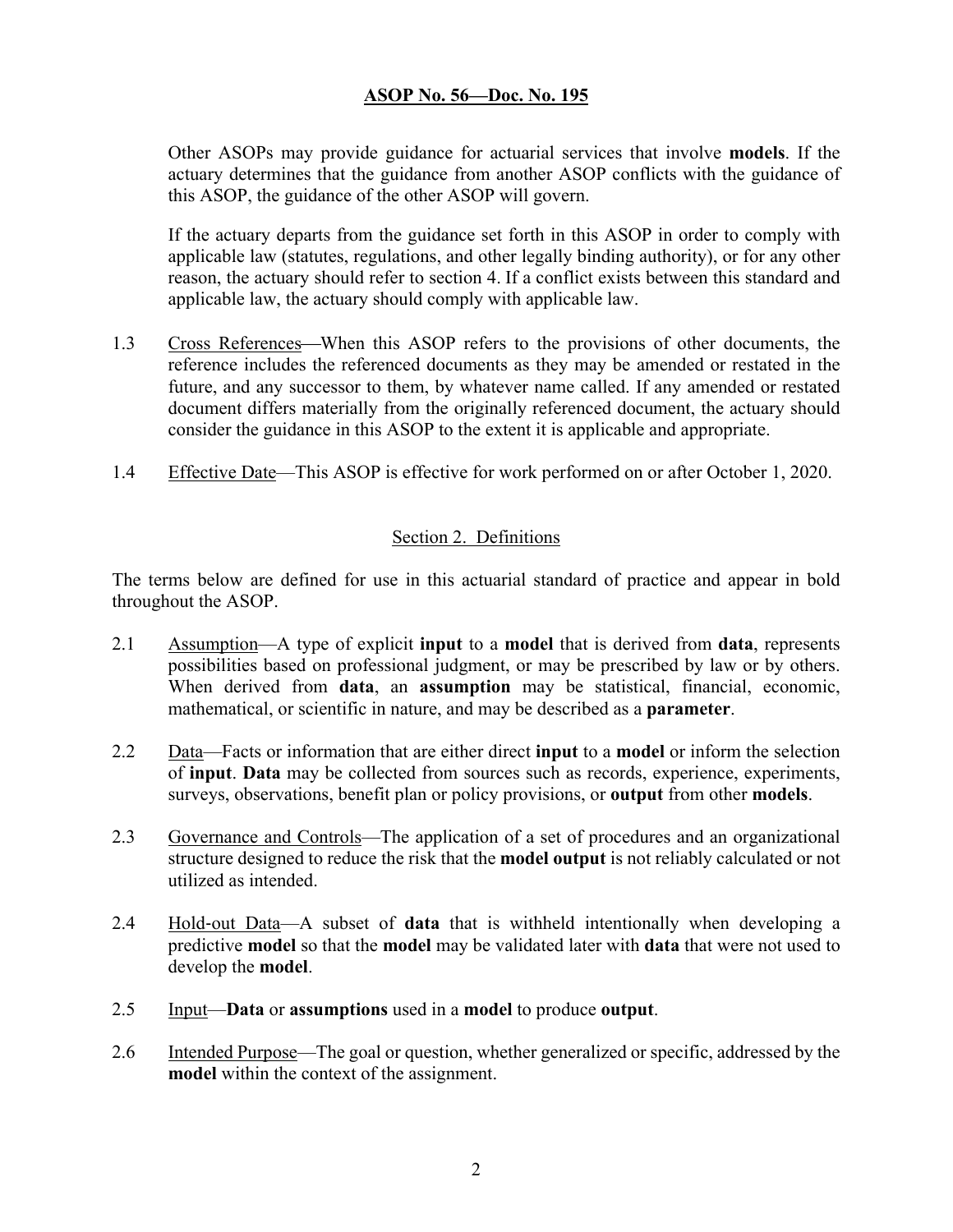Other ASOPs may provide guidance for actuarial services that involve **models**. If the actuary determines that the guidance from another ASOP conflicts with the guidance of this ASOP, the guidance of the other ASOP will govern.

 If the actuary departs from the guidance set forth in this ASOP in order to comply with applicable law (statutes, regulations, and other legally binding authority), or for any other reason, the actuary should refer to section 4. If a conflict exists between this standard and applicable law, the actuary should comply with applicable law.

- 1.3 Cross References—When this ASOP refers to the provisions of other documents, the reference includes the referenced documents as they may be amended or restated in the future, and any successor to them, by whatever name called. If any amended or restated document differs materially from the originally referenced document, the actuary should consider the guidance in this ASOP to the extent it is applicable and appropriate.
- 1.4 Effective Date—This ASOP is effective for work performed on or after October 1, 2020.

### Section 2. Definitions

The terms below are defined for use in this actuarial standard of practice and appear in bold throughout the ASOP.

- 2.1 Assumption—A type of explicit **input** to a **model** that is derived from **data**, represents possibilities based on professional judgment, or may be prescribed by law or by others. When derived from **data**, an **assumption** may be statistical, financial, economic, mathematical, or scientific in nature, and may be described as a **parameter**.
- 2.2 Data—Facts or information that are either direct **input** to a **model** or inform the selection of **input**. **Data** may be collected from sources such as records, experience, experiments, surveys, observations, benefit plan or policy provisions, or **output** from other **models**.
- 2.3 Governance and Controls—The application of a set of procedures and an organizational structure designed to reduce the risk that the **model output** is not reliably calculated or not utilized as intended.
- 2.4 Hold-out Data—A subset of **data** that is withheld intentionally when developing a predictive **model** so that the **model** may be validated later with **data** that were not used to develop the **model**.
- 2.5 Input—**Data** or **assumptions** used in a **model** to produce **output**.
- 2.6 Intended Purpose—The goal or question, whether generalized or specific, addressed by the **model** within the context of the assignment.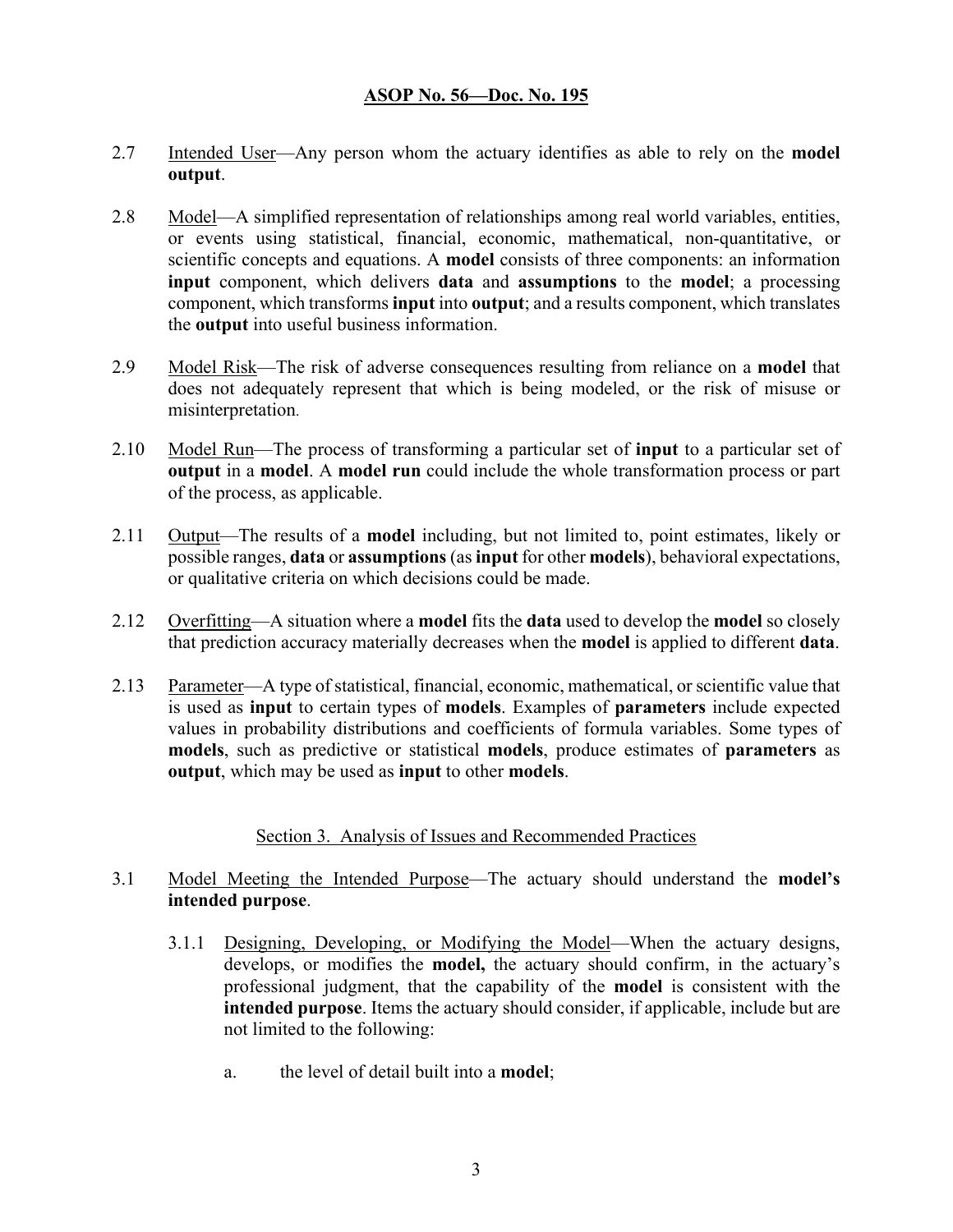- 2.7 Intended User—Any person whom the actuary identifies as able to rely on the **model output**.
- 2.8 Model—A simplified representation of relationships among real world variables, entities, or events using statistical, financial, economic, mathematical, non-quantitative, or scientific concepts and equations. A **model** consists of three components: an information **input** component, which delivers **data** and **assumptions** to the **model**; a processing component, which transforms **input** into **output**; and a results component, which translates the **output** into useful business information.
- 2.9 Model Risk—The risk of adverse consequences resulting from reliance on a **model** that does not adequately represent that which is being modeled, or the risk of misuse or misinterpretation.
- 2.10 Model Run—The process of transforming a particular set of **input** to a particular set of **output** in a **model**. A **model run** could include the whole transformation process or part of the process, as applicable.
- 2.11 Output—The results of a **model** including, but not limited to, point estimates, likely or possible ranges, **data** or **assumptions** (as **input** for other **models**), behavioral expectations, or qualitative criteria on which decisions could be made.
- 2.12 Overfitting—A situation where a **model** fits the **data** used to develop the **model** so closely that prediction accuracy materially decreases when the **model** is applied to different **data**.
- 2.13 Parameter—A type of statistical, financial, economic, mathematical, or scientific value that is used as **input** to certain types of **models**. Examples of **parameters** include expected values in probability distributions and coefficients of formula variables. Some types of **models**, such as predictive or statistical **models**, produce estimates of **parameters** as **output**, which may be used as **input** to other **models**.

#### Section 3. Analysis of Issues and Recommended Practices

- 3.1 Model Meeting the Intended Purpose—The actuary should understand the **model's intended purpose**.
	- 3.1.1 Designing, Developing, or Modifying the Model—When the actuary designs, develops, or modifies the **model,** the actuary should confirm, in the actuary's professional judgment, that the capability of the **model** is consistent with the **intended purpose**. Items the actuary should consider, if applicable, include but are not limited to the following:
		- a. the level of detail built into a **model**;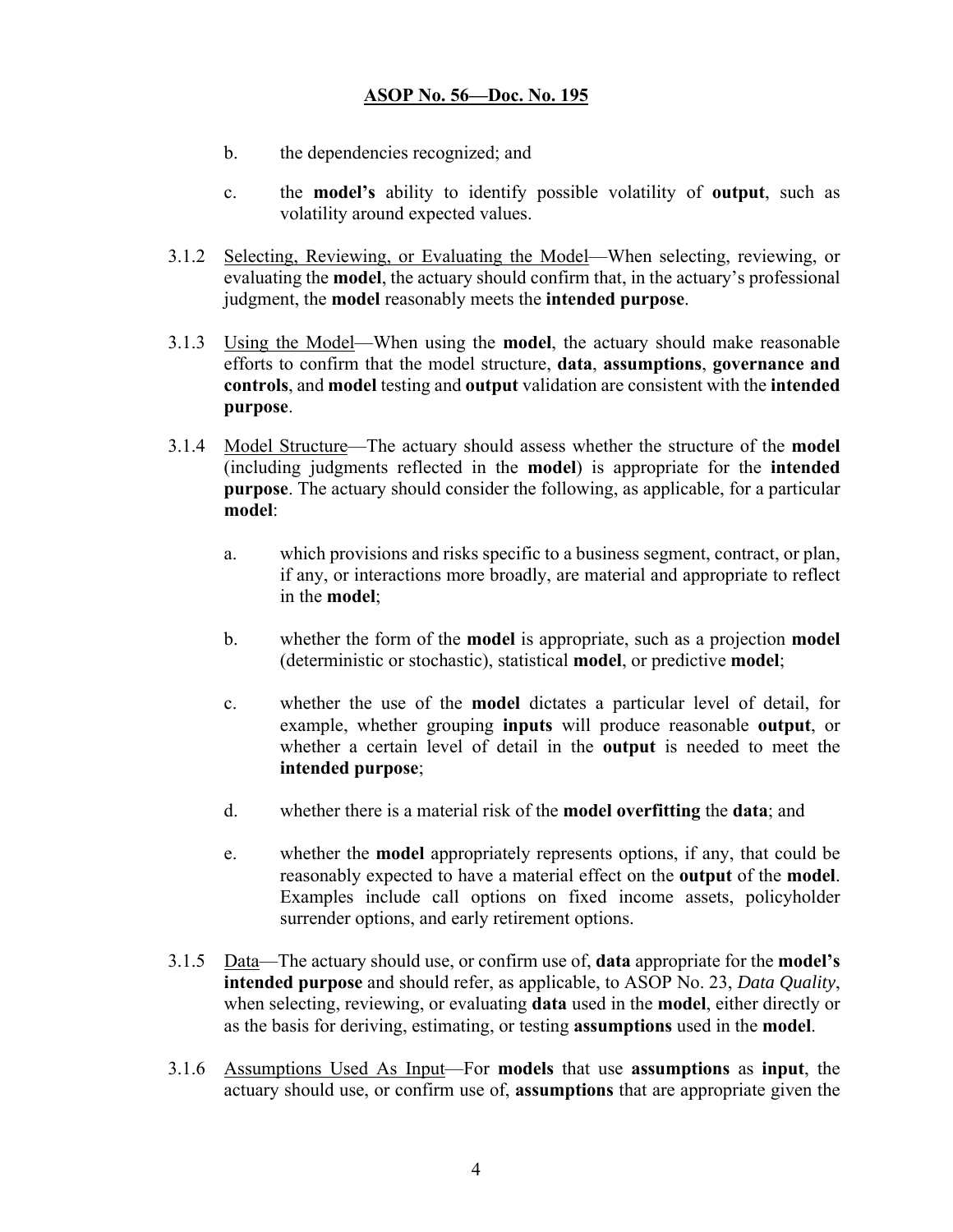- b. the dependencies recognized; and
- c. the **model's** ability to identify possible volatility of **output**, such as volatility around expected values.
- 3.1.2 Selecting, Reviewing, or Evaluating the Model—When selecting, reviewing, or evaluating the **model**, the actuary should confirm that, in the actuary's professional judgment, the **model** reasonably meets the **intended purpose**.
- 3.1.3 Using the Model—When using the **model**, the actuary should make reasonable efforts to confirm that the model structure, **data**, **assumptions**, **governance and controls**, and **model** testing and **output** validation are consistent with the **intended purpose**.
- 3.1.4 Model Structure—The actuary should assess whether the structure of the **model**  (including judgments reflected in the **model**) is appropriate for the **intended purpose**. The actuary should consider the following, as applicable, for a particular **model**:
	- a. which provisions and risks specific to a business segment, contract, or plan, if any, or interactions more broadly, are material and appropriate to reflect in the **model**;
	- b. whether the form of the **model** is appropriate, such as a projection **model** (deterministic or stochastic), statistical **model**, or predictive **model**;
	- c. whether the use of the **model** dictates a particular level of detail, for example, whether grouping **inputs** will produce reasonable **output**, or whether a certain level of detail in the **output** is needed to meet the **intended purpose**;
	- d. whether there is a material risk of the **model overfitting** the **data**; and
	- e. whether the **model** appropriately represents options, if any, that could be reasonably expected to have a material effect on the **output** of the **model**. Examples include call options on fixed income assets, policyholder surrender options, and early retirement options.
- 3.1.5 Data—The actuary should use, or confirm use of, **data** appropriate for the **model's intended purpose** and should refer, as applicable, to ASOP No. 23, *Data Quality*, when selecting, reviewing, or evaluating **data** used in the **model**, either directly or as the basis for deriving, estimating, or testing **assumptions** used in the **model**.
- 3.1.6 Assumptions Used As Input—For **models** that use **assumptions** as **input**, the actuary should use, or confirm use of, **assumptions** that are appropriate given the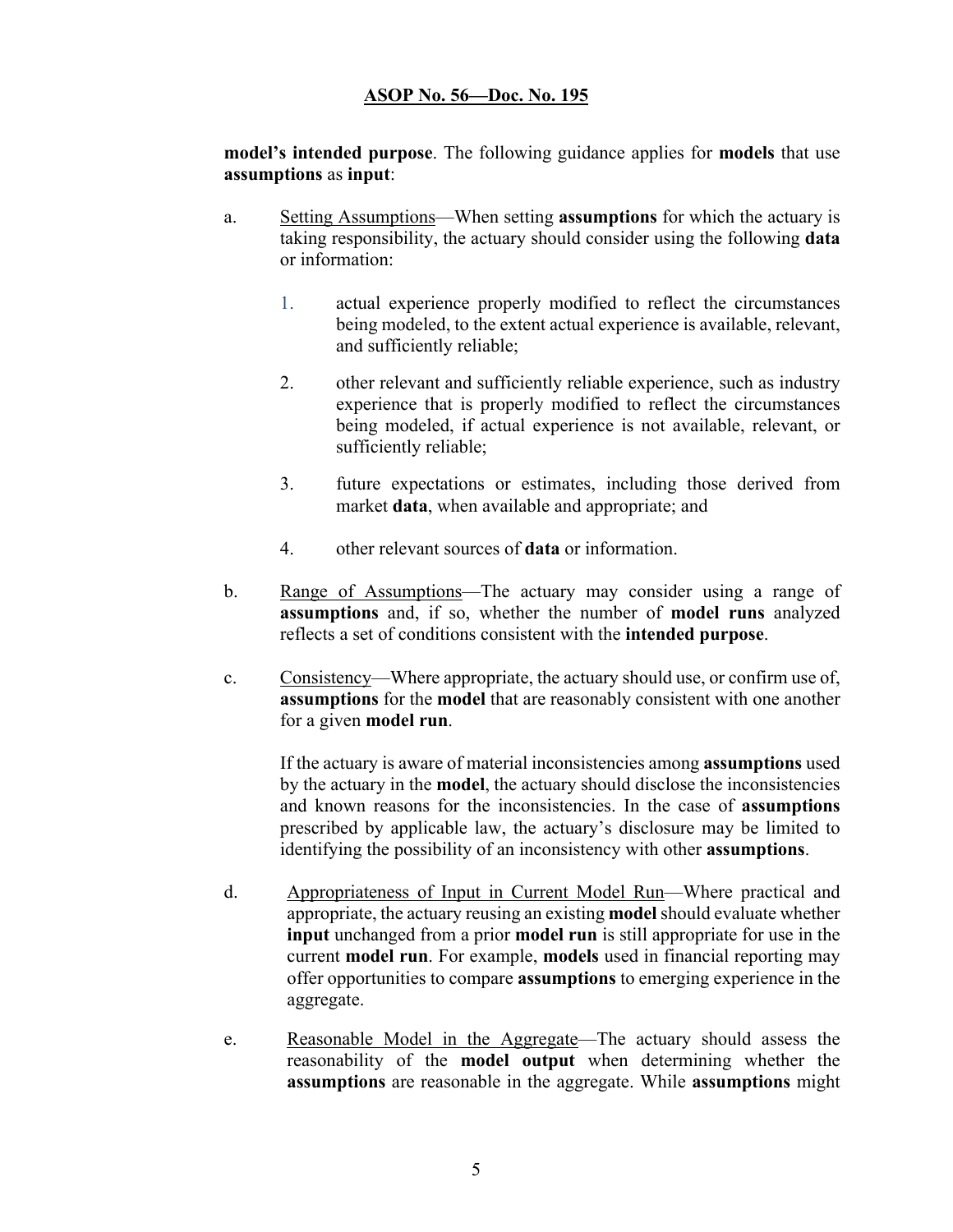**model's intended purpose**. The following guidance applies for **models** that use **assumptions** as **input**:

- a. Setting Assumptions—When setting **assumptions** for which the actuary is taking responsibility, the actuary should consider using the following **data** or information:
	- 1. actual experience properly modified to reflect the circumstances being modeled, to the extent actual experience is available, relevant, and sufficiently reliable;
	- 2. other relevant and sufficiently reliable experience, such as industry experience that is properly modified to reflect the circumstances being modeled, if actual experience is not available, relevant, or sufficiently reliable;
	- 3. future expectations or estimates, including those derived from market **data**, when available and appropriate; and
	- 4. other relevant sources of **data** or information.
- b. Range of Assumptions—The actuary may consider using a range of **assumptions** and, if so, whether the number of **model runs** analyzed reflects a set of conditions consistent with the **intended purpose**.
- c. Consistency—Where appropriate, the actuary should use, or confirm use of, **assumptions** for the **model** that are reasonably consistent with one another for a given **model run**.

If the actuary is aware of material inconsistencies among **assumptions** used by the actuary in the **model**, the actuary should disclose the inconsistencies and known reasons for the inconsistencies. In the case of **assumptions** prescribed by applicable law, the actuary's disclosure may be limited to identifying the possibility of an inconsistency with other **assumptions**.

- d. Appropriateness of Input in Current Model Run—Where practical and appropriate, the actuary reusing an existing **model** should evaluate whether **input** unchanged from a prior **model run** is still appropriate for use in the current **model run**. For example, **models** used in financial reporting may offer opportunities to compare **assumptions** to emerging experience in the aggregate.
- e. Reasonable Model in the Aggregate—The actuary should assess the reasonability of the **model output** when determining whether the **assumptions** are reasonable in the aggregate. While **assumptions** might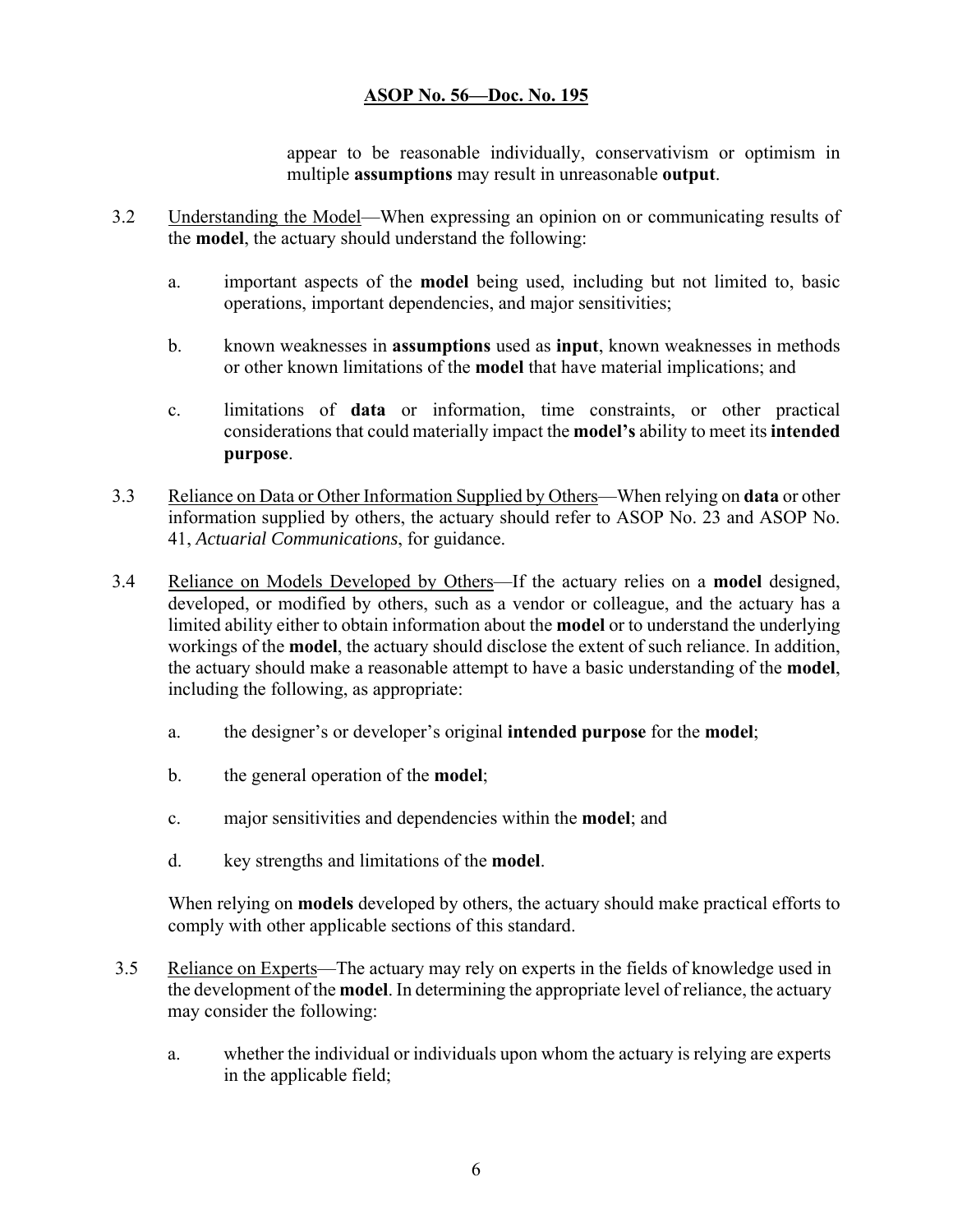appear to be reasonable individually, conservativism or optimism in multiple **assumptions** may result in unreasonable **output**.

- 3.2 Understanding the Model—When expressing an opinion on or communicating results of the **model**, the actuary should understand the following:
	- a. important aspects of the **model** being used, including but not limited to, basic operations, important dependencies, and major sensitivities;
	- b. known weaknesses in **assumptions** used as **input**, known weaknesses in methods or other known limitations of the **model** that have material implications; and
	- c. limitations of **data** or information, time constraints, or other practical considerations that could materially impact the **model's** ability to meet its **intended purpose**.
- 3.3 Reliance on Data or Other Information Supplied by Others—When relying on **data** or other information supplied by others, the actuary should refer to ASOP No. 23 and ASOP No. 41, *Actuarial Communications*, for guidance.
- 3.4 Reliance on Models Developed by Others—If the actuary relies on a **model** designed, developed, or modified by others, such as a vendor or colleague, and the actuary has a limited ability either to obtain information about the **model** or to understand the underlying workings of the **model**, the actuary should disclose the extent of such reliance. In addition, the actuary should make a reasonable attempt to have a basic understanding of the **model**, including the following, as appropriate:
	- a. the designer's or developer's original **intended purpose** for the **model**;
	- b. the general operation of the **model**;
	- c. major sensitivities and dependencies within the **model**; and
	- d. key strengths and limitations of the **model**.

When relying on **models** developed by others, the actuary should make practical efforts to comply with other applicable sections of this standard.

- 3.5 Reliance on Experts—The actuary may rely on experts in the fields of knowledge used in the development of the **model**. In determining the appropriate level of reliance, the actuary may consider the following:
	- a. whether the individual or individuals upon whom the actuary is relying are experts in the applicable field;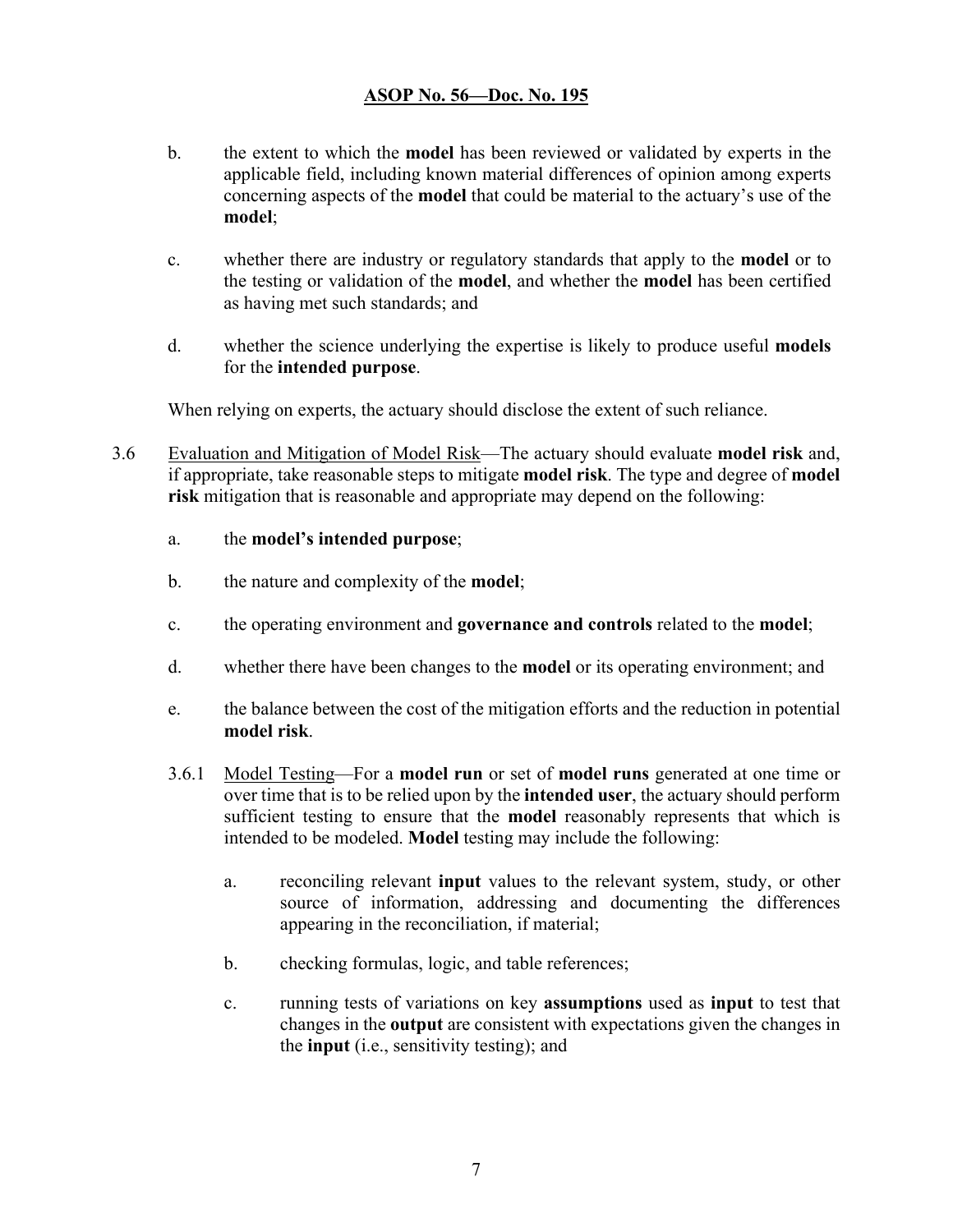- b. the extent to which the **model** has been reviewed or validated by experts in the applicable field, including known material differences of opinion among experts concerning aspects of the **model** that could be material to the actuary's use of the **model**;
- c. whether there are industry or regulatory standards that apply to the **model** or to the testing or validation of the **model**, and whether the **model** has been certified as having met such standards; and
- d. whether the science underlying the expertise is likely to produce useful **models** for the **intended purpose**.

When relying on experts, the actuary should disclose the extent of such reliance.

- 3.6 Evaluation and Mitigation of Model Risk—The actuary should evaluate **model risk** and, if appropriate, take reasonable steps to mitigate **model risk**. The type and degree of **model risk** mitigation that is reasonable and appropriate may depend on the following:
	- a. the **model's intended purpose**;
	- b. the nature and complexity of the **model**;
	- c. the operating environment and **governance and controls** related to the **model**;
	- d. whether there have been changes to the **model** or its operating environment; and
	- e. the balance between the cost of the mitigation efforts and the reduction in potential **model risk**.
	- 3.6.1 Model Testing—For a **model run** or set of **model runs** generated at one time or over time that is to be relied upon by the **intended user**, the actuary should perform sufficient testing to ensure that the **model** reasonably represents that which is intended to be modeled. **Model** testing may include the following:
		- a. reconciling relevant **input** values to the relevant system, study, or other source of information, addressing and documenting the differences appearing in the reconciliation, if material;
		- b. checking formulas, logic, and table references;
		- c. running tests of variations on key **assumptions** used as **input** to test that changes in the **output** are consistent with expectations given the changes in the **input** (i.e., sensitivity testing); and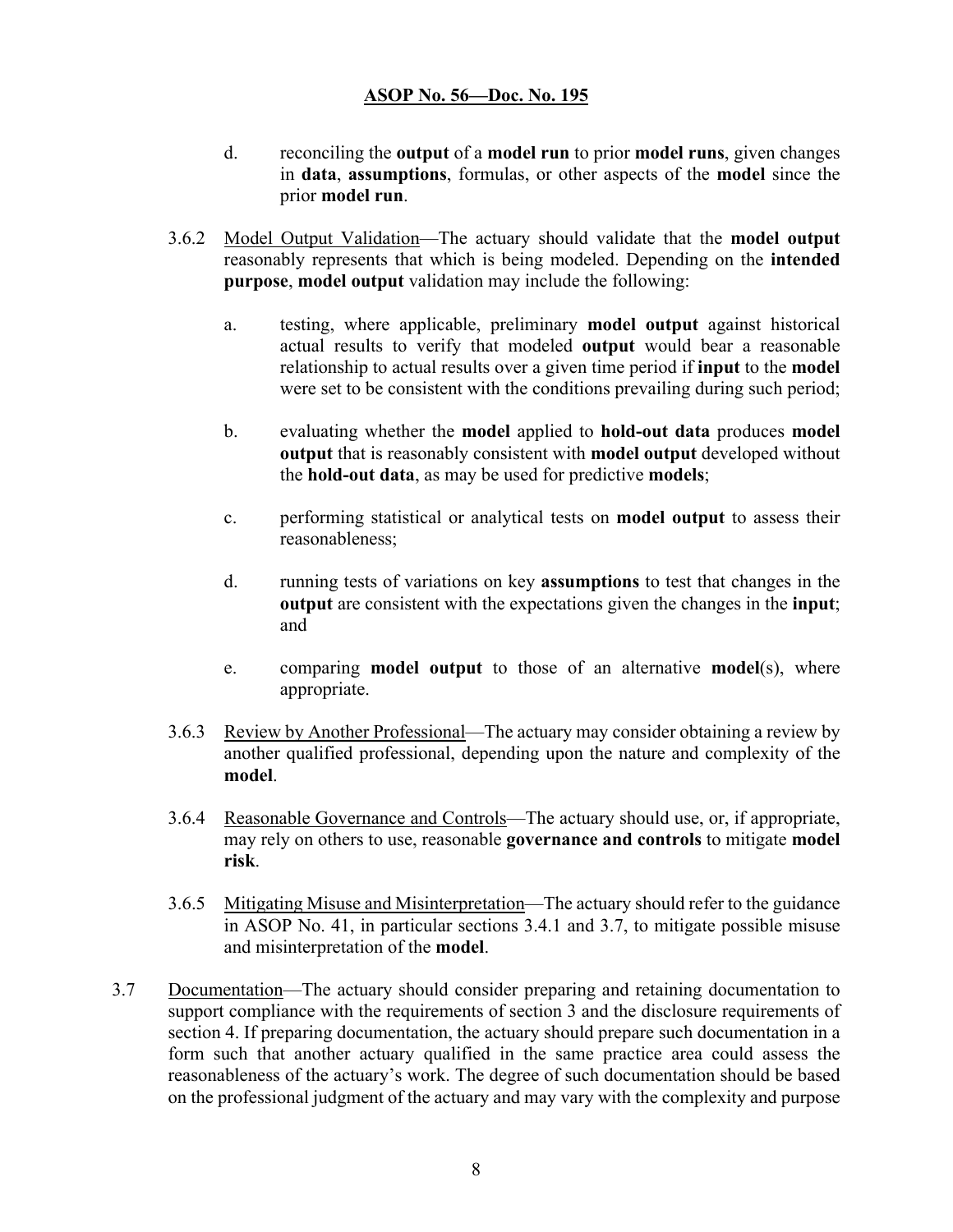- d. reconciling the **output** of a **model run** to prior **model runs**, given changes in **data**, **assumptions**, formulas, or other aspects of the **model** since the prior **model run**.
- 3.6.2 Model Output Validation—The actuary should validate that the **model output** reasonably represents that which is being modeled. Depending on the **intended purpose**, **model output** validation may include the following:
	- a. testing, where applicable, preliminary **model output** against historical actual results to verify that modeled **output** would bear a reasonable relationship to actual results over a given time period if **input** to the **model** were set to be consistent with the conditions prevailing during such period;
	- b. evaluating whether the **model** applied to **hold-out data** produces **model output** that is reasonably consistent with **model output** developed without the **hold-out data**, as may be used for predictive **models**;
	- c. performing statistical or analytical tests on **model output** to assess their reasonableness;
	- d. running tests of variations on key **assumptions** to test that changes in the **output** are consistent with the expectations given the changes in the **input**; and
	- e. comparing **model output** to those of an alternative **model**(s), where appropriate.
- 3.6.3 Review by Another Professional—The actuary may consider obtaining a review by another qualified professional, depending upon the nature and complexity of the **model**.
- 3.6.4 Reasonable Governance and Controls—The actuary should use, or, if appropriate, may rely on others to use, reasonable **governance and controls** to mitigate **model risk**.
- 3.6.5 Mitigating Misuse and Misinterpretation—The actuary should refer to the guidance in ASOP No. 41, in particular sections 3.4.1 and 3.7, to mitigate possible misuse and misinterpretation of the **model**.
- 3.7 Documentation—The actuary should consider preparing and retaining documentation to support compliance with the requirements of section 3 and the disclosure requirements of section 4. If preparing documentation, the actuary should prepare such documentation in a form such that another actuary qualified in the same practice area could assess the reasonableness of the actuary's work. The degree of such documentation should be based on the professional judgment of the actuary and may vary with the complexity and purpose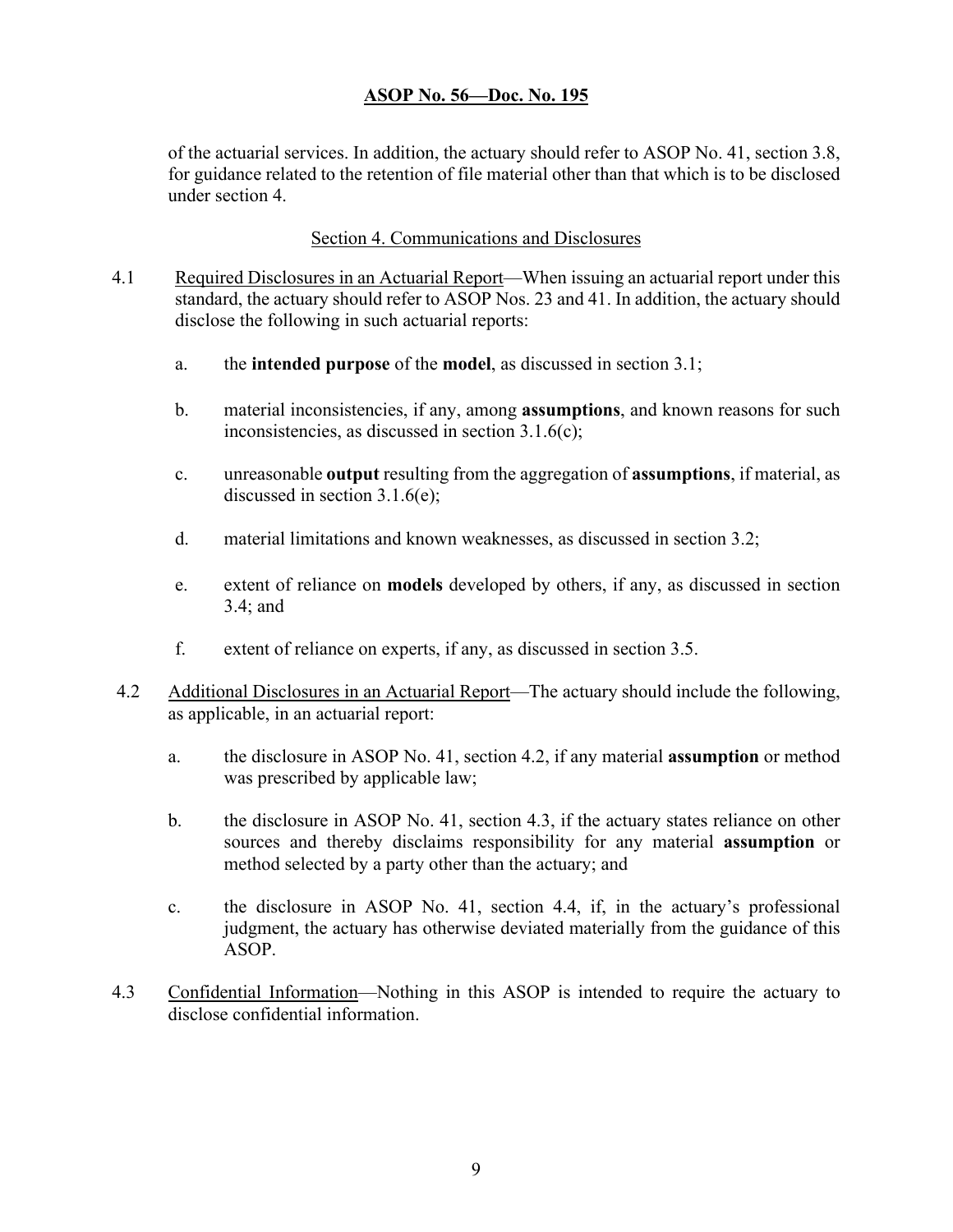of the actuarial services. In addition, the actuary should refer to ASOP No. 41, section 3.8, for guidance related to the retention of file material other than that which is to be disclosed under section 4.

#### Section 4. Communications and Disclosures

- 4.1 Required Disclosures in an Actuarial Report—When issuing an actuarial report under this standard, the actuary should refer to ASOP Nos. 23 and 41. In addition, the actuary should disclose the following in such actuarial reports:
	- a. the **intended purpose** of the **model**, as discussed in section 3.1;
	- b. material inconsistencies, if any, among **assumptions**, and known reasons for such inconsistencies, as discussed in section 3.1.6(c);
	- c. unreasonable **output** resulting from the aggregation of **assumptions**, if material, as discussed in section 3.1.6(e);
	- d. material limitations and known weaknesses, as discussed in section 3.2;
	- e. extent of reliance on **models** developed by others, if any, as discussed in section 3.4; and
	- f. extent of reliance on experts, if any, as discussed in section 3.5.
- 4.2 Additional Disclosures in an Actuarial Report—The actuary should include the following, as applicable, in an actuarial report:
	- a. the disclosure in ASOP No. 41, section 4.2, if any material **assumption** or method was prescribed by applicable law;
	- b. the disclosure in ASOP No. 41, section 4.3, if the actuary states reliance on other sources and thereby disclaims responsibility for any material **assumption** or method selected by a party other than the actuary; and
	- c. the disclosure in ASOP No. 41, section 4.4, if, in the actuary's professional judgment, the actuary has otherwise deviated materially from the guidance of this ASOP.
- 4.3 Confidential Information—Nothing in this ASOP is intended to require the actuary to disclose confidential information.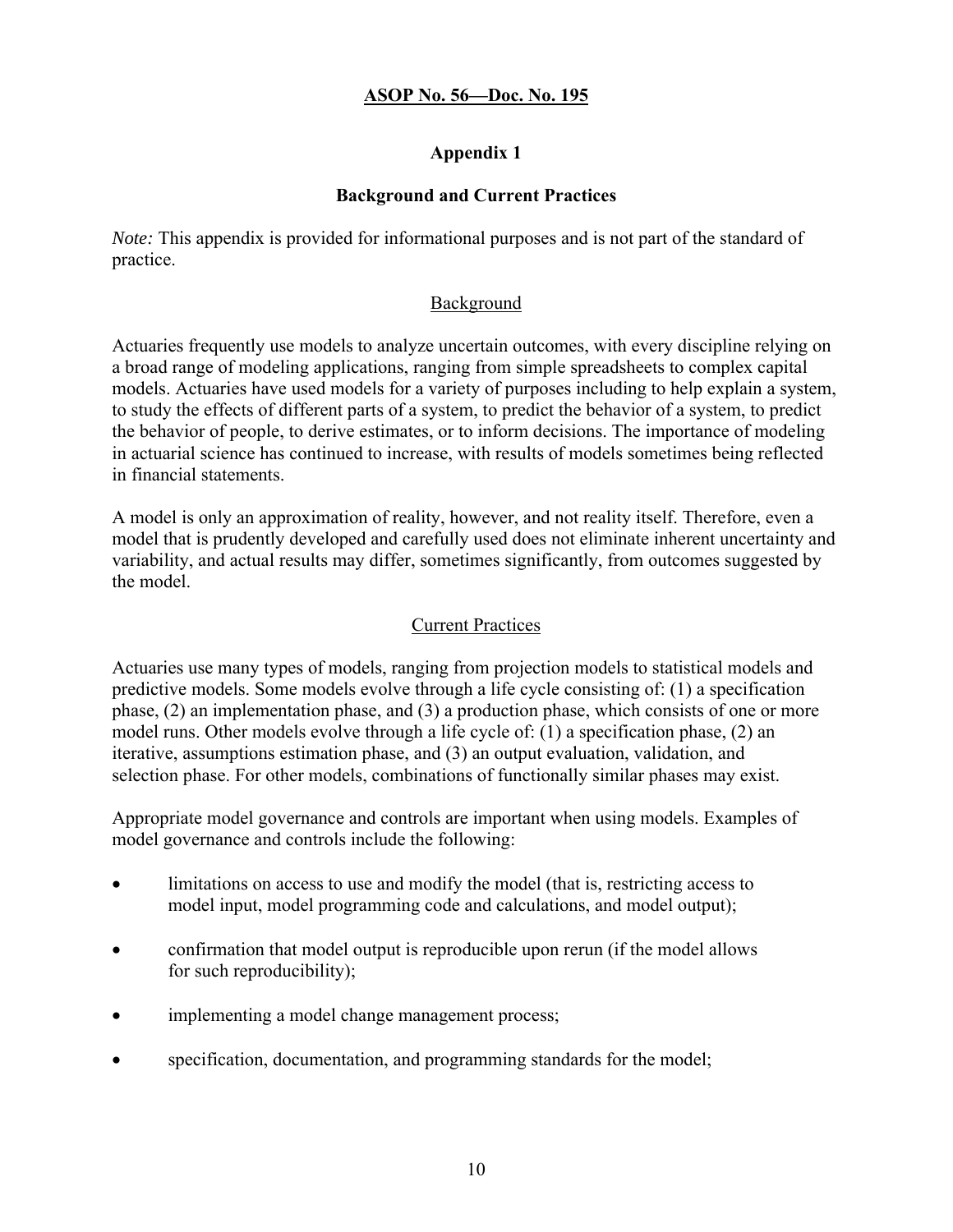### **Appendix 1**

### **Background and Current Practices**

*Note:* This appendix is provided for informational purposes and is not part of the standard of practice.

### **Background**

Actuaries frequently use models to analyze uncertain outcomes, with every discipline relying on a broad range of modeling applications, ranging from simple spreadsheets to complex capital models. Actuaries have used models for a variety of purposes including to help explain a system, to study the effects of different parts of a system, to predict the behavior of a system, to predict the behavior of people, to derive estimates, or to inform decisions. The importance of modeling in actuarial science has continued to increase, with results of models sometimes being reflected in financial statements.

A model is only an approximation of reality, however, and not reality itself. Therefore, even a model that is prudently developed and carefully used does not eliminate inherent uncertainty and variability, and actual results may differ, sometimes significantly, from outcomes suggested by the model.

### Current Practices

Actuaries use many types of models, ranging from projection models to statistical models and predictive models. Some models evolve through a life cycle consisting of: (1) a specification phase, (2) an implementation phase, and (3) a production phase, which consists of one or more model runs. Other models evolve through a life cycle of: (1) a specification phase, (2) an iterative, assumptions estimation phase, and (3) an output evaluation, validation, and selection phase. For other models, combinations of functionally similar phases may exist.

Appropriate model governance and controls are important when using models. Examples of model governance and controls include the following:

- limitations on access to use and modify the model (that is, restricting access to model input, model programming code and calculations, and model output);
- confirmation that model output is reproducible upon rerun (if the model allows for such reproducibility);
- implementing a model change management process;
- specification, documentation, and programming standards for the model;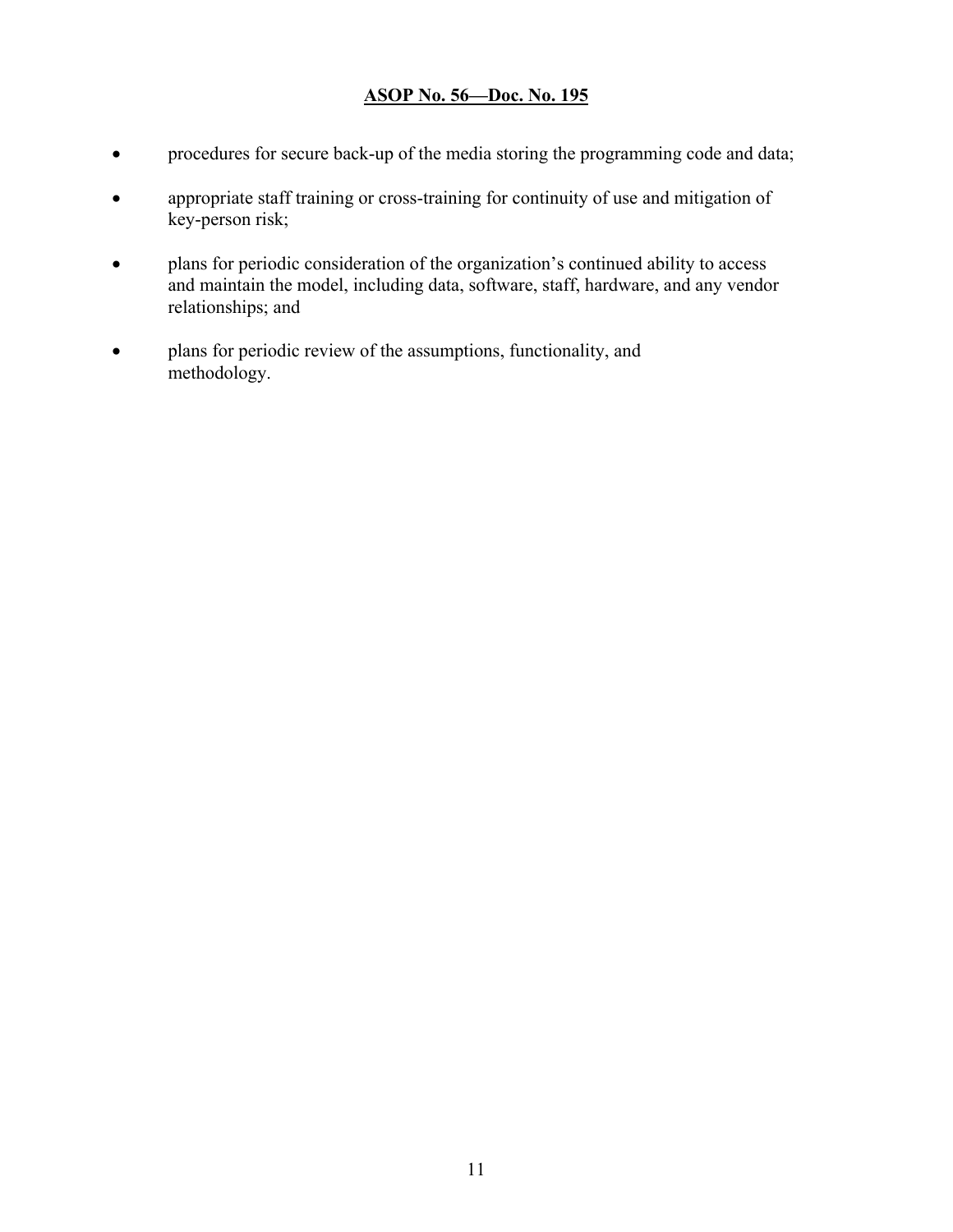- procedures for secure back-up of the media storing the programming code and data;
- appropriate staff training or cross-training for continuity of use and mitigation of key-person risk;
- plans for periodic consideration of the organization's continued ability to access and maintain the model, including data, software, staff, hardware, and any vendor relationships; and
- plans for periodic review of the assumptions, functionality, and methodology.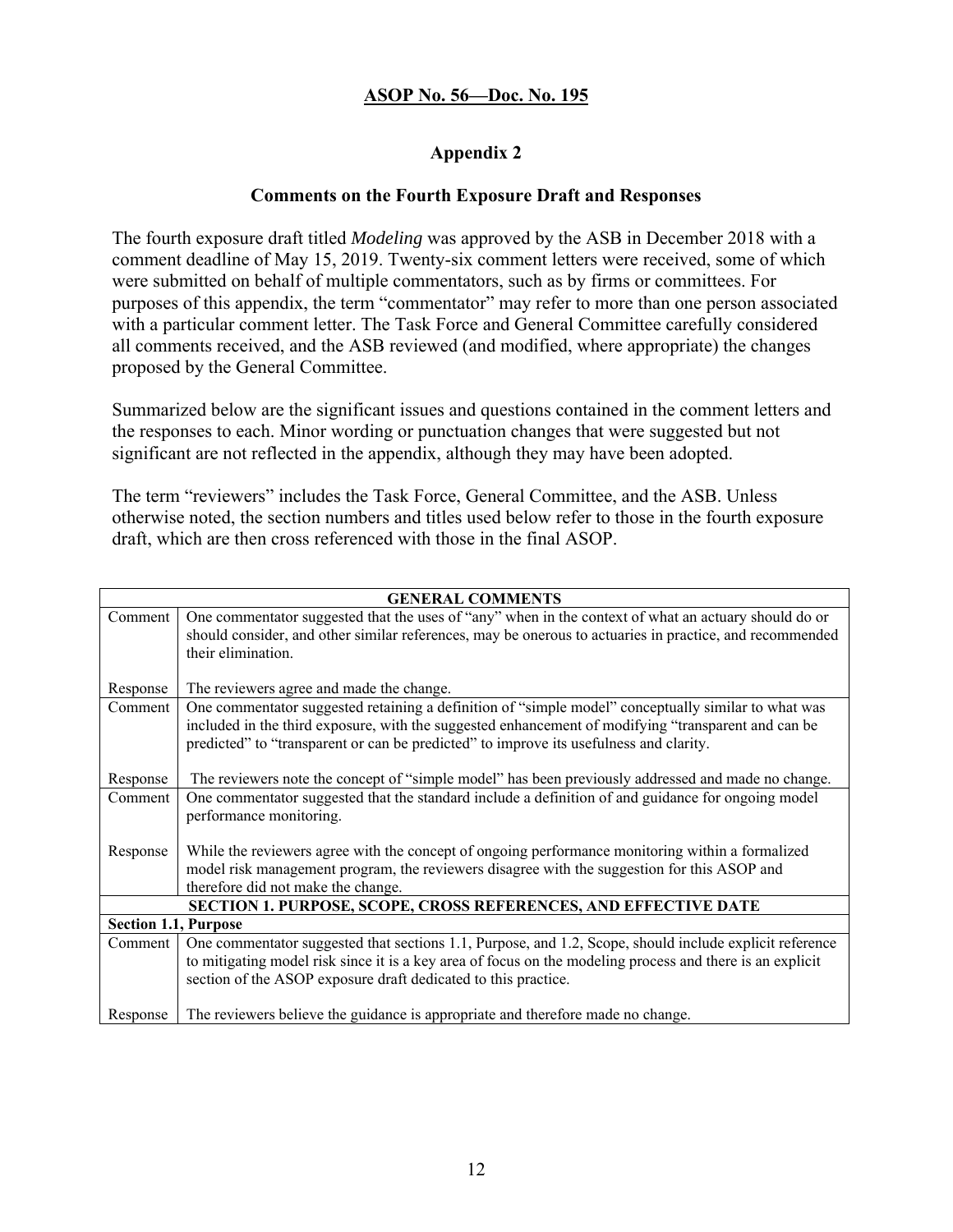### **Appendix 2**

#### **Comments on the Fourth Exposure Draft and Responses**

The fourth exposure draft titled *Modeling* was approved by the ASB in December 2018 with a comment deadline of May 15, 2019. Twenty-six comment letters were received, some of which were submitted on behalf of multiple commentators, such as by firms or committees. For purposes of this appendix, the term "commentator" may refer to more than one person associated with a particular comment letter. The Task Force and General Committee carefully considered all comments received, and the ASB reviewed (and modified, where appropriate) the changes proposed by the General Committee.

Summarized below are the significant issues and questions contained in the comment letters and the responses to each. Minor wording or punctuation changes that were suggested but not significant are not reflected in the appendix, although they may have been adopted.

The term "reviewers" includes the Task Force, General Committee, and the ASB. Unless otherwise noted, the section numbers and titles used below refer to those in the fourth exposure draft, which are then cross referenced with those in the final ASOP.

| <b>GENERAL COMMENTS</b>                                         |                                                                                                           |  |
|-----------------------------------------------------------------|-----------------------------------------------------------------------------------------------------------|--|
| Comment                                                         | One commentator suggested that the uses of "any" when in the context of what an actuary should do or      |  |
|                                                                 | should consider, and other similar references, may be onerous to actuaries in practice, and recommended   |  |
|                                                                 | their elimination.                                                                                        |  |
|                                                                 |                                                                                                           |  |
| Response                                                        | The reviewers agree and made the change.                                                                  |  |
| Comment                                                         | One commentator suggested retaining a definition of "simple model" conceptually similar to what was       |  |
|                                                                 | included in the third exposure, with the suggested enhancement of modifying "transparent and can be       |  |
|                                                                 | predicted" to "transparent or can be predicted" to improve its usefulness and clarity.                    |  |
|                                                                 |                                                                                                           |  |
| Response                                                        | The reviewers note the concept of "simple model" has been previously addressed and made no change.        |  |
| Comment                                                         | One commentator suggested that the standard include a definition of and guidance for ongoing model        |  |
|                                                                 | performance monitoring.                                                                                   |  |
|                                                                 |                                                                                                           |  |
| Response                                                        | While the reviewers agree with the concept of ongoing performance monitoring within a formalized          |  |
|                                                                 | model risk management program, the reviewers disagree with the suggestion for this ASOP and               |  |
|                                                                 | therefore did not make the change.                                                                        |  |
| SECTION 1. PURPOSE, SCOPE, CROSS REFERENCES, AND EFFECTIVE DATE |                                                                                                           |  |
| <b>Section 1.1, Purpose</b>                                     |                                                                                                           |  |
| Comment                                                         | One commentator suggested that sections 1.1, Purpose, and 1.2, Scope, should include explicit reference   |  |
|                                                                 | to mitigating model risk since it is a key area of focus on the modeling process and there is an explicit |  |
|                                                                 | section of the ASOP exposure draft dedicated to this practice.                                            |  |
|                                                                 |                                                                                                           |  |
| Response                                                        | The reviewers believe the guidance is appropriate and therefore made no change.                           |  |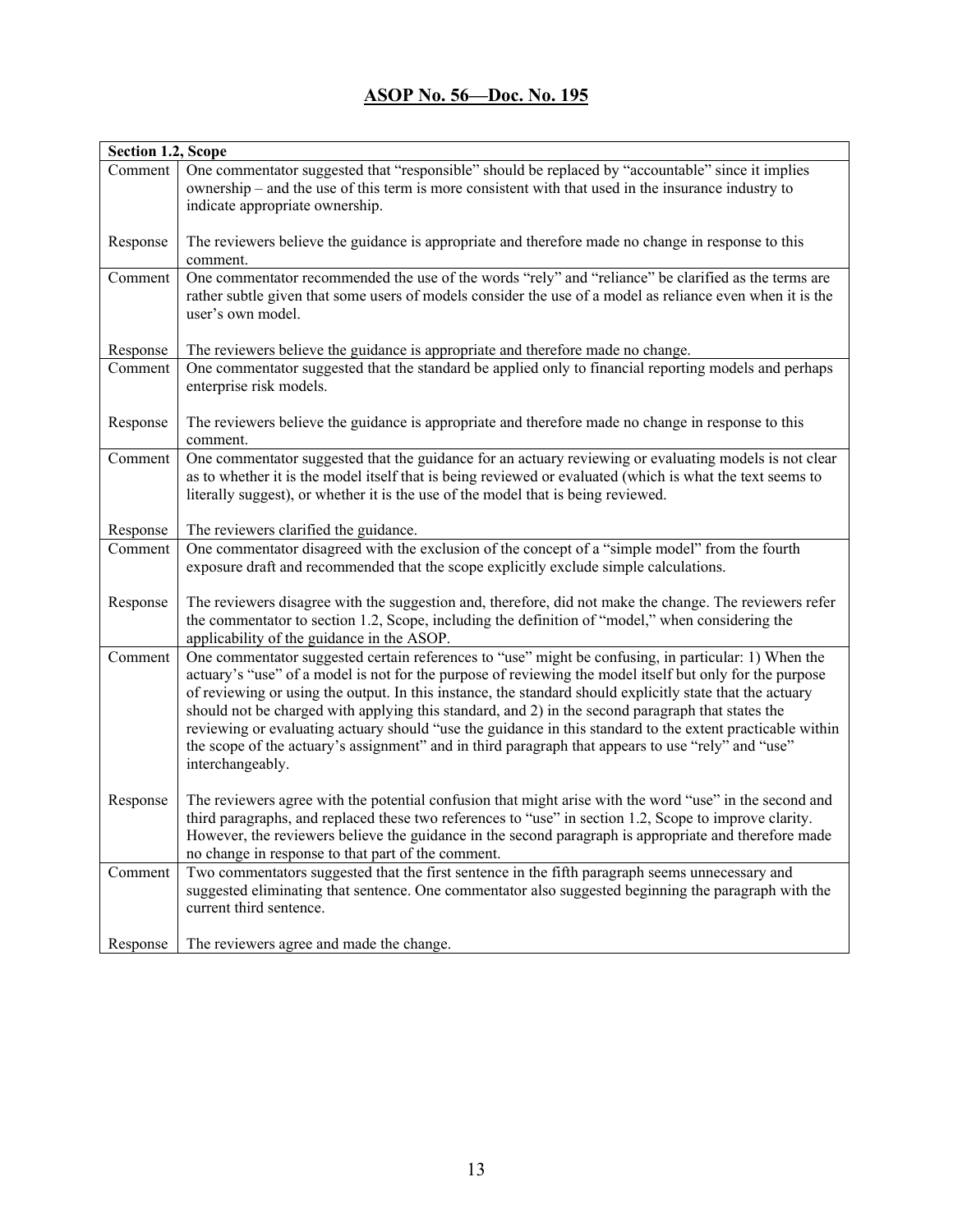| Section 1.2, Scope |                                                                                                                                                                                                                 |  |
|--------------------|-----------------------------------------------------------------------------------------------------------------------------------------------------------------------------------------------------------------|--|
| Comment            | One commentator suggested that "responsible" should be replaced by "accountable" since it implies                                                                                                               |  |
|                    | ownership – and the use of this term is more consistent with that used in the insurance industry to                                                                                                             |  |
|                    | indicate appropriate ownership.                                                                                                                                                                                 |  |
| Response           | The reviewers believe the guidance is appropriate and therefore made no change in response to this                                                                                                              |  |
|                    | comment.                                                                                                                                                                                                        |  |
| Comment            | One commentator recommended the use of the words "rely" and "reliance" be clarified as the terms are                                                                                                            |  |
|                    | rather subtle given that some users of models consider the use of a model as reliance even when it is the<br>user's own model.                                                                                  |  |
| Response           | The reviewers believe the guidance is appropriate and therefore made no change.                                                                                                                                 |  |
| Comment            | One commentator suggested that the standard be applied only to financial reporting models and perhaps<br>enterprise risk models.                                                                                |  |
|                    |                                                                                                                                                                                                                 |  |
| Response           | The reviewers believe the guidance is appropriate and therefore made no change in response to this                                                                                                              |  |
|                    | comment.                                                                                                                                                                                                        |  |
| Comment            | One commentator suggested that the guidance for an actuary reviewing or evaluating models is not clear                                                                                                          |  |
|                    | as to whether it is the model itself that is being reviewed or evaluated (which is what the text seems to                                                                                                       |  |
|                    | literally suggest), or whether it is the use of the model that is being reviewed.                                                                                                                               |  |
| Response           | The reviewers clarified the guidance.                                                                                                                                                                           |  |
| Comment            | One commentator disagreed with the exclusion of the concept of a "simple model" from the fourth                                                                                                                 |  |
|                    | exposure draft and recommended that the scope explicitly exclude simple calculations.                                                                                                                           |  |
| Response           | The reviewers disagree with the suggestion and, therefore, did not make the change. The reviewers refer                                                                                                         |  |
|                    | the commentator to section 1.2, Scope, including the definition of "model," when considering the                                                                                                                |  |
|                    | applicability of the guidance in the ASOP.                                                                                                                                                                      |  |
| Comment            | One commentator suggested certain references to "use" might be confusing, in particular: 1) When the                                                                                                            |  |
|                    | actuary's "use" of a model is not for the purpose of reviewing the model itself but only for the purpose                                                                                                        |  |
|                    | of reviewing or using the output. In this instance, the standard should explicitly state that the actuary                                                                                                       |  |
|                    | should not be charged with applying this standard, and 2) in the second paragraph that states the<br>reviewing or evaluating actuary should "use the guidance in this standard to the extent practicable within |  |
|                    | the scope of the actuary's assignment" and in third paragraph that appears to use "rely" and "use"                                                                                                              |  |
|                    | interchangeably.                                                                                                                                                                                                |  |
|                    |                                                                                                                                                                                                                 |  |
| Response           | The reviewers agree with the potential confusion that might arise with the word "use" in the second and                                                                                                         |  |
|                    | third paragraphs, and replaced these two references to "use" in section 1.2, Scope to improve clarity.                                                                                                          |  |
|                    | However, the reviewers believe the guidance in the second paragraph is appropriate and therefore made                                                                                                           |  |
|                    | no change in response to that part of the comment.                                                                                                                                                              |  |
| Comment            | Two commentators suggested that the first sentence in the fifth paragraph seems unnecessary and                                                                                                                 |  |
|                    | suggested eliminating that sentence. One commentator also suggested beginning the paragraph with the<br>current third sentence.                                                                                 |  |
|                    |                                                                                                                                                                                                                 |  |
| Response           | The reviewers agree and made the change.                                                                                                                                                                        |  |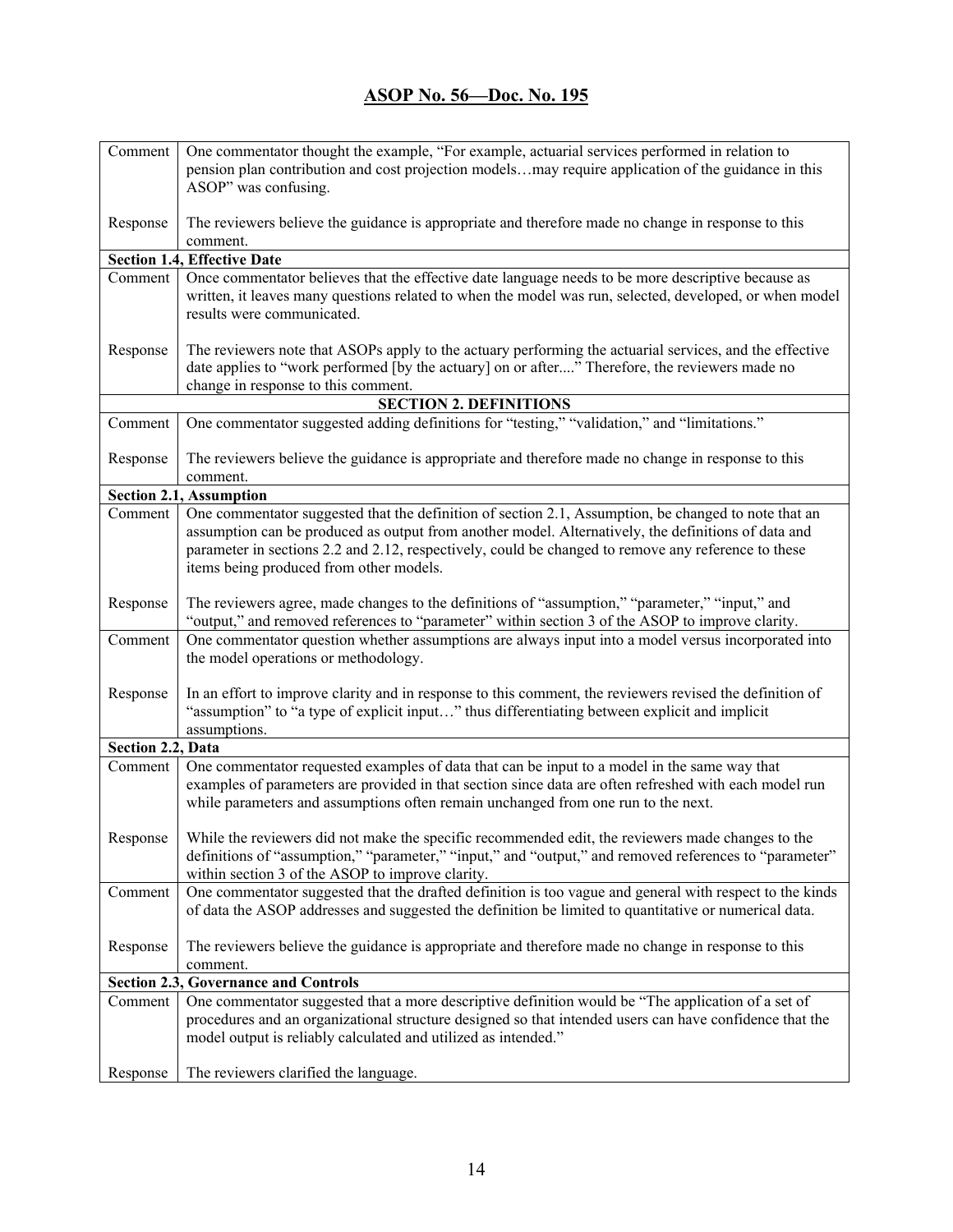| Comment                                     | One commentator thought the example, "For example, actuarial services performed in relation to                                                                                              |  |
|---------------------------------------------|---------------------------------------------------------------------------------------------------------------------------------------------------------------------------------------------|--|
|                                             | pension plan contribution and cost projection modelsmay require application of the guidance in this                                                                                         |  |
|                                             | ASOP" was confusing.                                                                                                                                                                        |  |
| Response                                    | The reviewers believe the guidance is appropriate and therefore made no change in response to this                                                                                          |  |
|                                             | comment.                                                                                                                                                                                    |  |
|                                             | <b>Section 1.4, Effective Date</b>                                                                                                                                                          |  |
| Comment                                     | Once commentator believes that the effective date language needs to be more descriptive because as                                                                                          |  |
|                                             | written, it leaves many questions related to when the model was run, selected, developed, or when model                                                                                     |  |
|                                             | results were communicated.                                                                                                                                                                  |  |
| Response                                    | The reviewers note that ASOPs apply to the actuary performing the actuarial services, and the effective                                                                                     |  |
|                                             | date applies to "work performed [by the actuary] on or after" Therefore, the reviewers made no                                                                                              |  |
|                                             | change in response to this comment.                                                                                                                                                         |  |
|                                             | <b>SECTION 2. DEFINITIONS</b>                                                                                                                                                               |  |
| Comment                                     | One commentator suggested adding definitions for "testing," "validation," and "limitations."                                                                                                |  |
| Response                                    | The reviewers believe the guidance is appropriate and therefore made no change in response to this                                                                                          |  |
|                                             | comment.                                                                                                                                                                                    |  |
|                                             | <b>Section 2.1, Assumption</b>                                                                                                                                                              |  |
| Comment                                     | One commentator suggested that the definition of section 2.1, Assumption, be changed to note that an                                                                                        |  |
|                                             | assumption can be produced as output from another model. Alternatively, the definitions of data and                                                                                         |  |
|                                             | parameter in sections 2.2 and 2.12, respectively, could be changed to remove any reference to these                                                                                         |  |
|                                             | items being produced from other models.                                                                                                                                                     |  |
| Response                                    | The reviewers agree, made changes to the definitions of "assumption," "parameter," "input," and                                                                                             |  |
|                                             | "output," and removed references to "parameter" within section 3 of the ASOP to improve clarity.                                                                                            |  |
| Comment                                     | One commentator question whether assumptions are always input into a model versus incorporated into                                                                                         |  |
|                                             | the model operations or methodology.                                                                                                                                                        |  |
| Response                                    | In an effort to improve clarity and in response to this comment, the reviewers revised the definition of                                                                                    |  |
|                                             | "assumption" to "a type of explicit input" thus differentiating between explicit and implicit                                                                                               |  |
|                                             | assumptions.                                                                                                                                                                                |  |
| Section 2.2, Data                           |                                                                                                                                                                                             |  |
| Comment                                     | One commentator requested examples of data that can be input to a model in the same way that                                                                                                |  |
|                                             | examples of parameters are provided in that section since data are often refreshed with each model run<br>while parameters and assumptions often remain unchanged from one run to the next. |  |
|                                             |                                                                                                                                                                                             |  |
|                                             | Response   While the reviewers did not make the specific recommended edit, the reviewers made changes to the                                                                                |  |
|                                             | definitions of "assumption," "parameter," "input," and "output," and removed references to "parameter"                                                                                      |  |
|                                             | within section 3 of the ASOP to improve clarity.                                                                                                                                            |  |
| Comment                                     | One commentator suggested that the drafted definition is too vague and general with respect to the kinds                                                                                    |  |
|                                             | of data the ASOP addresses and suggested the definition be limited to quantitative or numerical data.                                                                                       |  |
| Response                                    | The reviewers believe the guidance is appropriate and therefore made no change in response to this                                                                                          |  |
|                                             | comment.                                                                                                                                                                                    |  |
| <b>Section 2.3, Governance and Controls</b> |                                                                                                                                                                                             |  |
| Comment                                     | One commentator suggested that a more descriptive definition would be "The application of a set of                                                                                          |  |
|                                             | procedures and an organizational structure designed so that intended users can have confidence that the                                                                                     |  |
|                                             | model output is reliably calculated and utilized as intended."                                                                                                                              |  |
| Response                                    | The reviewers clarified the language.                                                                                                                                                       |  |
|                                             |                                                                                                                                                                                             |  |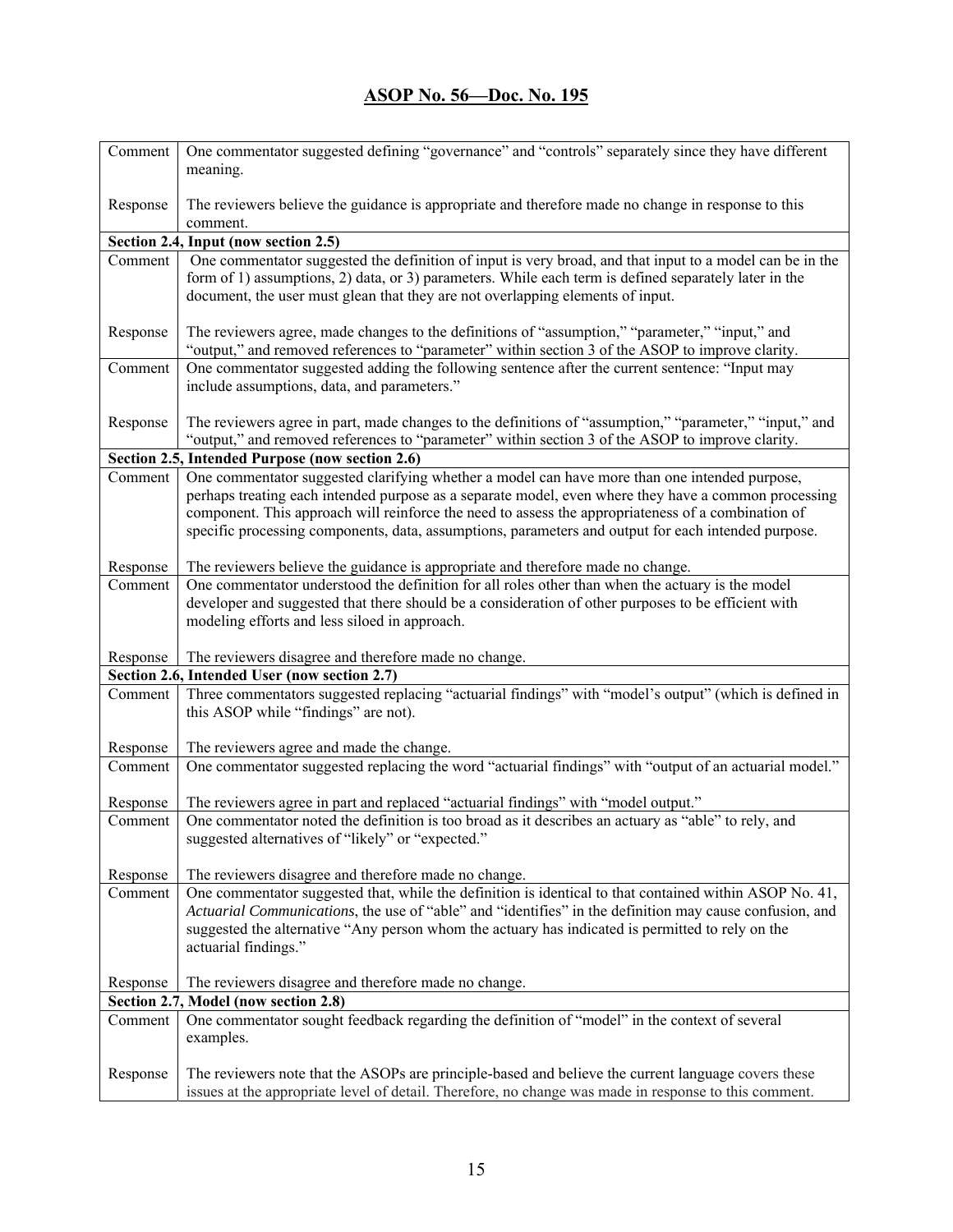| Comment             | One commentator suggested defining "governance" and "controls" separately since they have different<br>meaning.                                                                                              |
|---------------------|--------------------------------------------------------------------------------------------------------------------------------------------------------------------------------------------------------------|
| Response            | The reviewers believe the guidance is appropriate and therefore made no change in response to this<br>comment.                                                                                               |
|                     | Section 2.4, Input (now section 2.5)                                                                                                                                                                         |
| Comment             | One commentator suggested the definition of input is very broad, and that input to a model can be in the                                                                                                     |
|                     | form of 1) assumptions, 2) data, or 3) parameters. While each term is defined separately later in the<br>document, the user must glean that they are not overlapping elements of input.                      |
| Response            | The reviewers agree, made changes to the definitions of "assumption," "parameter," "input," and<br>"output," and removed references to "parameter" within section 3 of the ASOP to improve clarity.          |
| Comment             | One commentator suggested adding the following sentence after the current sentence: "Input may<br>include assumptions, data, and parameters."                                                                |
| Response            | The reviewers agree in part, made changes to the definitions of "assumption," "parameter," "input," and<br>"output," and removed references to "parameter" within section 3 of the ASOP to improve clarity.  |
|                     | Section 2.5, Intended Purpose (now section 2.6)                                                                                                                                                              |
| Comment             | One commentator suggested clarifying whether a model can have more than one intended purpose,                                                                                                                |
|                     | perhaps treating each intended purpose as a separate model, even where they have a common processing                                                                                                         |
|                     | component. This approach will reinforce the need to assess the appropriateness of a combination of                                                                                                           |
|                     | specific processing components, data, assumptions, parameters and output for each intended purpose.                                                                                                          |
| Response            | The reviewers believe the guidance is appropriate and therefore made no change.                                                                                                                              |
| Comment             | One commentator understood the definition for all roles other than when the actuary is the model                                                                                                             |
|                     | developer and suggested that there should be a consideration of other purposes to be efficient with                                                                                                          |
|                     | modeling efforts and less siloed in approach.                                                                                                                                                                |
| Response            | The reviewers disagree and therefore made no change.                                                                                                                                                         |
|                     | Section 2.6, Intended User (now section 2.7)                                                                                                                                                                 |
| Comment             | Three commentators suggested replacing "actuarial findings" with "model's output" (which is defined in<br>this ASOP while "findings" are not).                                                               |
| Response            | The reviewers agree and made the change.                                                                                                                                                                     |
| Comment             | One commentator suggested replacing the word "actuarial findings" with "output of an actuarial model."                                                                                                       |
|                     | The reviewers agree in part and replaced "actuarial findings" with "model output."                                                                                                                           |
| Response<br>Comment | One commentator noted the definition is too broad as it describes an actuary as "able" to rely, and                                                                                                          |
|                     | suggested alternatives of "likely" or "expected."                                                                                                                                                            |
| Response            | The reviewers disagree and therefore made no change.                                                                                                                                                         |
| Comment             | One commentator suggested that, while the definition is identical to that contained within ASOP No. 41,                                                                                                      |
|                     | Actuarial Communications, the use of "able" and "identifies" in the definition may cause confusion, and                                                                                                      |
|                     | suggested the alternative "Any person whom the actuary has indicated is permitted to rely on the<br>actuarial findings."                                                                                     |
| Response            | The reviewers disagree and therefore made no change.                                                                                                                                                         |
|                     | Section 2.7, Model (now section 2.8)                                                                                                                                                                         |
| Comment             | One commentator sought feedback regarding the definition of "model" in the context of several<br>examples.                                                                                                   |
| Response            | The reviewers note that the ASOPs are principle-based and believe the current language covers these<br>issues at the appropriate level of detail. Therefore, no change was made in response to this comment. |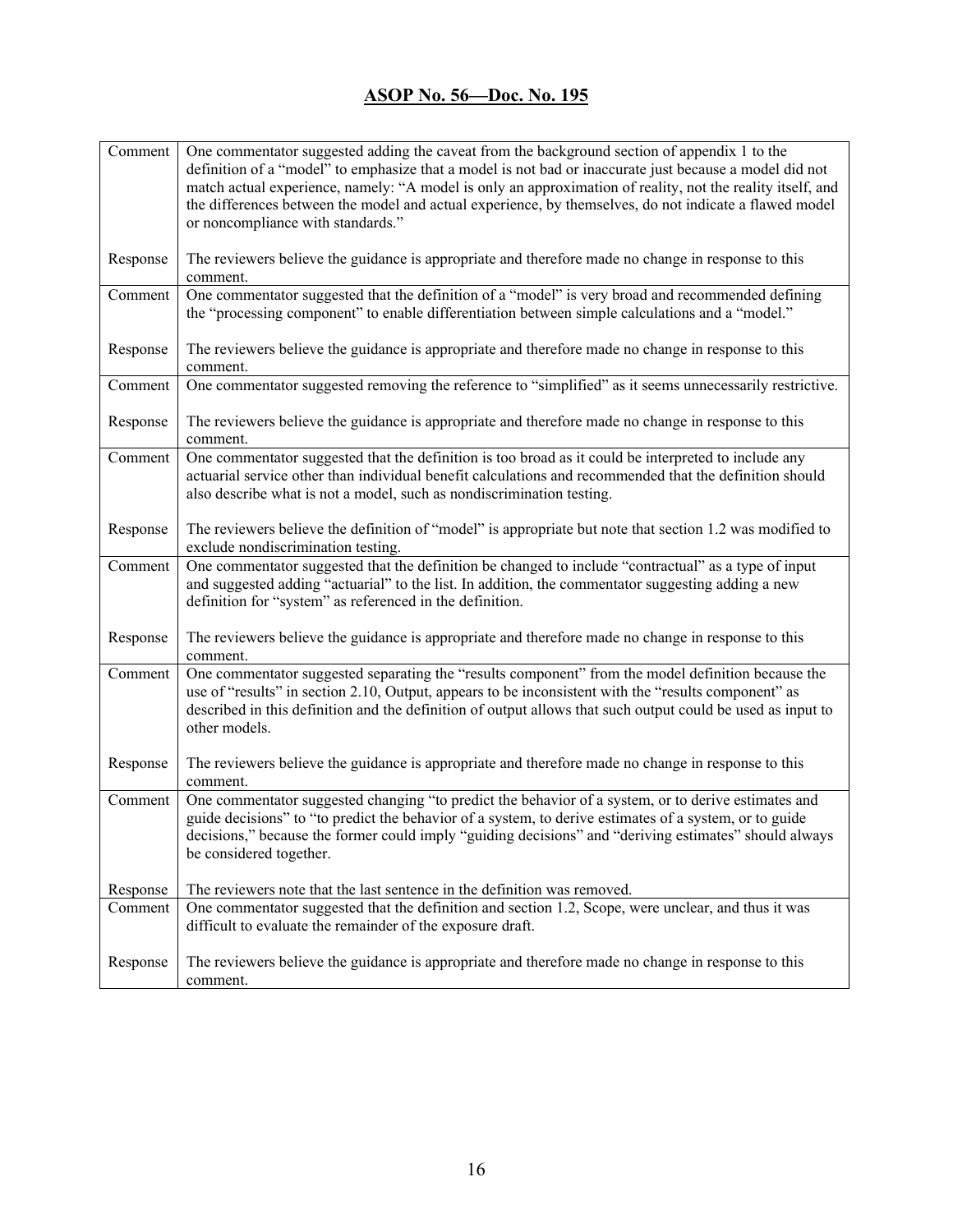| Comment  | One commentator suggested adding the caveat from the background section of appendix 1 to the                                                                   |
|----------|----------------------------------------------------------------------------------------------------------------------------------------------------------------|
|          | definition of a "model" to emphasize that a model is not bad or inaccurate just because a model did not                                                        |
|          | match actual experience, namely: "A model is only an approximation of reality, not the reality itself, and                                                     |
|          | the differences between the model and actual experience, by themselves, do not indicate a flawed model                                                         |
|          | or noncompliance with standards."                                                                                                                              |
| Response | The reviewers believe the guidance is appropriate and therefore made no change in response to this<br>comment.                                                 |
| Comment  | One commentator suggested that the definition of a "model" is very broad and recommended defining                                                              |
|          | the "processing component" to enable differentiation between simple calculations and a "model."                                                                |
| Response | The reviewers believe the guidance is appropriate and therefore made no change in response to this                                                             |
|          | comment.                                                                                                                                                       |
| Comment  | One commentator suggested removing the reference to "simplified" as it seems unnecessarily restrictive.                                                        |
| Response | The reviewers believe the guidance is appropriate and therefore made no change in response to this<br>comment.                                                 |
| Comment  | One commentator suggested that the definition is too broad as it could be interpreted to include any                                                           |
|          | actuarial service other than individual benefit calculations and recommended that the definition should                                                        |
|          | also describe what is not a model, such as nondiscrimination testing.                                                                                          |
| Response | The reviewers believe the definition of "model" is appropriate but note that section 1.2 was modified to                                                       |
|          | exclude nondiscrimination testing.                                                                                                                             |
| Comment  | One commentator suggested that the definition be changed to include "contractual" as a type of input                                                           |
|          | and suggested adding "actuarial" to the list. In addition, the commentator suggesting adding a new<br>definition for "system" as referenced in the definition. |
|          |                                                                                                                                                                |
| Response | The reviewers believe the guidance is appropriate and therefore made no change in response to this                                                             |
|          | comment.                                                                                                                                                       |
| Comment  | One commentator suggested separating the "results component" from the model definition because the                                                             |
|          | use of "results" in section 2.10, Output, appears to be inconsistent with the "results component" as                                                           |
|          | described in this definition and the definition of output allows that such output could be used as input to<br>other models.                                   |
|          |                                                                                                                                                                |
| Response | The reviewers believe the guidance is appropriate and therefore made no change in response to this                                                             |
|          | comment.                                                                                                                                                       |
| Comment  | One commentator suggested changing "to predict the behavior of a system, or to derive estimates and                                                            |
|          | guide decisions" to "to predict the behavior of a system, to derive estimates of a system, or to guide                                                         |
|          | decisions," because the former could imply "guiding decisions" and "deriving estimates" should always                                                          |
|          | be considered together.                                                                                                                                        |
| Response | The reviewers note that the last sentence in the definition was removed.                                                                                       |
| Comment  | One commentator suggested that the definition and section 1.2, Scope, were unclear, and thus it was                                                            |
|          | difficult to evaluate the remainder of the exposure draft.                                                                                                     |
|          |                                                                                                                                                                |
| Response | The reviewers believe the guidance is appropriate and therefore made no change in response to this                                                             |
|          | comment.                                                                                                                                                       |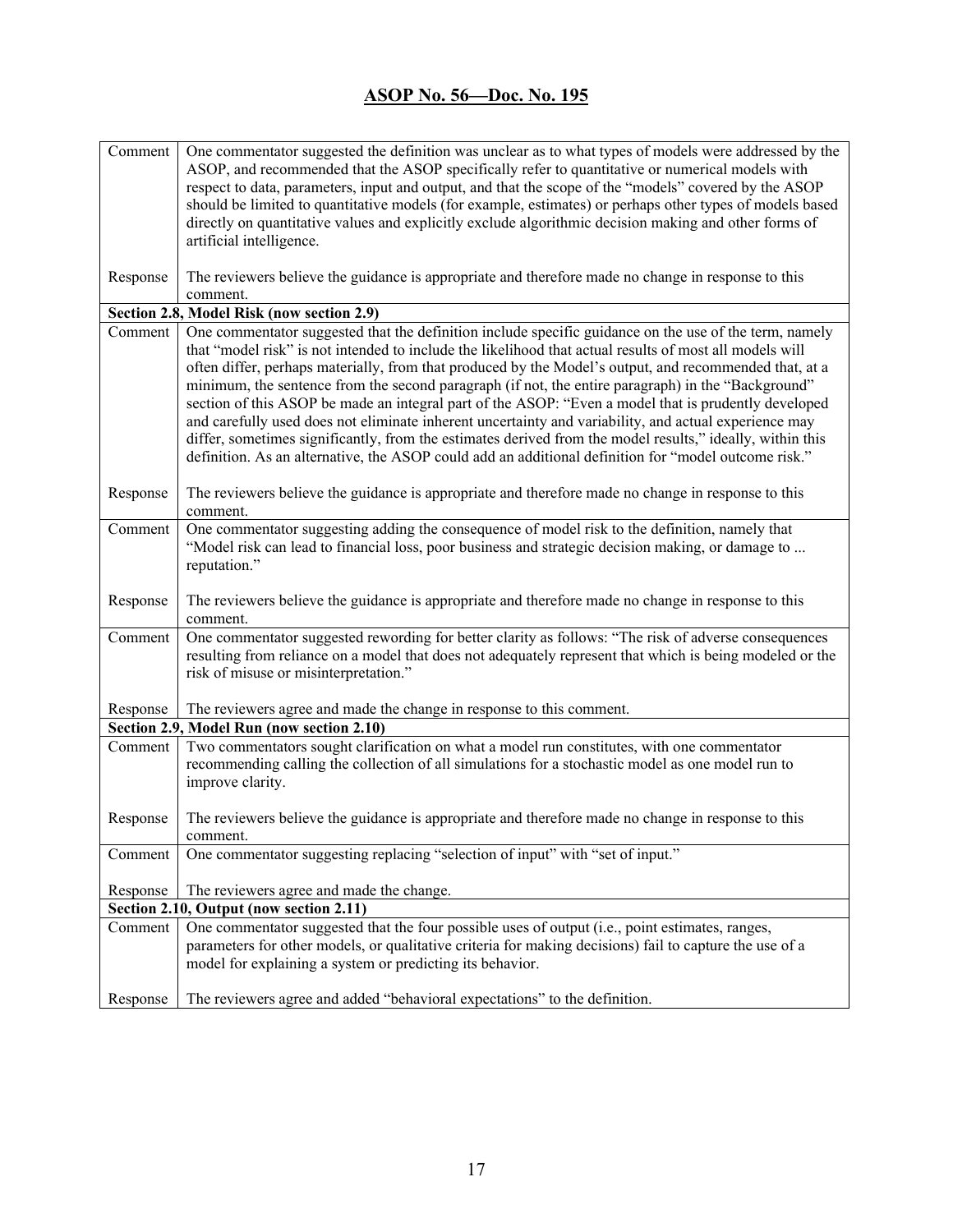| Comment  | One commentator suggested the definition was unclear as to what types of models were addressed by the     |
|----------|-----------------------------------------------------------------------------------------------------------|
|          | ASOP, and recommended that the ASOP specifically refer to quantitative or numerical models with           |
|          | respect to data, parameters, input and output, and that the scope of the "models" covered by the ASOP     |
|          | should be limited to quantitative models (for example, estimates) or perhaps other types of models based  |
|          | directly on quantitative values and explicitly exclude algorithmic decision making and other forms of     |
|          | artificial intelligence.                                                                                  |
|          |                                                                                                           |
| Response | The reviewers believe the guidance is appropriate and therefore made no change in response to this        |
|          | comment.                                                                                                  |
|          | Section 2.8, Model Risk (now section 2.9)                                                                 |
| Comment  | One commentator suggested that the definition include specific guidance on the use of the term, namely    |
|          | that "model risk" is not intended to include the likelihood that actual results of most all models will   |
|          | often differ, perhaps materially, from that produced by the Model's output, and recommended that, at a    |
|          | minimum, the sentence from the second paragraph (if not, the entire paragraph) in the "Background"        |
|          | section of this ASOP be made an integral part of the ASOP: "Even a model that is prudently developed      |
|          | and carefully used does not eliminate inherent uncertainty and variability, and actual experience may     |
|          | differ, sometimes significantly, from the estimates derived from the model results," ideally, within this |
|          | definition. As an alternative, the ASOP could add an additional definition for "model outcome risk."      |
|          |                                                                                                           |
| Response | The reviewers believe the guidance is appropriate and therefore made no change in response to this        |
|          | comment.                                                                                                  |
| Comment  | One commentator suggesting adding the consequence of model risk to the definition, namely that            |
|          | "Model risk can lead to financial loss, poor business and strategic decision making, or damage to         |
|          | reputation."                                                                                              |
|          |                                                                                                           |
| Response | The reviewers believe the guidance is appropriate and therefore made no change in response to this        |
|          | comment.                                                                                                  |
| Comment  | One commentator suggested rewording for better clarity as follows: "The risk of adverse consequences      |
|          | resulting from reliance on a model that does not adequately represent that which is being modeled or the  |
|          | risk of misuse or misinterpretation."                                                                     |
|          |                                                                                                           |
| Response | The reviewers agree and made the change in response to this comment.                                      |
|          | Section 2.9, Model Run (now section 2.10)                                                                 |
| Comment  | Two commentators sought clarification on what a model run constitutes, with one commentator               |
|          | recommending calling the collection of all simulations for a stochastic model as one model run to         |
|          | improve clarity.                                                                                          |
|          |                                                                                                           |
| Response | The reviewers believe the guidance is appropriate and therefore made no change in response to this        |
|          | comment.                                                                                                  |
| Comment  | One commentator suggesting replacing "selection of input" with "set of input."                            |
|          |                                                                                                           |
| Response | The reviewers agree and made the change.                                                                  |
|          | Section 2.10, Output (now section 2.11)                                                                   |
| Comment  | One commentator suggested that the four possible uses of output (i.e., point estimates, ranges,           |
|          | parameters for other models, or qualitative criteria for making decisions) fail to capture the use of a   |
|          | model for explaining a system or predicting its behavior.                                                 |
|          |                                                                                                           |
| Response | The reviewers agree and added "behavioral expectations" to the definition.                                |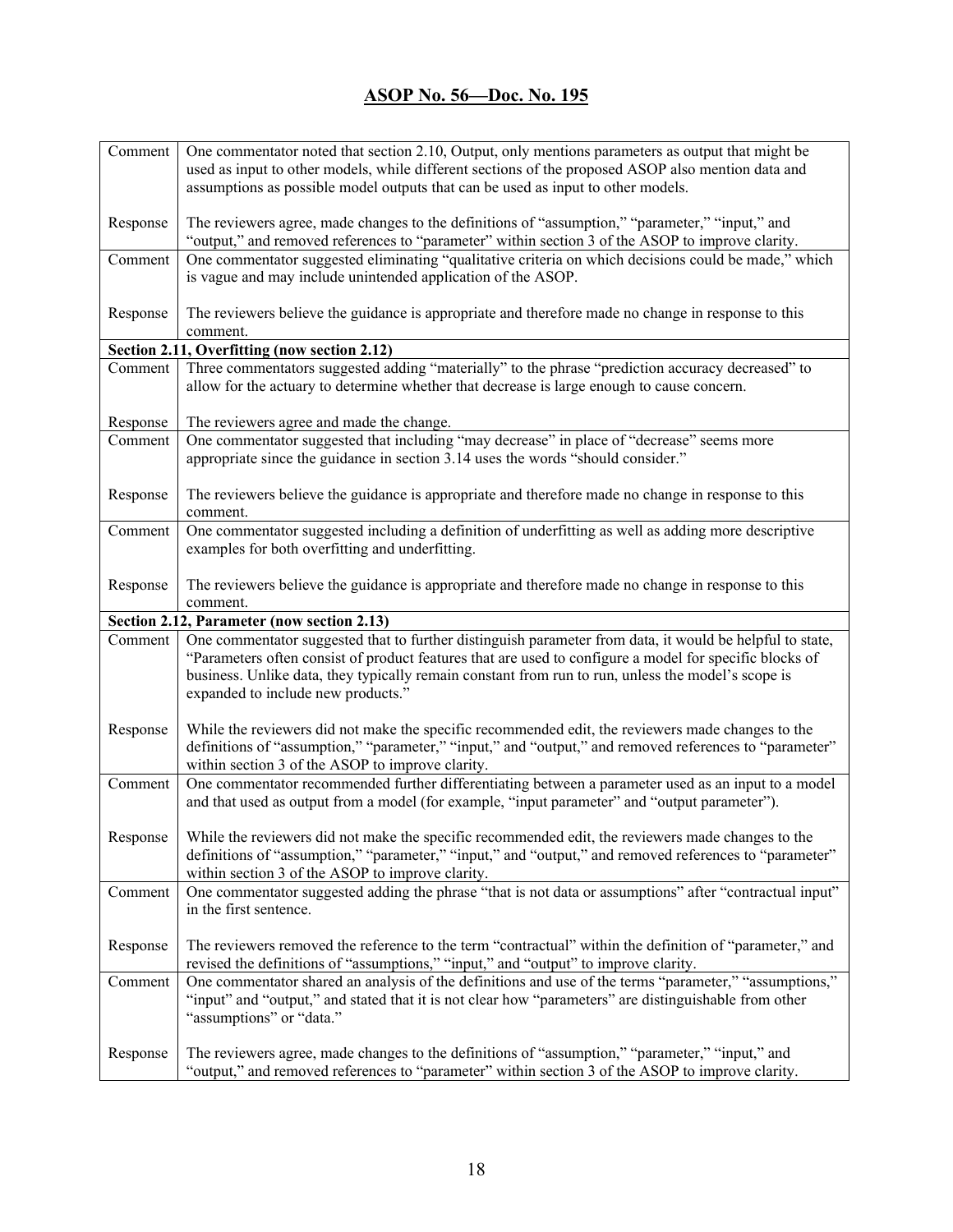| Comment                                    | One commentator noted that section 2.10, Output, only mentions parameters as output that might be                                                                                                   |  |
|--------------------------------------------|-----------------------------------------------------------------------------------------------------------------------------------------------------------------------------------------------------|--|
|                                            | used as input to other models, while different sections of the proposed ASOP also mention data and                                                                                                  |  |
|                                            | assumptions as possible model outputs that can be used as input to other models.                                                                                                                    |  |
|                                            |                                                                                                                                                                                                     |  |
| Response                                   | The reviewers agree, made changes to the definitions of "assumption," "parameter," "input," and                                                                                                     |  |
|                                            | "output," and removed references to "parameter" within section 3 of the ASOP to improve clarity.                                                                                                    |  |
| Comment                                    | One commentator suggested eliminating "qualitative criteria on which decisions could be made," which                                                                                                |  |
|                                            | is vague and may include unintended application of the ASOP.                                                                                                                                        |  |
|                                            |                                                                                                                                                                                                     |  |
| Response                                   | The reviewers believe the guidance is appropriate and therefore made no change in response to this                                                                                                  |  |
|                                            | comment.                                                                                                                                                                                            |  |
|                                            | Section 2.11, Overfitting (now section 2.12)                                                                                                                                                        |  |
| Comment                                    | Three commentators suggested adding "materially" to the phrase "prediction accuracy decreased" to                                                                                                   |  |
|                                            | allow for the actuary to determine whether that decrease is large enough to cause concern.                                                                                                          |  |
|                                            |                                                                                                                                                                                                     |  |
| Response                                   | The reviewers agree and made the change.                                                                                                                                                            |  |
| Comment                                    | One commentator suggested that including "may decrease" in place of "decrease" seems more                                                                                                           |  |
|                                            | appropriate since the guidance in section 3.14 uses the words "should consider."                                                                                                                    |  |
|                                            |                                                                                                                                                                                                     |  |
| Response                                   | The reviewers believe the guidance is appropriate and therefore made no change in response to this                                                                                                  |  |
|                                            | comment.                                                                                                                                                                                            |  |
| Comment                                    | One commentator suggested including a definition of underfitting as well as adding more descriptive                                                                                                 |  |
|                                            | examples for both overfitting and underfitting.                                                                                                                                                     |  |
|                                            |                                                                                                                                                                                                     |  |
| Response                                   | The reviewers believe the guidance is appropriate and therefore made no change in response to this                                                                                                  |  |
|                                            | comment.                                                                                                                                                                                            |  |
| Section 2.12, Parameter (now section 2.13) |                                                                                                                                                                                                     |  |
|                                            |                                                                                                                                                                                                     |  |
| Comment                                    | One commentator suggested that to further distinguish parameter from data, it would be helpful to state,                                                                                            |  |
|                                            | "Parameters often consist of product features that are used to configure a model for specific blocks of                                                                                             |  |
|                                            | business. Unlike data, they typically remain constant from run to run, unless the model's scope is                                                                                                  |  |
|                                            | expanded to include new products."                                                                                                                                                                  |  |
|                                            |                                                                                                                                                                                                     |  |
| Response                                   | While the reviewers did not make the specific recommended edit, the reviewers made changes to the                                                                                                   |  |
|                                            | definitions of "assumption," "parameter," "input," and "output," and removed references to "parameter"                                                                                              |  |
|                                            | within section 3 of the ASOP to improve clarity.                                                                                                                                                    |  |
| Comment                                    | One commentator recommended further differentiating between a parameter used as an input to a model                                                                                                 |  |
|                                            | and that used as output from a model (for example, "input parameter" and "output parameter").                                                                                                       |  |
|                                            |                                                                                                                                                                                                     |  |
| Response                                   | While the reviewers did not make the specific recommended edit, the reviewers made changes to the                                                                                                   |  |
|                                            | definitions of "assumption," "parameter," "input," and "output," and removed references to "parameter"                                                                                              |  |
|                                            | within section 3 of the ASOP to improve clarity.                                                                                                                                                    |  |
| Comment                                    | One commentator suggested adding the phrase "that is not data or assumptions" after "contractual input"                                                                                             |  |
|                                            | in the first sentence.                                                                                                                                                                              |  |
|                                            |                                                                                                                                                                                                     |  |
| Response                                   | The reviewers removed the reference to the term "contractual" within the definition of "parameter," and                                                                                             |  |
|                                            | revised the definitions of "assumptions," "input," and "output" to improve clarity.                                                                                                                 |  |
| Comment                                    | One commentator shared an analysis of the definitions and use of the terms "parameter," "assumptions,"                                                                                              |  |
|                                            | "input" and "output," and stated that it is not clear how "parameters" are distinguishable from other                                                                                               |  |
|                                            | "assumptions" or "data."                                                                                                                                                                            |  |
|                                            |                                                                                                                                                                                                     |  |
| Response                                   | The reviewers agree, made changes to the definitions of "assumption," "parameter," "input," and<br>"output," and removed references to "parameter" within section 3 of the ASOP to improve clarity. |  |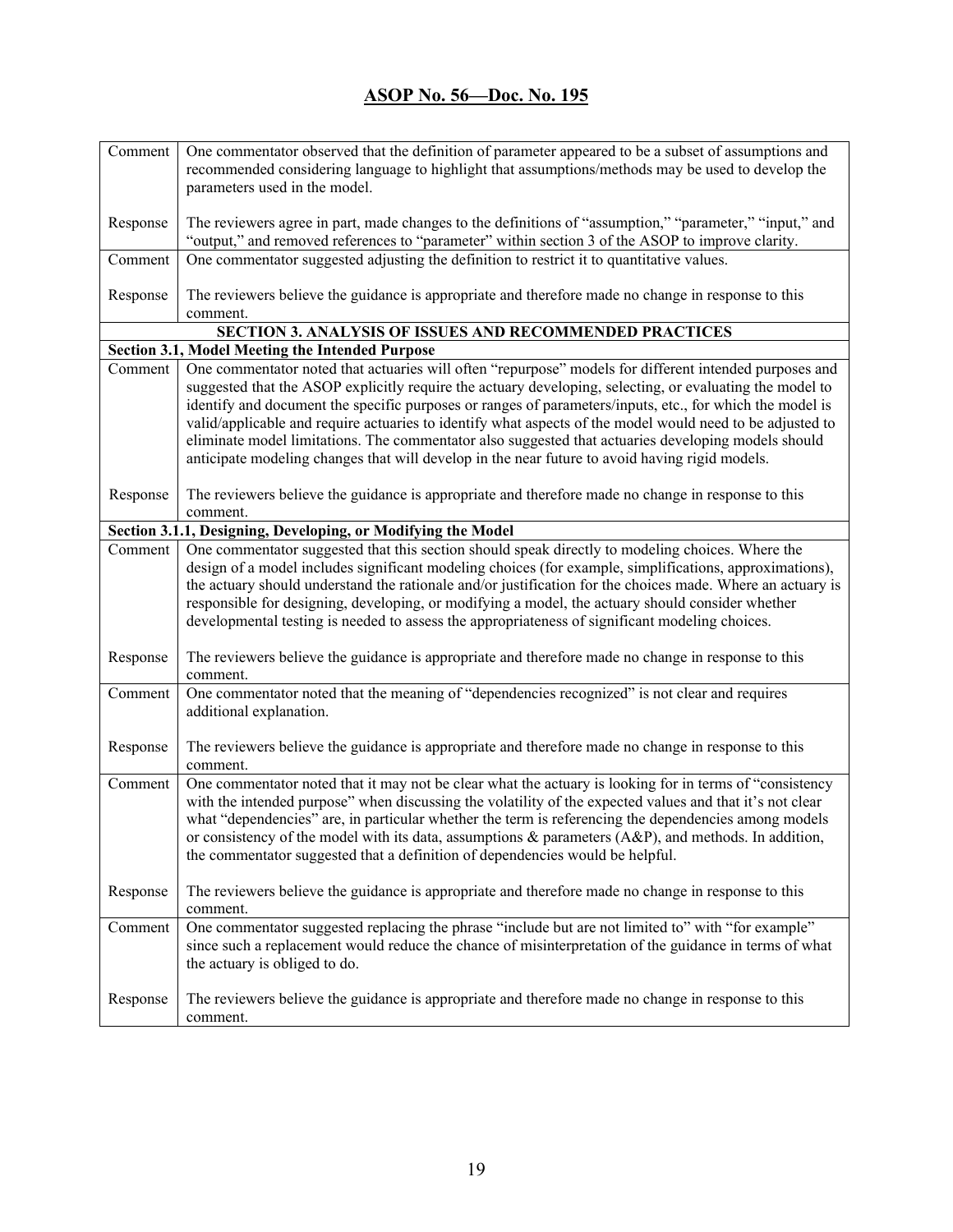| Comment  | One commentator observed that the definition of parameter appeared to be a subset of assumptions and                                                                                                           |
|----------|----------------------------------------------------------------------------------------------------------------------------------------------------------------------------------------------------------------|
|          | recommended considering language to highlight that assumptions/methods may be used to develop the                                                                                                              |
|          | parameters used in the model.                                                                                                                                                                                  |
|          |                                                                                                                                                                                                                |
| Response | The reviewers agree in part, made changes to the definitions of "assumption," "parameter," "input," and                                                                                                        |
|          | "output," and removed references to "parameter" within section 3 of the ASOP to improve clarity.                                                                                                               |
| Comment  | One commentator suggested adjusting the definition to restrict it to quantitative values.                                                                                                                      |
|          |                                                                                                                                                                                                                |
| Response | The reviewers believe the guidance is appropriate and therefore made no change in response to this                                                                                                             |
|          | comment.                                                                                                                                                                                                       |
|          | SECTION 3. ANALYSIS OF ISSUES AND RECOMMENDED PRACTICES                                                                                                                                                        |
|          | Section 3.1, Model Meeting the Intended Purpose                                                                                                                                                                |
| Comment  | One commentator noted that actuaries will often "repurpose" models for different intended purposes and                                                                                                         |
|          | suggested that the ASOP explicitly require the actuary developing, selecting, or evaluating the model to                                                                                                       |
|          | identify and document the specific purposes or ranges of parameters/inputs, etc., for which the model is                                                                                                       |
|          | valid/applicable and require actuaries to identify what aspects of the model would need to be adjusted to                                                                                                      |
|          | eliminate model limitations. The commentator also suggested that actuaries developing models should                                                                                                            |
|          | anticipate modeling changes that will develop in the near future to avoid having rigid models.                                                                                                                 |
|          |                                                                                                                                                                                                                |
| Response | The reviewers believe the guidance is appropriate and therefore made no change in response to this                                                                                                             |
|          | comment.                                                                                                                                                                                                       |
|          | Section 3.1.1, Designing, Developing, or Modifying the Model                                                                                                                                                   |
| Comment  | One commentator suggested that this section should speak directly to modeling choices. Where the                                                                                                               |
|          | design of a model includes significant modeling choices (for example, simplifications, approximations),                                                                                                        |
|          | the actuary should understand the rationale and/or justification for the choices made. Where an actuary is<br>responsible for designing, developing, or modifying a model, the actuary should consider whether |
|          | developmental testing is needed to assess the appropriateness of significant modeling choices.                                                                                                                 |
|          |                                                                                                                                                                                                                |
| Response | The reviewers believe the guidance is appropriate and therefore made no change in response to this                                                                                                             |
|          | comment.                                                                                                                                                                                                       |
| Comment  | One commentator noted that the meaning of "dependencies recognized" is not clear and requires                                                                                                                  |
|          | additional explanation.                                                                                                                                                                                        |
|          |                                                                                                                                                                                                                |
| Response | The reviewers believe the guidance is appropriate and therefore made no change in response to this                                                                                                             |
|          | comment.                                                                                                                                                                                                       |
| Comment  | One commentator noted that it may not be clear what the actuary is looking for in terms of "consistency"                                                                                                       |
|          | with the intended purpose" when discussing the volatility of the expected values and that it's not clear                                                                                                       |
|          | what "dependencies" are, in particular whether the term is referencing the dependencies among models                                                                                                           |
|          | or consistency of the model with its data, assumptions $\&$ parameters (A&P), and methods. In addition,                                                                                                        |
|          | the commentator suggested that a definition of dependencies would be helpful.                                                                                                                                  |
|          |                                                                                                                                                                                                                |
| Response | The reviewers believe the guidance is appropriate and therefore made no change in response to this                                                                                                             |
|          | comment.                                                                                                                                                                                                       |
| Comment  | One commentator suggested replacing the phrase "include but are not limited to" with "for example"                                                                                                             |
|          | since such a replacement would reduce the chance of misinterpretation of the guidance in terms of what                                                                                                         |
|          | the actuary is obliged to do.                                                                                                                                                                                  |
|          |                                                                                                                                                                                                                |
| Response | The reviewers believe the guidance is appropriate and therefore made no change in response to this                                                                                                             |
|          | comment.                                                                                                                                                                                                       |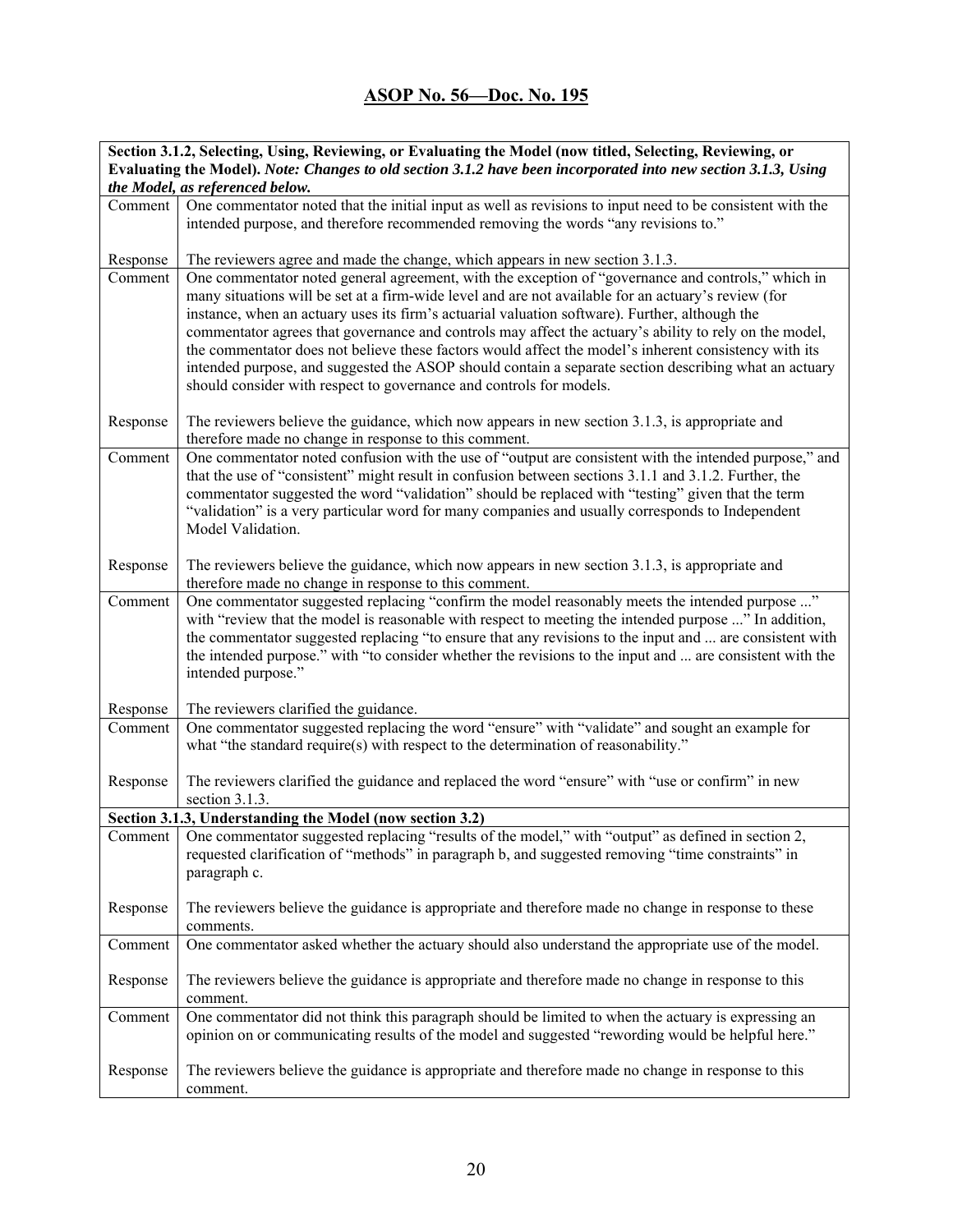| the Model, as referenced below.<br>One commentator noted that the initial input as well as revisions to input need to be consistent with the<br>Comment<br>intended purpose, and therefore recommended removing the words "any revisions to."<br>Response<br>The reviewers agree and made the change, which appears in new section 3.1.3.<br>One commentator noted general agreement, with the exception of "governance and controls," which in<br>Comment<br>many situations will be set at a firm-wide level and are not available for an actuary's review (for<br>instance, when an actuary uses its firm's actuarial valuation software). Further, although the<br>commentator agrees that governance and controls may affect the actuary's ability to rely on the model,<br>the commentator does not believe these factors would affect the model's inherent consistency with its<br>intended purpose, and suggested the ASOP should contain a separate section describing what an actuary<br>should consider with respect to governance and controls for models.<br>The reviewers believe the guidance, which now appears in new section 3.1.3, is appropriate and<br>Response<br>therefore made no change in response to this comment.<br>One commentator noted confusion with the use of "output are consistent with the intended purpose," and<br>Comment<br>that the use of "consistent" might result in confusion between sections 3.1.1 and 3.1.2. Further, the<br>commentator suggested the word "validation" should be replaced with "testing" given that the term<br>"validation" is a very particular word for many companies and usually corresponds to Independent<br>Model Validation.<br>The reviewers believe the guidance, which now appears in new section 3.1.3, is appropriate and<br>Response<br>therefore made no change in response to this comment.<br>One commentator suggested replacing "confirm the model reasonably meets the intended purpose "<br>Comment<br>with "review that the model is reasonable with respect to meeting the intended purpose " In addition,<br>the commentator suggested replacing "to ensure that any revisions to the input and  are consistent with<br>the intended purpose." with "to consider whether the revisions to the input and  are consistent with the<br>intended purpose."<br>The reviewers clarified the guidance.<br>Response<br>One commentator suggested replacing the word "ensure" with "validate" and sought an example for<br>Comment<br>what "the standard require(s) with respect to the determination of reasonability."<br>The reviewers clarified the guidance and replaced the word "ensure" with "use or confirm" in new<br>Response<br>section 3.1.3.<br>Section 3.1.3, Understanding the Model (now section 3.2)<br>Comment   One commentator suggested replacing "results of the model," with "output" as defined in section 2.<br>requested clarification of "methods" in paragraph b, and suggested removing "time constraints" in<br>paragraph c.<br>The reviewers believe the guidance is appropriate and therefore made no change in response to these<br>Response<br>comments.<br>One commentator asked whether the actuary should also understand the appropriate use of the model.<br>Comment<br>The reviewers believe the guidance is appropriate and therefore made no change in response to this<br>Response<br>comment.<br>One commentator did not think this paragraph should be limited to when the actuary is expressing an<br>Comment<br>opinion on or communicating results of the model and suggested "rewording would be helpful here."<br>The reviewers believe the guidance is appropriate and therefore made no change in response to this<br>Response<br>comment. | Section 3.1.2, Selecting, Using, Reviewing, or Evaluating the Model (now titled, Selecting, Reviewing, or      |  |  |
|-------------------------------------------------------------------------------------------------------------------------------------------------------------------------------------------------------------------------------------------------------------------------------------------------------------------------------------------------------------------------------------------------------------------------------------------------------------------------------------------------------------------------------------------------------------------------------------------------------------------------------------------------------------------------------------------------------------------------------------------------------------------------------------------------------------------------------------------------------------------------------------------------------------------------------------------------------------------------------------------------------------------------------------------------------------------------------------------------------------------------------------------------------------------------------------------------------------------------------------------------------------------------------------------------------------------------------------------------------------------------------------------------------------------------------------------------------------------------------------------------------------------------------------------------------------------------------------------------------------------------------------------------------------------------------------------------------------------------------------------------------------------------------------------------------------------------------------------------------------------------------------------------------------------------------------------------------------------------------------------------------------------------------------------------------------------------------------------------------------------------------------------------------------------------------------------------------------------------------------------------------------------------------------------------------------------------------------------------------------------------------------------------------------------------------------------------------------------------------------------------------------------------------------------------------------------------------------------------------------------------------------------------------------------------------------------------------------------------------------------------------------------------------------------------------------------------------------------------------------------------------------------------------------------------------------------------------------------------------------------------------------------------------------------------------------------------------------------------------------------------------------------------------------------------------------------------------------------------------------------------------------------------------------------------------------------------------------------------------------------------------------------------------------------------------------------------------------------------------------------------------------------------------------------------------------------------------------------------------------------------------------------------------------------------------------------------------------------------------------------------------------------------------------|----------------------------------------------------------------------------------------------------------------|--|--|
|                                                                                                                                                                                                                                                                                                                                                                                                                                                                                                                                                                                                                                                                                                                                                                                                                                                                                                                                                                                                                                                                                                                                                                                                                                                                                                                                                                                                                                                                                                                                                                                                                                                                                                                                                                                                                                                                                                                                                                                                                                                                                                                                                                                                                                                                                                                                                                                                                                                                                                                                                                                                                                                                                                                                                                                                                                                                                                                                                                                                                                                                                                                                                                                                                                                                                                                                                                                                                                                                                                                                                                                                                                                                                                                                                                                     | Evaluating the Model). Note: Changes to old section 3.1.2 have been incorporated into new section 3.1.3, Using |  |  |
|                                                                                                                                                                                                                                                                                                                                                                                                                                                                                                                                                                                                                                                                                                                                                                                                                                                                                                                                                                                                                                                                                                                                                                                                                                                                                                                                                                                                                                                                                                                                                                                                                                                                                                                                                                                                                                                                                                                                                                                                                                                                                                                                                                                                                                                                                                                                                                                                                                                                                                                                                                                                                                                                                                                                                                                                                                                                                                                                                                                                                                                                                                                                                                                                                                                                                                                                                                                                                                                                                                                                                                                                                                                                                                                                                                                     |                                                                                                                |  |  |
|                                                                                                                                                                                                                                                                                                                                                                                                                                                                                                                                                                                                                                                                                                                                                                                                                                                                                                                                                                                                                                                                                                                                                                                                                                                                                                                                                                                                                                                                                                                                                                                                                                                                                                                                                                                                                                                                                                                                                                                                                                                                                                                                                                                                                                                                                                                                                                                                                                                                                                                                                                                                                                                                                                                                                                                                                                                                                                                                                                                                                                                                                                                                                                                                                                                                                                                                                                                                                                                                                                                                                                                                                                                                                                                                                                                     |                                                                                                                |  |  |
|                                                                                                                                                                                                                                                                                                                                                                                                                                                                                                                                                                                                                                                                                                                                                                                                                                                                                                                                                                                                                                                                                                                                                                                                                                                                                                                                                                                                                                                                                                                                                                                                                                                                                                                                                                                                                                                                                                                                                                                                                                                                                                                                                                                                                                                                                                                                                                                                                                                                                                                                                                                                                                                                                                                                                                                                                                                                                                                                                                                                                                                                                                                                                                                                                                                                                                                                                                                                                                                                                                                                                                                                                                                                                                                                                                                     |                                                                                                                |  |  |
|                                                                                                                                                                                                                                                                                                                                                                                                                                                                                                                                                                                                                                                                                                                                                                                                                                                                                                                                                                                                                                                                                                                                                                                                                                                                                                                                                                                                                                                                                                                                                                                                                                                                                                                                                                                                                                                                                                                                                                                                                                                                                                                                                                                                                                                                                                                                                                                                                                                                                                                                                                                                                                                                                                                                                                                                                                                                                                                                                                                                                                                                                                                                                                                                                                                                                                                                                                                                                                                                                                                                                                                                                                                                                                                                                                                     |                                                                                                                |  |  |
|                                                                                                                                                                                                                                                                                                                                                                                                                                                                                                                                                                                                                                                                                                                                                                                                                                                                                                                                                                                                                                                                                                                                                                                                                                                                                                                                                                                                                                                                                                                                                                                                                                                                                                                                                                                                                                                                                                                                                                                                                                                                                                                                                                                                                                                                                                                                                                                                                                                                                                                                                                                                                                                                                                                                                                                                                                                                                                                                                                                                                                                                                                                                                                                                                                                                                                                                                                                                                                                                                                                                                                                                                                                                                                                                                                                     |                                                                                                                |  |  |
|                                                                                                                                                                                                                                                                                                                                                                                                                                                                                                                                                                                                                                                                                                                                                                                                                                                                                                                                                                                                                                                                                                                                                                                                                                                                                                                                                                                                                                                                                                                                                                                                                                                                                                                                                                                                                                                                                                                                                                                                                                                                                                                                                                                                                                                                                                                                                                                                                                                                                                                                                                                                                                                                                                                                                                                                                                                                                                                                                                                                                                                                                                                                                                                                                                                                                                                                                                                                                                                                                                                                                                                                                                                                                                                                                                                     |                                                                                                                |  |  |
|                                                                                                                                                                                                                                                                                                                                                                                                                                                                                                                                                                                                                                                                                                                                                                                                                                                                                                                                                                                                                                                                                                                                                                                                                                                                                                                                                                                                                                                                                                                                                                                                                                                                                                                                                                                                                                                                                                                                                                                                                                                                                                                                                                                                                                                                                                                                                                                                                                                                                                                                                                                                                                                                                                                                                                                                                                                                                                                                                                                                                                                                                                                                                                                                                                                                                                                                                                                                                                                                                                                                                                                                                                                                                                                                                                                     |                                                                                                                |  |  |
|                                                                                                                                                                                                                                                                                                                                                                                                                                                                                                                                                                                                                                                                                                                                                                                                                                                                                                                                                                                                                                                                                                                                                                                                                                                                                                                                                                                                                                                                                                                                                                                                                                                                                                                                                                                                                                                                                                                                                                                                                                                                                                                                                                                                                                                                                                                                                                                                                                                                                                                                                                                                                                                                                                                                                                                                                                                                                                                                                                                                                                                                                                                                                                                                                                                                                                                                                                                                                                                                                                                                                                                                                                                                                                                                                                                     |                                                                                                                |  |  |
|                                                                                                                                                                                                                                                                                                                                                                                                                                                                                                                                                                                                                                                                                                                                                                                                                                                                                                                                                                                                                                                                                                                                                                                                                                                                                                                                                                                                                                                                                                                                                                                                                                                                                                                                                                                                                                                                                                                                                                                                                                                                                                                                                                                                                                                                                                                                                                                                                                                                                                                                                                                                                                                                                                                                                                                                                                                                                                                                                                                                                                                                                                                                                                                                                                                                                                                                                                                                                                                                                                                                                                                                                                                                                                                                                                                     |                                                                                                                |  |  |
|                                                                                                                                                                                                                                                                                                                                                                                                                                                                                                                                                                                                                                                                                                                                                                                                                                                                                                                                                                                                                                                                                                                                                                                                                                                                                                                                                                                                                                                                                                                                                                                                                                                                                                                                                                                                                                                                                                                                                                                                                                                                                                                                                                                                                                                                                                                                                                                                                                                                                                                                                                                                                                                                                                                                                                                                                                                                                                                                                                                                                                                                                                                                                                                                                                                                                                                                                                                                                                                                                                                                                                                                                                                                                                                                                                                     |                                                                                                                |  |  |
|                                                                                                                                                                                                                                                                                                                                                                                                                                                                                                                                                                                                                                                                                                                                                                                                                                                                                                                                                                                                                                                                                                                                                                                                                                                                                                                                                                                                                                                                                                                                                                                                                                                                                                                                                                                                                                                                                                                                                                                                                                                                                                                                                                                                                                                                                                                                                                                                                                                                                                                                                                                                                                                                                                                                                                                                                                                                                                                                                                                                                                                                                                                                                                                                                                                                                                                                                                                                                                                                                                                                                                                                                                                                                                                                                                                     |                                                                                                                |  |  |
|                                                                                                                                                                                                                                                                                                                                                                                                                                                                                                                                                                                                                                                                                                                                                                                                                                                                                                                                                                                                                                                                                                                                                                                                                                                                                                                                                                                                                                                                                                                                                                                                                                                                                                                                                                                                                                                                                                                                                                                                                                                                                                                                                                                                                                                                                                                                                                                                                                                                                                                                                                                                                                                                                                                                                                                                                                                                                                                                                                                                                                                                                                                                                                                                                                                                                                                                                                                                                                                                                                                                                                                                                                                                                                                                                                                     |                                                                                                                |  |  |
|                                                                                                                                                                                                                                                                                                                                                                                                                                                                                                                                                                                                                                                                                                                                                                                                                                                                                                                                                                                                                                                                                                                                                                                                                                                                                                                                                                                                                                                                                                                                                                                                                                                                                                                                                                                                                                                                                                                                                                                                                                                                                                                                                                                                                                                                                                                                                                                                                                                                                                                                                                                                                                                                                                                                                                                                                                                                                                                                                                                                                                                                                                                                                                                                                                                                                                                                                                                                                                                                                                                                                                                                                                                                                                                                                                                     |                                                                                                                |  |  |
|                                                                                                                                                                                                                                                                                                                                                                                                                                                                                                                                                                                                                                                                                                                                                                                                                                                                                                                                                                                                                                                                                                                                                                                                                                                                                                                                                                                                                                                                                                                                                                                                                                                                                                                                                                                                                                                                                                                                                                                                                                                                                                                                                                                                                                                                                                                                                                                                                                                                                                                                                                                                                                                                                                                                                                                                                                                                                                                                                                                                                                                                                                                                                                                                                                                                                                                                                                                                                                                                                                                                                                                                                                                                                                                                                                                     |                                                                                                                |  |  |
|                                                                                                                                                                                                                                                                                                                                                                                                                                                                                                                                                                                                                                                                                                                                                                                                                                                                                                                                                                                                                                                                                                                                                                                                                                                                                                                                                                                                                                                                                                                                                                                                                                                                                                                                                                                                                                                                                                                                                                                                                                                                                                                                                                                                                                                                                                                                                                                                                                                                                                                                                                                                                                                                                                                                                                                                                                                                                                                                                                                                                                                                                                                                                                                                                                                                                                                                                                                                                                                                                                                                                                                                                                                                                                                                                                                     |                                                                                                                |  |  |
|                                                                                                                                                                                                                                                                                                                                                                                                                                                                                                                                                                                                                                                                                                                                                                                                                                                                                                                                                                                                                                                                                                                                                                                                                                                                                                                                                                                                                                                                                                                                                                                                                                                                                                                                                                                                                                                                                                                                                                                                                                                                                                                                                                                                                                                                                                                                                                                                                                                                                                                                                                                                                                                                                                                                                                                                                                                                                                                                                                                                                                                                                                                                                                                                                                                                                                                                                                                                                                                                                                                                                                                                                                                                                                                                                                                     |                                                                                                                |  |  |
|                                                                                                                                                                                                                                                                                                                                                                                                                                                                                                                                                                                                                                                                                                                                                                                                                                                                                                                                                                                                                                                                                                                                                                                                                                                                                                                                                                                                                                                                                                                                                                                                                                                                                                                                                                                                                                                                                                                                                                                                                                                                                                                                                                                                                                                                                                                                                                                                                                                                                                                                                                                                                                                                                                                                                                                                                                                                                                                                                                                                                                                                                                                                                                                                                                                                                                                                                                                                                                                                                                                                                                                                                                                                                                                                                                                     |                                                                                                                |  |  |
|                                                                                                                                                                                                                                                                                                                                                                                                                                                                                                                                                                                                                                                                                                                                                                                                                                                                                                                                                                                                                                                                                                                                                                                                                                                                                                                                                                                                                                                                                                                                                                                                                                                                                                                                                                                                                                                                                                                                                                                                                                                                                                                                                                                                                                                                                                                                                                                                                                                                                                                                                                                                                                                                                                                                                                                                                                                                                                                                                                                                                                                                                                                                                                                                                                                                                                                                                                                                                                                                                                                                                                                                                                                                                                                                                                                     |                                                                                                                |  |  |
|                                                                                                                                                                                                                                                                                                                                                                                                                                                                                                                                                                                                                                                                                                                                                                                                                                                                                                                                                                                                                                                                                                                                                                                                                                                                                                                                                                                                                                                                                                                                                                                                                                                                                                                                                                                                                                                                                                                                                                                                                                                                                                                                                                                                                                                                                                                                                                                                                                                                                                                                                                                                                                                                                                                                                                                                                                                                                                                                                                                                                                                                                                                                                                                                                                                                                                                                                                                                                                                                                                                                                                                                                                                                                                                                                                                     |                                                                                                                |  |  |
|                                                                                                                                                                                                                                                                                                                                                                                                                                                                                                                                                                                                                                                                                                                                                                                                                                                                                                                                                                                                                                                                                                                                                                                                                                                                                                                                                                                                                                                                                                                                                                                                                                                                                                                                                                                                                                                                                                                                                                                                                                                                                                                                                                                                                                                                                                                                                                                                                                                                                                                                                                                                                                                                                                                                                                                                                                                                                                                                                                                                                                                                                                                                                                                                                                                                                                                                                                                                                                                                                                                                                                                                                                                                                                                                                                                     |                                                                                                                |  |  |
|                                                                                                                                                                                                                                                                                                                                                                                                                                                                                                                                                                                                                                                                                                                                                                                                                                                                                                                                                                                                                                                                                                                                                                                                                                                                                                                                                                                                                                                                                                                                                                                                                                                                                                                                                                                                                                                                                                                                                                                                                                                                                                                                                                                                                                                                                                                                                                                                                                                                                                                                                                                                                                                                                                                                                                                                                                                                                                                                                                                                                                                                                                                                                                                                                                                                                                                                                                                                                                                                                                                                                                                                                                                                                                                                                                                     |                                                                                                                |  |  |
|                                                                                                                                                                                                                                                                                                                                                                                                                                                                                                                                                                                                                                                                                                                                                                                                                                                                                                                                                                                                                                                                                                                                                                                                                                                                                                                                                                                                                                                                                                                                                                                                                                                                                                                                                                                                                                                                                                                                                                                                                                                                                                                                                                                                                                                                                                                                                                                                                                                                                                                                                                                                                                                                                                                                                                                                                                                                                                                                                                                                                                                                                                                                                                                                                                                                                                                                                                                                                                                                                                                                                                                                                                                                                                                                                                                     |                                                                                                                |  |  |
|                                                                                                                                                                                                                                                                                                                                                                                                                                                                                                                                                                                                                                                                                                                                                                                                                                                                                                                                                                                                                                                                                                                                                                                                                                                                                                                                                                                                                                                                                                                                                                                                                                                                                                                                                                                                                                                                                                                                                                                                                                                                                                                                                                                                                                                                                                                                                                                                                                                                                                                                                                                                                                                                                                                                                                                                                                                                                                                                                                                                                                                                                                                                                                                                                                                                                                                                                                                                                                                                                                                                                                                                                                                                                                                                                                                     |                                                                                                                |  |  |
|                                                                                                                                                                                                                                                                                                                                                                                                                                                                                                                                                                                                                                                                                                                                                                                                                                                                                                                                                                                                                                                                                                                                                                                                                                                                                                                                                                                                                                                                                                                                                                                                                                                                                                                                                                                                                                                                                                                                                                                                                                                                                                                                                                                                                                                                                                                                                                                                                                                                                                                                                                                                                                                                                                                                                                                                                                                                                                                                                                                                                                                                                                                                                                                                                                                                                                                                                                                                                                                                                                                                                                                                                                                                                                                                                                                     |                                                                                                                |  |  |
|                                                                                                                                                                                                                                                                                                                                                                                                                                                                                                                                                                                                                                                                                                                                                                                                                                                                                                                                                                                                                                                                                                                                                                                                                                                                                                                                                                                                                                                                                                                                                                                                                                                                                                                                                                                                                                                                                                                                                                                                                                                                                                                                                                                                                                                                                                                                                                                                                                                                                                                                                                                                                                                                                                                                                                                                                                                                                                                                                                                                                                                                                                                                                                                                                                                                                                                                                                                                                                                                                                                                                                                                                                                                                                                                                                                     |                                                                                                                |  |  |
|                                                                                                                                                                                                                                                                                                                                                                                                                                                                                                                                                                                                                                                                                                                                                                                                                                                                                                                                                                                                                                                                                                                                                                                                                                                                                                                                                                                                                                                                                                                                                                                                                                                                                                                                                                                                                                                                                                                                                                                                                                                                                                                                                                                                                                                                                                                                                                                                                                                                                                                                                                                                                                                                                                                                                                                                                                                                                                                                                                                                                                                                                                                                                                                                                                                                                                                                                                                                                                                                                                                                                                                                                                                                                                                                                                                     |                                                                                                                |  |  |
|                                                                                                                                                                                                                                                                                                                                                                                                                                                                                                                                                                                                                                                                                                                                                                                                                                                                                                                                                                                                                                                                                                                                                                                                                                                                                                                                                                                                                                                                                                                                                                                                                                                                                                                                                                                                                                                                                                                                                                                                                                                                                                                                                                                                                                                                                                                                                                                                                                                                                                                                                                                                                                                                                                                                                                                                                                                                                                                                                                                                                                                                                                                                                                                                                                                                                                                                                                                                                                                                                                                                                                                                                                                                                                                                                                                     |                                                                                                                |  |  |
|                                                                                                                                                                                                                                                                                                                                                                                                                                                                                                                                                                                                                                                                                                                                                                                                                                                                                                                                                                                                                                                                                                                                                                                                                                                                                                                                                                                                                                                                                                                                                                                                                                                                                                                                                                                                                                                                                                                                                                                                                                                                                                                                                                                                                                                                                                                                                                                                                                                                                                                                                                                                                                                                                                                                                                                                                                                                                                                                                                                                                                                                                                                                                                                                                                                                                                                                                                                                                                                                                                                                                                                                                                                                                                                                                                                     |                                                                                                                |  |  |
|                                                                                                                                                                                                                                                                                                                                                                                                                                                                                                                                                                                                                                                                                                                                                                                                                                                                                                                                                                                                                                                                                                                                                                                                                                                                                                                                                                                                                                                                                                                                                                                                                                                                                                                                                                                                                                                                                                                                                                                                                                                                                                                                                                                                                                                                                                                                                                                                                                                                                                                                                                                                                                                                                                                                                                                                                                                                                                                                                                                                                                                                                                                                                                                                                                                                                                                                                                                                                                                                                                                                                                                                                                                                                                                                                                                     |                                                                                                                |  |  |
|                                                                                                                                                                                                                                                                                                                                                                                                                                                                                                                                                                                                                                                                                                                                                                                                                                                                                                                                                                                                                                                                                                                                                                                                                                                                                                                                                                                                                                                                                                                                                                                                                                                                                                                                                                                                                                                                                                                                                                                                                                                                                                                                                                                                                                                                                                                                                                                                                                                                                                                                                                                                                                                                                                                                                                                                                                                                                                                                                                                                                                                                                                                                                                                                                                                                                                                                                                                                                                                                                                                                                                                                                                                                                                                                                                                     |                                                                                                                |  |  |
|                                                                                                                                                                                                                                                                                                                                                                                                                                                                                                                                                                                                                                                                                                                                                                                                                                                                                                                                                                                                                                                                                                                                                                                                                                                                                                                                                                                                                                                                                                                                                                                                                                                                                                                                                                                                                                                                                                                                                                                                                                                                                                                                                                                                                                                                                                                                                                                                                                                                                                                                                                                                                                                                                                                                                                                                                                                                                                                                                                                                                                                                                                                                                                                                                                                                                                                                                                                                                                                                                                                                                                                                                                                                                                                                                                                     |                                                                                                                |  |  |
|                                                                                                                                                                                                                                                                                                                                                                                                                                                                                                                                                                                                                                                                                                                                                                                                                                                                                                                                                                                                                                                                                                                                                                                                                                                                                                                                                                                                                                                                                                                                                                                                                                                                                                                                                                                                                                                                                                                                                                                                                                                                                                                                                                                                                                                                                                                                                                                                                                                                                                                                                                                                                                                                                                                                                                                                                                                                                                                                                                                                                                                                                                                                                                                                                                                                                                                                                                                                                                                                                                                                                                                                                                                                                                                                                                                     |                                                                                                                |  |  |
|                                                                                                                                                                                                                                                                                                                                                                                                                                                                                                                                                                                                                                                                                                                                                                                                                                                                                                                                                                                                                                                                                                                                                                                                                                                                                                                                                                                                                                                                                                                                                                                                                                                                                                                                                                                                                                                                                                                                                                                                                                                                                                                                                                                                                                                                                                                                                                                                                                                                                                                                                                                                                                                                                                                                                                                                                                                                                                                                                                                                                                                                                                                                                                                                                                                                                                                                                                                                                                                                                                                                                                                                                                                                                                                                                                                     |                                                                                                                |  |  |
|                                                                                                                                                                                                                                                                                                                                                                                                                                                                                                                                                                                                                                                                                                                                                                                                                                                                                                                                                                                                                                                                                                                                                                                                                                                                                                                                                                                                                                                                                                                                                                                                                                                                                                                                                                                                                                                                                                                                                                                                                                                                                                                                                                                                                                                                                                                                                                                                                                                                                                                                                                                                                                                                                                                                                                                                                                                                                                                                                                                                                                                                                                                                                                                                                                                                                                                                                                                                                                                                                                                                                                                                                                                                                                                                                                                     |                                                                                                                |  |  |
|                                                                                                                                                                                                                                                                                                                                                                                                                                                                                                                                                                                                                                                                                                                                                                                                                                                                                                                                                                                                                                                                                                                                                                                                                                                                                                                                                                                                                                                                                                                                                                                                                                                                                                                                                                                                                                                                                                                                                                                                                                                                                                                                                                                                                                                                                                                                                                                                                                                                                                                                                                                                                                                                                                                                                                                                                                                                                                                                                                                                                                                                                                                                                                                                                                                                                                                                                                                                                                                                                                                                                                                                                                                                                                                                                                                     |                                                                                                                |  |  |
|                                                                                                                                                                                                                                                                                                                                                                                                                                                                                                                                                                                                                                                                                                                                                                                                                                                                                                                                                                                                                                                                                                                                                                                                                                                                                                                                                                                                                                                                                                                                                                                                                                                                                                                                                                                                                                                                                                                                                                                                                                                                                                                                                                                                                                                                                                                                                                                                                                                                                                                                                                                                                                                                                                                                                                                                                                                                                                                                                                                                                                                                                                                                                                                                                                                                                                                                                                                                                                                                                                                                                                                                                                                                                                                                                                                     |                                                                                                                |  |  |
|                                                                                                                                                                                                                                                                                                                                                                                                                                                                                                                                                                                                                                                                                                                                                                                                                                                                                                                                                                                                                                                                                                                                                                                                                                                                                                                                                                                                                                                                                                                                                                                                                                                                                                                                                                                                                                                                                                                                                                                                                                                                                                                                                                                                                                                                                                                                                                                                                                                                                                                                                                                                                                                                                                                                                                                                                                                                                                                                                                                                                                                                                                                                                                                                                                                                                                                                                                                                                                                                                                                                                                                                                                                                                                                                                                                     |                                                                                                                |  |  |
|                                                                                                                                                                                                                                                                                                                                                                                                                                                                                                                                                                                                                                                                                                                                                                                                                                                                                                                                                                                                                                                                                                                                                                                                                                                                                                                                                                                                                                                                                                                                                                                                                                                                                                                                                                                                                                                                                                                                                                                                                                                                                                                                                                                                                                                                                                                                                                                                                                                                                                                                                                                                                                                                                                                                                                                                                                                                                                                                                                                                                                                                                                                                                                                                                                                                                                                                                                                                                                                                                                                                                                                                                                                                                                                                                                                     |                                                                                                                |  |  |
|                                                                                                                                                                                                                                                                                                                                                                                                                                                                                                                                                                                                                                                                                                                                                                                                                                                                                                                                                                                                                                                                                                                                                                                                                                                                                                                                                                                                                                                                                                                                                                                                                                                                                                                                                                                                                                                                                                                                                                                                                                                                                                                                                                                                                                                                                                                                                                                                                                                                                                                                                                                                                                                                                                                                                                                                                                                                                                                                                                                                                                                                                                                                                                                                                                                                                                                                                                                                                                                                                                                                                                                                                                                                                                                                                                                     |                                                                                                                |  |  |
|                                                                                                                                                                                                                                                                                                                                                                                                                                                                                                                                                                                                                                                                                                                                                                                                                                                                                                                                                                                                                                                                                                                                                                                                                                                                                                                                                                                                                                                                                                                                                                                                                                                                                                                                                                                                                                                                                                                                                                                                                                                                                                                                                                                                                                                                                                                                                                                                                                                                                                                                                                                                                                                                                                                                                                                                                                                                                                                                                                                                                                                                                                                                                                                                                                                                                                                                                                                                                                                                                                                                                                                                                                                                                                                                                                                     |                                                                                                                |  |  |
|                                                                                                                                                                                                                                                                                                                                                                                                                                                                                                                                                                                                                                                                                                                                                                                                                                                                                                                                                                                                                                                                                                                                                                                                                                                                                                                                                                                                                                                                                                                                                                                                                                                                                                                                                                                                                                                                                                                                                                                                                                                                                                                                                                                                                                                                                                                                                                                                                                                                                                                                                                                                                                                                                                                                                                                                                                                                                                                                                                                                                                                                                                                                                                                                                                                                                                                                                                                                                                                                                                                                                                                                                                                                                                                                                                                     |                                                                                                                |  |  |
|                                                                                                                                                                                                                                                                                                                                                                                                                                                                                                                                                                                                                                                                                                                                                                                                                                                                                                                                                                                                                                                                                                                                                                                                                                                                                                                                                                                                                                                                                                                                                                                                                                                                                                                                                                                                                                                                                                                                                                                                                                                                                                                                                                                                                                                                                                                                                                                                                                                                                                                                                                                                                                                                                                                                                                                                                                                                                                                                                                                                                                                                                                                                                                                                                                                                                                                                                                                                                                                                                                                                                                                                                                                                                                                                                                                     |                                                                                                                |  |  |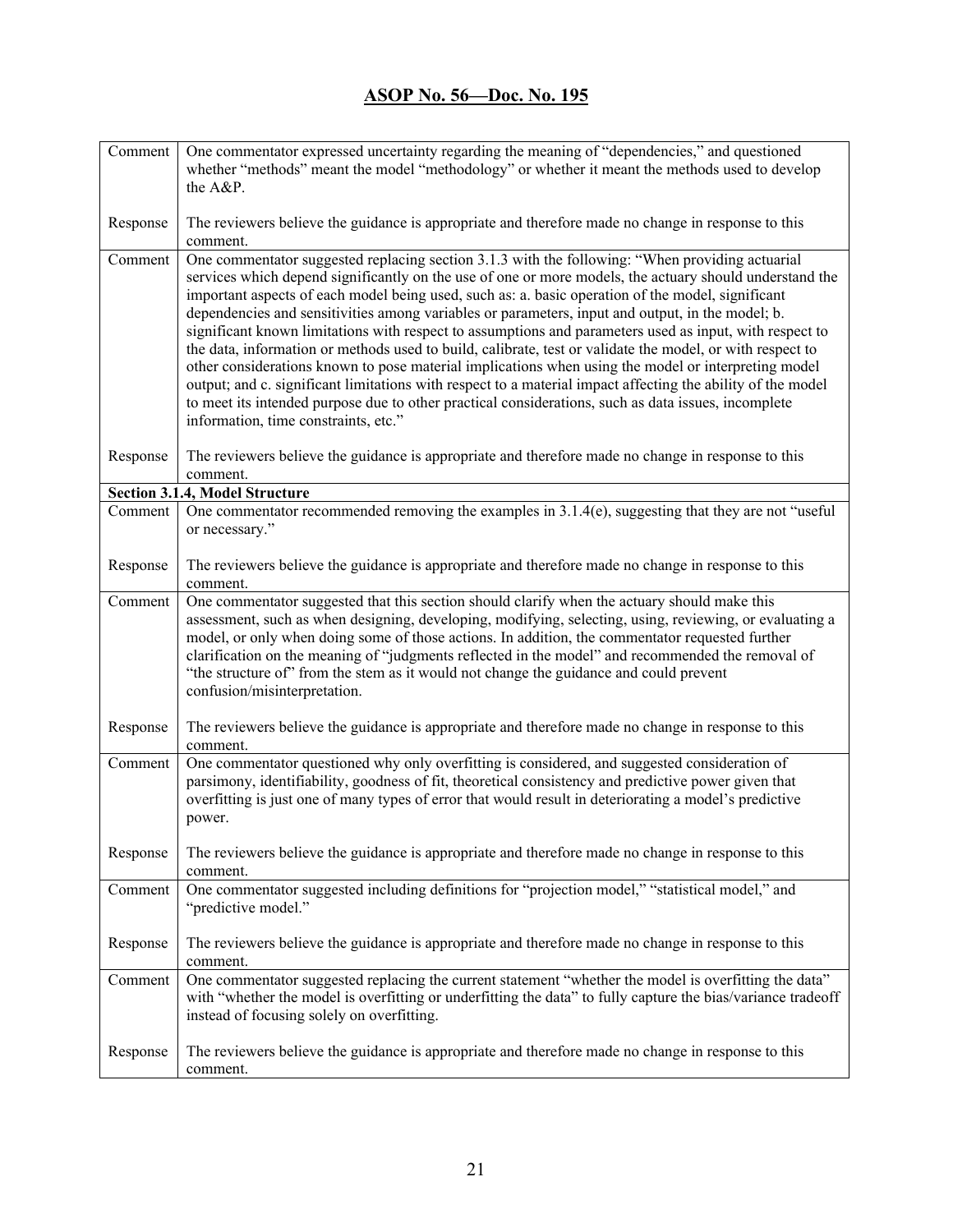| Comment  | One commentator expressed uncertainty regarding the meaning of "dependencies," and questioned<br>whether "methods" meant the model "methodology" or whether it meant the methods used to develop<br>the A&P.                                                                                                                                                                                                                                                                                                                                                                                                                                                                                                                                                                                                                                                                                                                                                                                                     |
|----------|------------------------------------------------------------------------------------------------------------------------------------------------------------------------------------------------------------------------------------------------------------------------------------------------------------------------------------------------------------------------------------------------------------------------------------------------------------------------------------------------------------------------------------------------------------------------------------------------------------------------------------------------------------------------------------------------------------------------------------------------------------------------------------------------------------------------------------------------------------------------------------------------------------------------------------------------------------------------------------------------------------------|
| Response | The reviewers believe the guidance is appropriate and therefore made no change in response to this<br>comment.                                                                                                                                                                                                                                                                                                                                                                                                                                                                                                                                                                                                                                                                                                                                                                                                                                                                                                   |
| Comment  | One commentator suggested replacing section 3.1.3 with the following: "When providing actuarial<br>services which depend significantly on the use of one or more models, the actuary should understand the<br>important aspects of each model being used, such as: a. basic operation of the model, significant<br>dependencies and sensitivities among variables or parameters, input and output, in the model; b.<br>significant known limitations with respect to assumptions and parameters used as input, with respect to<br>the data, information or methods used to build, calibrate, test or validate the model, or with respect to<br>other considerations known to pose material implications when using the model or interpreting model<br>output; and c. significant limitations with respect to a material impact affecting the ability of the model<br>to meet its intended purpose due to other practical considerations, such as data issues, incomplete<br>information, time constraints, etc." |
| Response | The reviewers believe the guidance is appropriate and therefore made no change in response to this<br>comment.                                                                                                                                                                                                                                                                                                                                                                                                                                                                                                                                                                                                                                                                                                                                                                                                                                                                                                   |
|          | Section 3.1.4, Model Structure                                                                                                                                                                                                                                                                                                                                                                                                                                                                                                                                                                                                                                                                                                                                                                                                                                                                                                                                                                                   |
| Comment  | One commentator recommended removing the examples in 3.1.4(e), suggesting that they are not "useful<br>or necessary."                                                                                                                                                                                                                                                                                                                                                                                                                                                                                                                                                                                                                                                                                                                                                                                                                                                                                            |
| Response | The reviewers believe the guidance is appropriate and therefore made no change in response to this<br>comment.                                                                                                                                                                                                                                                                                                                                                                                                                                                                                                                                                                                                                                                                                                                                                                                                                                                                                                   |
| Comment  | One commentator suggested that this section should clarify when the actuary should make this<br>assessment, such as when designing, developing, modifying, selecting, using, reviewing, or evaluating a<br>model, or only when doing some of those actions. In addition, the commentator requested further<br>clarification on the meaning of "judgments reflected in the model" and recommended the removal of<br>"the structure of" from the stem as it would not change the guidance and could prevent<br>confusion/misinterpretation.                                                                                                                                                                                                                                                                                                                                                                                                                                                                        |
| Response | The reviewers believe the guidance is appropriate and therefore made no change in response to this<br>comment.                                                                                                                                                                                                                                                                                                                                                                                                                                                                                                                                                                                                                                                                                                                                                                                                                                                                                                   |
| Comment  | One commentator questioned why only overfitting is considered, and suggested consideration of<br>parsimony, identifiability, goodness of fit, theoretical consistency and predictive power given that<br>overfitting is just one of many types of error that would result in deteriorating a model's predictive<br>power.                                                                                                                                                                                                                                                                                                                                                                                                                                                                                                                                                                                                                                                                                        |
| Response | The reviewers believe the guidance is appropriate and therefore made no change in response to this<br>comment.                                                                                                                                                                                                                                                                                                                                                                                                                                                                                                                                                                                                                                                                                                                                                                                                                                                                                                   |
| Comment  | One commentator suggested including definitions for "projection model," "statistical model," and<br>"predictive model."                                                                                                                                                                                                                                                                                                                                                                                                                                                                                                                                                                                                                                                                                                                                                                                                                                                                                          |
| Response | The reviewers believe the guidance is appropriate and therefore made no change in response to this<br>comment.                                                                                                                                                                                                                                                                                                                                                                                                                                                                                                                                                                                                                                                                                                                                                                                                                                                                                                   |
| Comment  | One commentator suggested replacing the current statement "whether the model is overfitting the data"<br>with "whether the model is overfitting or underfitting the data" to fully capture the bias/variance tradeoff<br>instead of focusing solely on overfitting.                                                                                                                                                                                                                                                                                                                                                                                                                                                                                                                                                                                                                                                                                                                                              |
| Response | The reviewers believe the guidance is appropriate and therefore made no change in response to this<br>comment.                                                                                                                                                                                                                                                                                                                                                                                                                                                                                                                                                                                                                                                                                                                                                                                                                                                                                                   |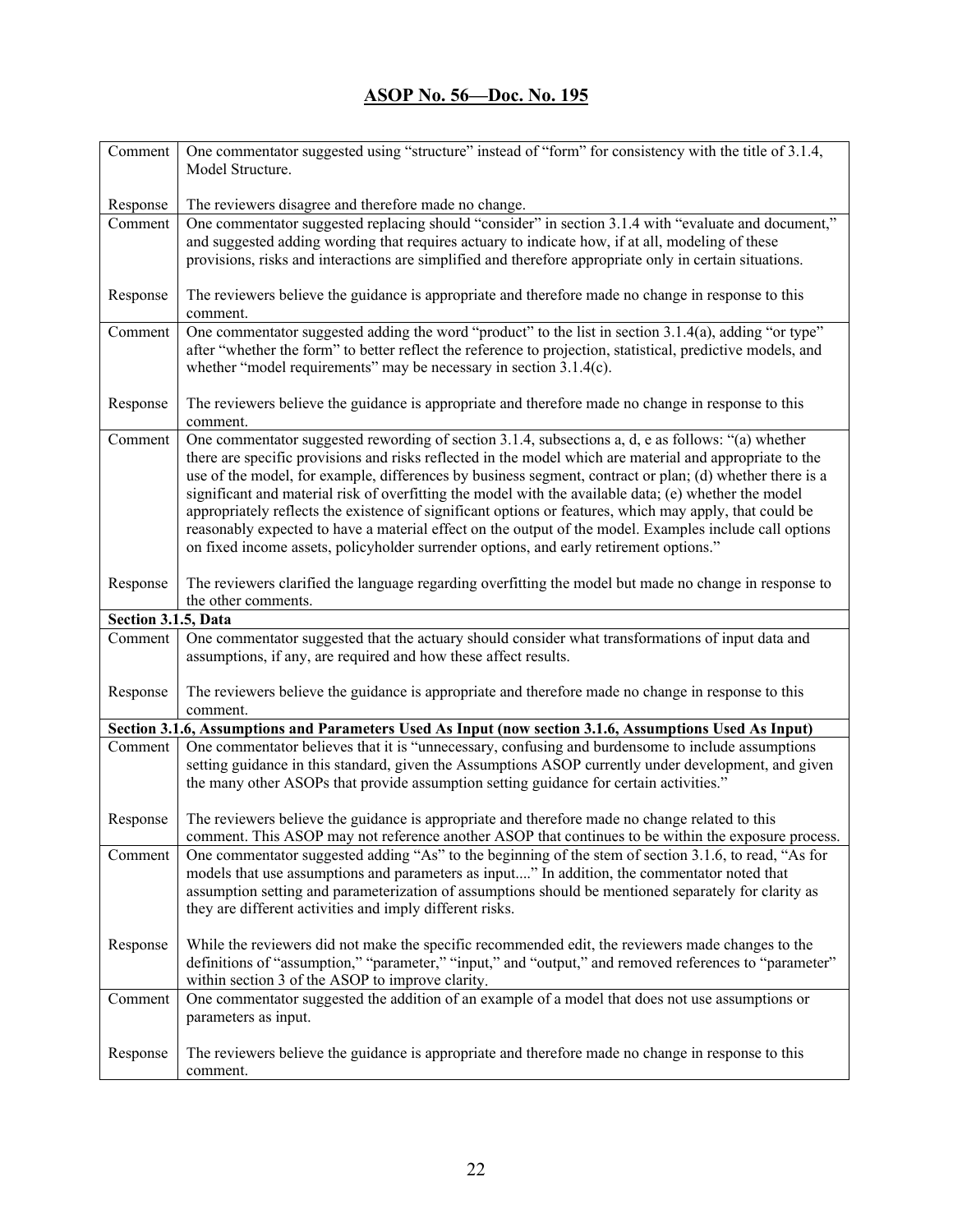| Comment             | One commentator suggested using "structure" instead of "form" for consistency with the title of 3.1.4,                                                                                                                                                                                                                                                                                                                                                                                                                                                                                                                                                                                                                                              |
|---------------------|-----------------------------------------------------------------------------------------------------------------------------------------------------------------------------------------------------------------------------------------------------------------------------------------------------------------------------------------------------------------------------------------------------------------------------------------------------------------------------------------------------------------------------------------------------------------------------------------------------------------------------------------------------------------------------------------------------------------------------------------------------|
|                     | Model Structure.                                                                                                                                                                                                                                                                                                                                                                                                                                                                                                                                                                                                                                                                                                                                    |
| Response            | The reviewers disagree and therefore made no change.                                                                                                                                                                                                                                                                                                                                                                                                                                                                                                                                                                                                                                                                                                |
| Comment             | One commentator suggested replacing should "consider" in section 3.1.4 with "evaluate and document,"<br>and suggested adding wording that requires actuary to indicate how, if at all, modeling of these<br>provisions, risks and interactions are simplified and therefore appropriate only in certain situations.                                                                                                                                                                                                                                                                                                                                                                                                                                 |
| Response            | The reviewers believe the guidance is appropriate and therefore made no change in response to this<br>comment.                                                                                                                                                                                                                                                                                                                                                                                                                                                                                                                                                                                                                                      |
| Comment             | One commentator suggested adding the word "product" to the list in section 3.1.4(a), adding "or type"<br>after "whether the form" to better reflect the reference to projection, statistical, predictive models, and<br>whether "model requirements" may be necessary in section 3.1.4(c).                                                                                                                                                                                                                                                                                                                                                                                                                                                          |
| Response            | The reviewers believe the guidance is appropriate and therefore made no change in response to this<br>comment.                                                                                                                                                                                                                                                                                                                                                                                                                                                                                                                                                                                                                                      |
| Comment             | One commentator suggested rewording of section 3.1.4, subsections a, d, e as follows: "(a) whether<br>there are specific provisions and risks reflected in the model which are material and appropriate to the<br>use of the model, for example, differences by business segment, contract or plan; (d) whether there is a<br>significant and material risk of overfitting the model with the available data; (e) whether the model<br>appropriately reflects the existence of significant options or features, which may apply, that could be<br>reasonably expected to have a material effect on the output of the model. Examples include call options<br>on fixed income assets, policyholder surrender options, and early retirement options." |
| Response            | The reviewers clarified the language regarding overfitting the model but made no change in response to<br>the other comments.                                                                                                                                                                                                                                                                                                                                                                                                                                                                                                                                                                                                                       |
| Section 3.1.5, Data |                                                                                                                                                                                                                                                                                                                                                                                                                                                                                                                                                                                                                                                                                                                                                     |
| Comment             | One commentator suggested that the actuary should consider what transformations of input data and<br>assumptions, if any, are required and how these affect results.                                                                                                                                                                                                                                                                                                                                                                                                                                                                                                                                                                                |
| Response            | The reviewers believe the guidance is appropriate and therefore made no change in response to this<br>comment.                                                                                                                                                                                                                                                                                                                                                                                                                                                                                                                                                                                                                                      |
|                     | Section 3.1.6, Assumptions and Parameters Used As Input (now section 3.1.6, Assumptions Used As Input)                                                                                                                                                                                                                                                                                                                                                                                                                                                                                                                                                                                                                                              |
| Comment             | One commentator believes that it is "unnecessary, confusing and burdensome to include assumptions<br>setting guidance in this standard, given the Assumptions ASOP currently under development, and given<br>the many other ASOPs that provide assumption setting guidance for certain activities."                                                                                                                                                                                                                                                                                                                                                                                                                                                 |
| Response            | The reviewers believe the guidance is appropriate and therefore made no change related to this<br>comment. This ASOP may not reference another ASOP that continues to be within the exposure process.                                                                                                                                                                                                                                                                                                                                                                                                                                                                                                                                               |
| Comment             | One commentator suggested adding "As" to the beginning of the stem of section 3.1.6, to read, "As for<br>models that use assumptions and parameters as input" In addition, the commentator noted that<br>assumption setting and parameterization of assumptions should be mentioned separately for clarity as<br>they are different activities and imply different risks.                                                                                                                                                                                                                                                                                                                                                                           |
| Response            | While the reviewers did not make the specific recommended edit, the reviewers made changes to the<br>definitions of "assumption," "parameter," "input," and "output," and removed references to "parameter"<br>within section 3 of the ASOP to improve clarity.                                                                                                                                                                                                                                                                                                                                                                                                                                                                                     |
| Comment             | One commentator suggested the addition of an example of a model that does not use assumptions or<br>parameters as input.                                                                                                                                                                                                                                                                                                                                                                                                                                                                                                                                                                                                                            |
| Response            | The reviewers believe the guidance is appropriate and therefore made no change in response to this<br>comment.                                                                                                                                                                                                                                                                                                                                                                                                                                                                                                                                                                                                                                      |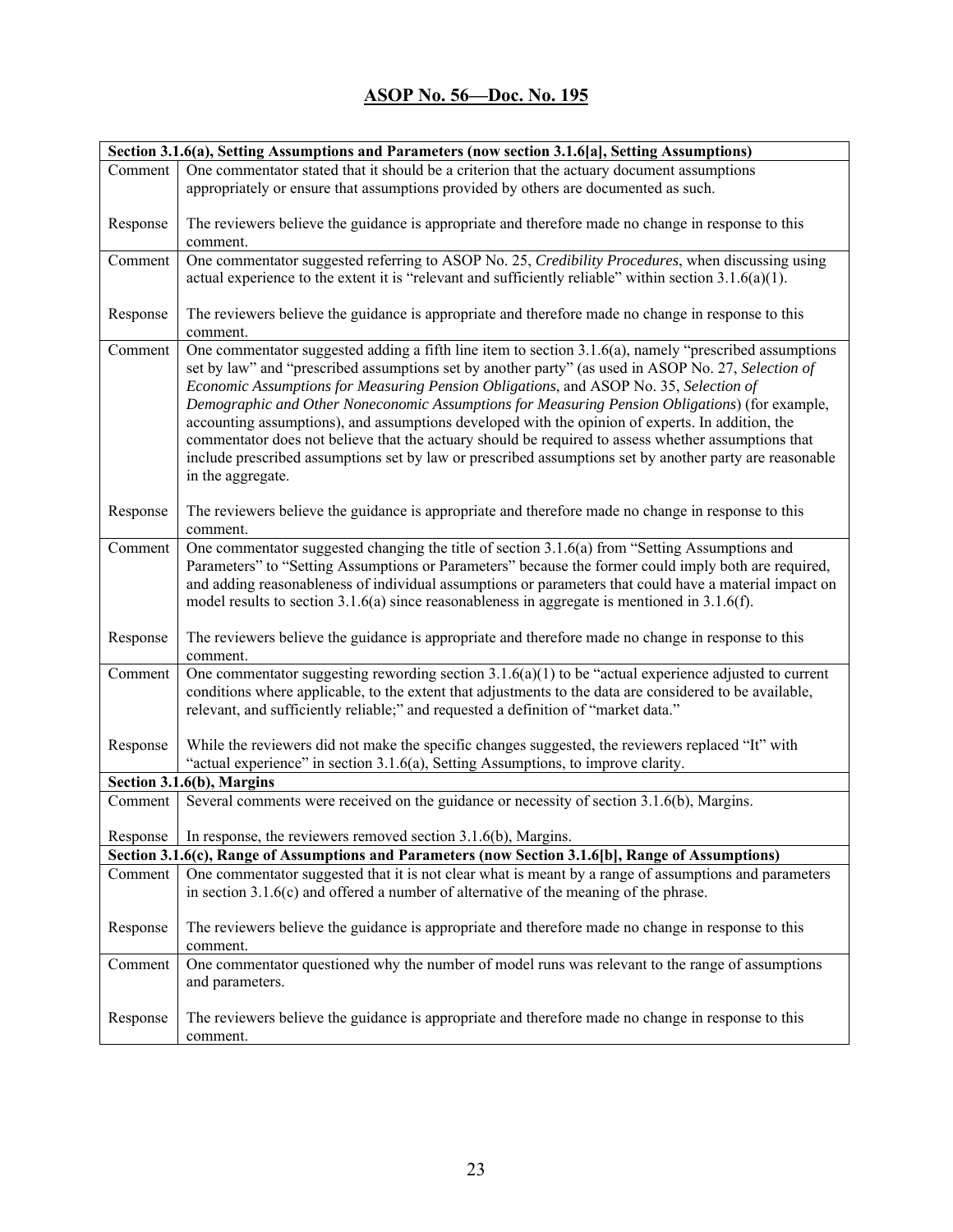| Section 3.1.6(a), Setting Assumptions and Parameters (now section 3.1.6[a], Setting Assumptions) |                                                                                                                                                                                        |
|--------------------------------------------------------------------------------------------------|----------------------------------------------------------------------------------------------------------------------------------------------------------------------------------------|
| Comment                                                                                          | One commentator stated that it should be a criterion that the actuary document assumptions                                                                                             |
|                                                                                                  | appropriately or ensure that assumptions provided by others are documented as such.                                                                                                    |
|                                                                                                  |                                                                                                                                                                                        |
| Response                                                                                         | The reviewers believe the guidance is appropriate and therefore made no change in response to this                                                                                     |
|                                                                                                  | comment.                                                                                                                                                                               |
| Comment                                                                                          | One commentator suggested referring to ASOP No. 25, Credibility Procedures, when discussing using                                                                                      |
|                                                                                                  | actual experience to the extent it is "relevant and sufficiently reliable" within section $3.1.6(a)(1)$ .                                                                              |
|                                                                                                  |                                                                                                                                                                                        |
| Response                                                                                         | The reviewers believe the guidance is appropriate and therefore made no change in response to this                                                                                     |
| Comment                                                                                          | comment.<br>One commentator suggested adding a fifth line item to section 3.1.6(a), namely "prescribed assumptions                                                                     |
|                                                                                                  | set by law" and "prescribed assumptions set by another party" (as used in ASOP No. 27, Selection of                                                                                    |
|                                                                                                  | Economic Assumptions for Measuring Pension Obligations, and ASOP No. 35, Selection of                                                                                                  |
|                                                                                                  | Demographic and Other Noneconomic Assumptions for Measuring Pension Obligations) (for example,                                                                                         |
|                                                                                                  | accounting assumptions), and assumptions developed with the opinion of experts. In addition, the                                                                                       |
|                                                                                                  | commentator does not believe that the actuary should be required to assess whether assumptions that                                                                                    |
|                                                                                                  | include prescribed assumptions set by law or prescribed assumptions set by another party are reasonable                                                                                |
|                                                                                                  | in the aggregate.                                                                                                                                                                      |
|                                                                                                  |                                                                                                                                                                                        |
| Response                                                                                         | The reviewers believe the guidance is appropriate and therefore made no change in response to this                                                                                     |
|                                                                                                  | comment.                                                                                                                                                                               |
| Comment                                                                                          | One commentator suggested changing the title of section 3.1.6(a) from "Setting Assumptions and                                                                                         |
|                                                                                                  | Parameters" to "Setting Assumptions or Parameters" because the former could imply both are required,                                                                                   |
|                                                                                                  | and adding reasonableness of individual assumptions or parameters that could have a material impact on                                                                                 |
|                                                                                                  | model results to section 3.1.6(a) since reasonableness in aggregate is mentioned in 3.1.6(f).                                                                                          |
|                                                                                                  |                                                                                                                                                                                        |
| Response                                                                                         | The reviewers believe the guidance is appropriate and therefore made no change in response to this                                                                                     |
|                                                                                                  | comment.                                                                                                                                                                               |
| Comment                                                                                          | One commentator suggesting rewording section $3.1.6(a)(1)$ to be "actual experience adjusted to current                                                                                |
|                                                                                                  | conditions where applicable, to the extent that adjustments to the data are considered to be available,                                                                                |
|                                                                                                  | relevant, and sufficiently reliable;" and requested a definition of "market data."                                                                                                     |
|                                                                                                  |                                                                                                                                                                                        |
| Response                                                                                         | While the reviewers did not make the specific changes suggested, the reviewers replaced "It" with<br>"actual experience" in section 3.1.6(a), Setting Assumptions, to improve clarity. |
|                                                                                                  | Section 3.1.6(b), Margins                                                                                                                                                              |
| Comment                                                                                          | Several comments were received on the guidance or necessity of section 3.1.6(b), Margins.                                                                                              |
|                                                                                                  |                                                                                                                                                                                        |
|                                                                                                  | Response $\vert$ In response, the reviewers removed section 3.1.6(b), Margins.                                                                                                         |
|                                                                                                  | Section 3.1.6(c), Range of Assumptions and Parameters (now Section 3.1.6[b], Range of Assumptions)                                                                                     |
| Comment                                                                                          | One commentator suggested that it is not clear what is meant by a range of assumptions and parameters                                                                                  |
|                                                                                                  | in section $3.1.6(c)$ and offered a number of alternative of the meaning of the phrase.                                                                                                |
|                                                                                                  |                                                                                                                                                                                        |
| Response                                                                                         | The reviewers believe the guidance is appropriate and therefore made no change in response to this                                                                                     |
|                                                                                                  | comment.                                                                                                                                                                               |
| Comment                                                                                          | One commentator questioned why the number of model runs was relevant to the range of assumptions                                                                                       |
|                                                                                                  | and parameters.                                                                                                                                                                        |
|                                                                                                  |                                                                                                                                                                                        |
| Response                                                                                         | The reviewers believe the guidance is appropriate and therefore made no change in response to this                                                                                     |
|                                                                                                  | comment.                                                                                                                                                                               |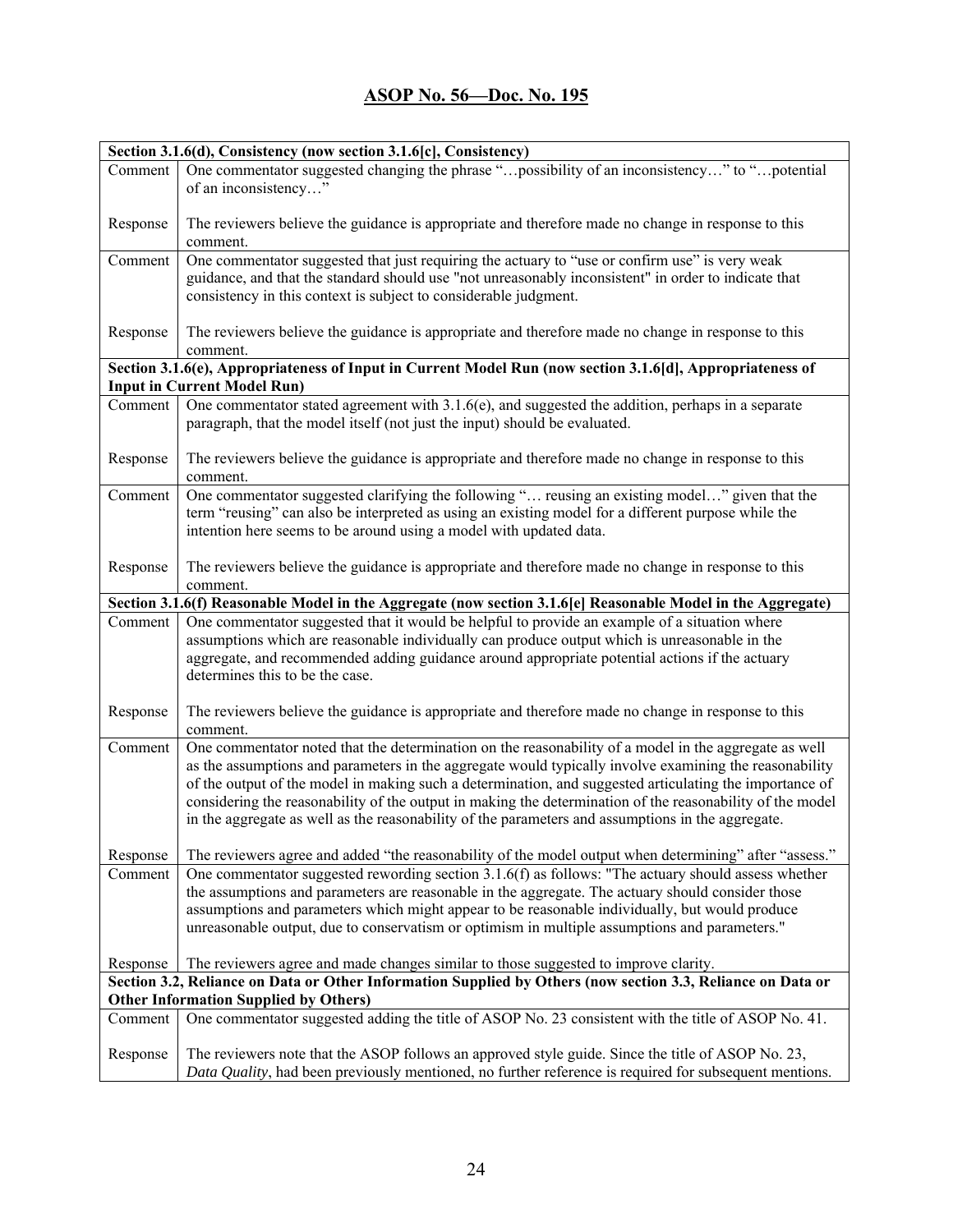|          | Section 3.1.6(d), Consistency (now section 3.1.6[c], Consistency)                                                                                                                                                                                                                                                                                                                                                                                                                                                                            |
|----------|----------------------------------------------------------------------------------------------------------------------------------------------------------------------------------------------------------------------------------------------------------------------------------------------------------------------------------------------------------------------------------------------------------------------------------------------------------------------------------------------------------------------------------------------|
| Comment  | One commentator suggested changing the phrase "possibility of an inconsistency" to "potential<br>of an inconsistency"                                                                                                                                                                                                                                                                                                                                                                                                                        |
| Response | The reviewers believe the guidance is appropriate and therefore made no change in response to this<br>comment.                                                                                                                                                                                                                                                                                                                                                                                                                               |
| Comment  | One commentator suggested that just requiring the actuary to "use or confirm use" is very weak<br>guidance, and that the standard should use "not unreasonably inconsistent" in order to indicate that<br>consistency in this context is subject to considerable judgment.                                                                                                                                                                                                                                                                   |
| Response | The reviewers believe the guidance is appropriate and therefore made no change in response to this<br>comment.                                                                                                                                                                                                                                                                                                                                                                                                                               |
|          | Section 3.1.6(e), Appropriateness of Input in Current Model Run (now section 3.1.6[d], Appropriateness of                                                                                                                                                                                                                                                                                                                                                                                                                                    |
|          | <b>Input in Current Model Run)</b>                                                                                                                                                                                                                                                                                                                                                                                                                                                                                                           |
| Comment  | One commentator stated agreement with 3.1.6(e), and suggested the addition, perhaps in a separate<br>paragraph, that the model itself (not just the input) should be evaluated.                                                                                                                                                                                                                                                                                                                                                              |
| Response | The reviewers believe the guidance is appropriate and therefore made no change in response to this<br>comment.                                                                                                                                                                                                                                                                                                                                                                                                                               |
| Comment  | One commentator suggested clarifying the following " reusing an existing model" given that the<br>term "reusing" can also be interpreted as using an existing model for a different purpose while the<br>intention here seems to be around using a model with updated data.                                                                                                                                                                                                                                                                  |
| Response | The reviewers believe the guidance is appropriate and therefore made no change in response to this<br>comment.                                                                                                                                                                                                                                                                                                                                                                                                                               |
|          | Section 3.1.6(f) Reasonable Model in the Aggregate (now section 3.1.6[e] Reasonable Model in the Aggregate)                                                                                                                                                                                                                                                                                                                                                                                                                                  |
| Comment  | One commentator suggested that it would be helpful to provide an example of a situation where<br>assumptions which are reasonable individually can produce output which is unreasonable in the<br>aggregate, and recommended adding guidance around appropriate potential actions if the actuary<br>determines this to be the case.                                                                                                                                                                                                          |
| Response | The reviewers believe the guidance is appropriate and therefore made no change in response to this<br>comment.                                                                                                                                                                                                                                                                                                                                                                                                                               |
| Comment  | One commentator noted that the determination on the reasonability of a model in the aggregate as well<br>as the assumptions and parameters in the aggregate would typically involve examining the reasonability<br>of the output of the model in making such a determination, and suggested articulating the importance of<br>considering the reasonability of the output in making the determination of the reasonability of the model<br>in the aggregate as well as the reasonability of the parameters and assumptions in the aggregate. |
| Response | The reviewers agree and added "the reasonability of the model output when determining" after "assess."                                                                                                                                                                                                                                                                                                                                                                                                                                       |
| Comment  | One commentator suggested rewording section $3.1.6(f)$ as follows: "The actuary should assess whether<br>the assumptions and parameters are reasonable in the aggregate. The actuary should consider those<br>assumptions and parameters which might appear to be reasonable individually, but would produce<br>unreasonable output, due to conservatism or optimism in multiple assumptions and parameters."                                                                                                                                |
| Response | The reviewers agree and made changes similar to those suggested to improve clarity.                                                                                                                                                                                                                                                                                                                                                                                                                                                          |
|          | Section 3.2, Reliance on Data or Other Information Supplied by Others (now section 3.3, Reliance on Data or                                                                                                                                                                                                                                                                                                                                                                                                                                  |
|          | <b>Other Information Supplied by Others)</b>                                                                                                                                                                                                                                                                                                                                                                                                                                                                                                 |
| Comment  | One commentator suggested adding the title of ASOP No. 23 consistent with the title of ASOP No. 41.                                                                                                                                                                                                                                                                                                                                                                                                                                          |
| Response | The reviewers note that the ASOP follows an approved style guide. Since the title of ASOP No. 23,<br>Data Quality, had been previously mentioned, no further reference is required for subsequent mentions.                                                                                                                                                                                                                                                                                                                                  |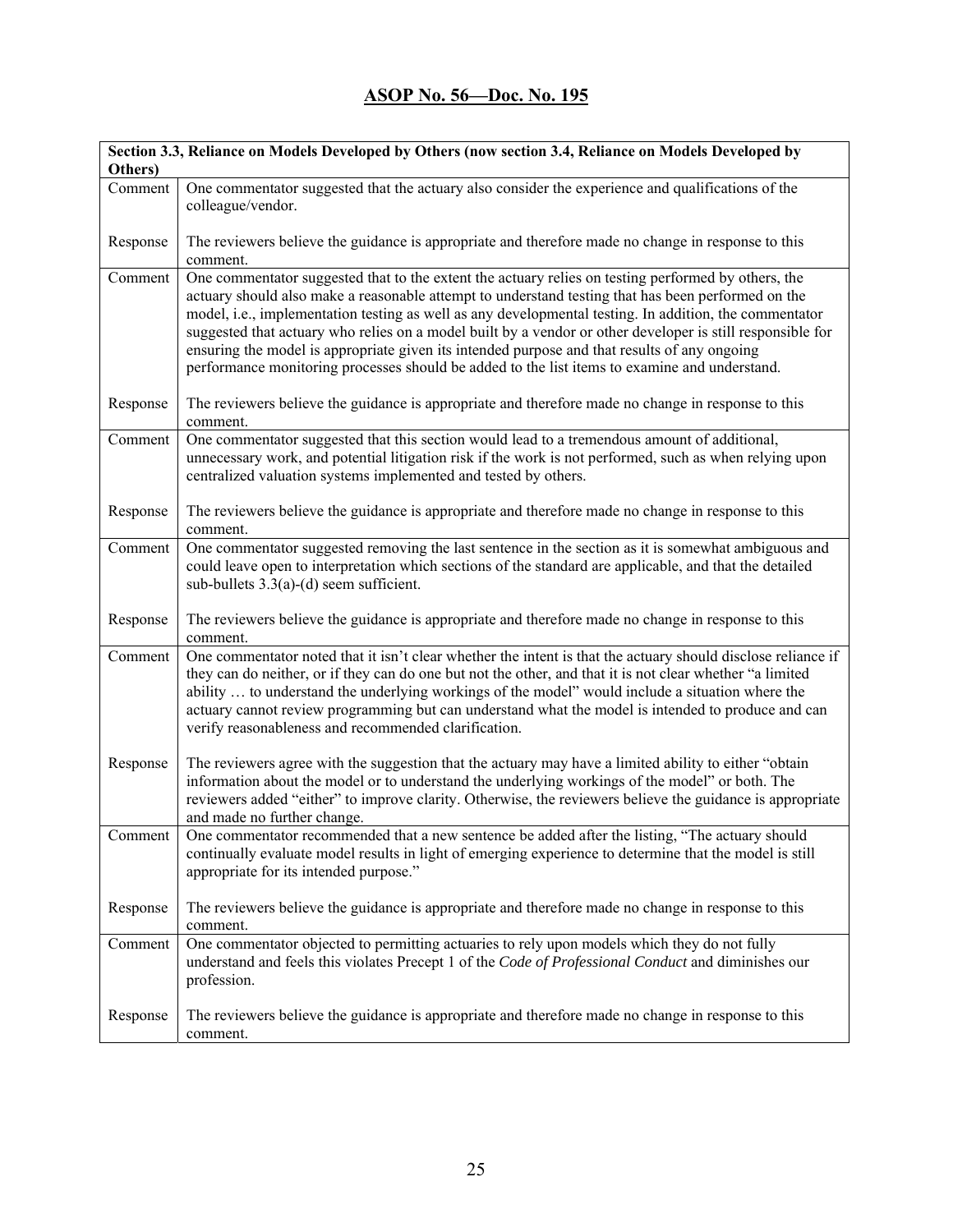| Section 3.3, Reliance on Models Developed by Others (now section 3.4, Reliance on Models Developed by<br>Others) |                                                                                                                                                                                                                                                                                                                                                                                                                                                                                                                                                                                                                                    |
|------------------------------------------------------------------------------------------------------------------|------------------------------------------------------------------------------------------------------------------------------------------------------------------------------------------------------------------------------------------------------------------------------------------------------------------------------------------------------------------------------------------------------------------------------------------------------------------------------------------------------------------------------------------------------------------------------------------------------------------------------------|
| Comment                                                                                                          | One commentator suggested that the actuary also consider the experience and qualifications of the<br>colleague/vendor.                                                                                                                                                                                                                                                                                                                                                                                                                                                                                                             |
| Response                                                                                                         | The reviewers believe the guidance is appropriate and therefore made no change in response to this<br>comment.                                                                                                                                                                                                                                                                                                                                                                                                                                                                                                                     |
| Comment                                                                                                          | One commentator suggested that to the extent the actuary relies on testing performed by others, the<br>actuary should also make a reasonable attempt to understand testing that has been performed on the<br>model, i.e., implementation testing as well as any developmental testing. In addition, the commentator<br>suggested that actuary who relies on a model built by a vendor or other developer is still responsible for<br>ensuring the model is appropriate given its intended purpose and that results of any ongoing<br>performance monitoring processes should be added to the list items to examine and understand. |
| Response                                                                                                         | The reviewers believe the guidance is appropriate and therefore made no change in response to this<br>comment.                                                                                                                                                                                                                                                                                                                                                                                                                                                                                                                     |
| Comment                                                                                                          | One commentator suggested that this section would lead to a tremendous amount of additional,<br>unnecessary work, and potential litigation risk if the work is not performed, such as when relying upon<br>centralized valuation systems implemented and tested by others.                                                                                                                                                                                                                                                                                                                                                         |
| Response                                                                                                         | The reviewers believe the guidance is appropriate and therefore made no change in response to this<br>comment.                                                                                                                                                                                                                                                                                                                                                                                                                                                                                                                     |
| Comment                                                                                                          | One commentator suggested removing the last sentence in the section as it is somewhat ambiguous and<br>could leave open to interpretation which sections of the standard are applicable, and that the detailed<br>sub-bullets $3.3(a)-(d)$ seem sufficient.                                                                                                                                                                                                                                                                                                                                                                        |
| Response                                                                                                         | The reviewers believe the guidance is appropriate and therefore made no change in response to this<br>comment.                                                                                                                                                                                                                                                                                                                                                                                                                                                                                                                     |
| Comment                                                                                                          | One commentator noted that it isn't clear whether the intent is that the actuary should disclose reliance if<br>they can do neither, or if they can do one but not the other, and that it is not clear whether "a limited<br>ability  to understand the underlying workings of the model" would include a situation where the<br>actuary cannot review programming but can understand what the model is intended to produce and can<br>verify reasonableness and recommended clarification.                                                                                                                                        |
| Response                                                                                                         | The reviewers agree with the suggestion that the actuary may have a limited ability to either "obtain"<br>information about the model or to understand the underlying workings of the model" or both. The<br>reviewers added "either" to improve clarity. Otherwise, the reviewers believe the guidance is appropriate<br>and made no further change.                                                                                                                                                                                                                                                                              |
| Comment                                                                                                          | One commentator recommended that a new sentence be added after the listing, "The actuary should<br>continually evaluate model results in light of emerging experience to determine that the model is still<br>appropriate for its intended purpose."                                                                                                                                                                                                                                                                                                                                                                               |
| Response                                                                                                         | The reviewers believe the guidance is appropriate and therefore made no change in response to this<br>comment.                                                                                                                                                                                                                                                                                                                                                                                                                                                                                                                     |
| Comment                                                                                                          | One commentator objected to permitting actuaries to rely upon models which they do not fully<br>understand and feels this violates Precept 1 of the Code of Professional Conduct and diminishes our<br>profession.                                                                                                                                                                                                                                                                                                                                                                                                                 |
| Response                                                                                                         | The reviewers believe the guidance is appropriate and therefore made no change in response to this<br>comment.                                                                                                                                                                                                                                                                                                                                                                                                                                                                                                                     |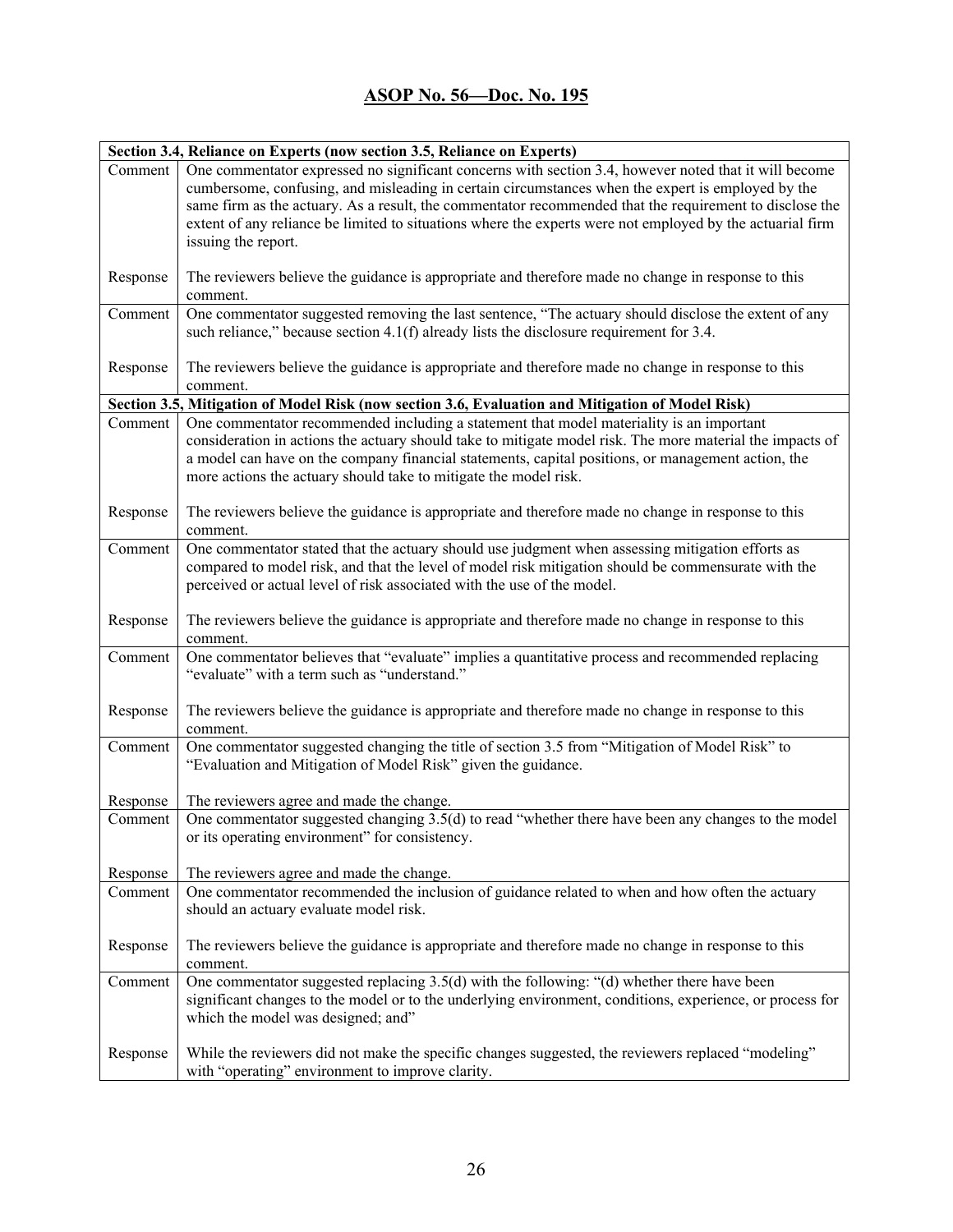|          | Section 3.4, Reliance on Experts (now section 3.5, Reliance on Experts)                                                                                                                                                                                                                                                                                                                                                                                   |
|----------|-----------------------------------------------------------------------------------------------------------------------------------------------------------------------------------------------------------------------------------------------------------------------------------------------------------------------------------------------------------------------------------------------------------------------------------------------------------|
| Comment  | One commentator expressed no significant concerns with section 3.4, however noted that it will become<br>cumbersome, confusing, and misleading in certain circumstances when the expert is employed by the<br>same firm as the actuary. As a result, the commentator recommended that the requirement to disclose the<br>extent of any reliance be limited to situations where the experts were not employed by the actuarial firm<br>issuing the report. |
| Response | The reviewers believe the guidance is appropriate and therefore made no change in response to this<br>comment.                                                                                                                                                                                                                                                                                                                                            |
| Comment  | One commentator suggested removing the last sentence, "The actuary should disclose the extent of any<br>such reliance," because section $4.1(f)$ already lists the disclosure requirement for 3.4.                                                                                                                                                                                                                                                        |
| Response | The reviewers believe the guidance is appropriate and therefore made no change in response to this<br>comment.                                                                                                                                                                                                                                                                                                                                            |
|          | Section 3.5, Mitigation of Model Risk (now section 3.6, Evaluation and Mitigation of Model Risk)                                                                                                                                                                                                                                                                                                                                                          |
| Comment  | One commentator recommended including a statement that model materiality is an important<br>consideration in actions the actuary should take to mitigate model risk. The more material the impacts of<br>a model can have on the company financial statements, capital positions, or management action, the<br>more actions the actuary should take to mitigate the model risk.                                                                           |
| Response | The reviewers believe the guidance is appropriate and therefore made no change in response to this<br>comment.                                                                                                                                                                                                                                                                                                                                            |
| Comment  | One commentator stated that the actuary should use judgment when assessing mitigation efforts as<br>compared to model risk, and that the level of model risk mitigation should be commensurate with the<br>perceived or actual level of risk associated with the use of the model.                                                                                                                                                                        |
| Response | The reviewers believe the guidance is appropriate and therefore made no change in response to this<br>comment.                                                                                                                                                                                                                                                                                                                                            |
| Comment  | One commentator believes that "evaluate" implies a quantitative process and recommended replacing<br>"evaluate" with a term such as "understand."                                                                                                                                                                                                                                                                                                         |
| Response | The reviewers believe the guidance is appropriate and therefore made no change in response to this<br>comment.                                                                                                                                                                                                                                                                                                                                            |
| Comment  | One commentator suggested changing the title of section 3.5 from "Mitigation of Model Risk" to<br>"Evaluation and Mitigation of Model Risk" given the guidance.                                                                                                                                                                                                                                                                                           |
| Response | The reviewers agree and made the change.                                                                                                                                                                                                                                                                                                                                                                                                                  |
| Comment  | One commentator suggested changing 3.5(d) to read "whether there have been any changes to the model<br>or its operating environment" for consistency.                                                                                                                                                                                                                                                                                                     |
| Response | The reviewers agree and made the change.                                                                                                                                                                                                                                                                                                                                                                                                                  |
| Comment  | One commentator recommended the inclusion of guidance related to when and how often the actuary<br>should an actuary evaluate model risk.                                                                                                                                                                                                                                                                                                                 |
| Response | The reviewers believe the guidance is appropriate and therefore made no change in response to this<br>comment.                                                                                                                                                                                                                                                                                                                                            |
| Comment  | One commentator suggested replacing 3.5(d) with the following: "(d) whether there have been<br>significant changes to the model or to the underlying environment, conditions, experience, or process for<br>which the model was designed; and"                                                                                                                                                                                                            |
| Response | While the reviewers did not make the specific changes suggested, the reviewers replaced "modeling"<br>with "operating" environment to improve clarity.                                                                                                                                                                                                                                                                                                    |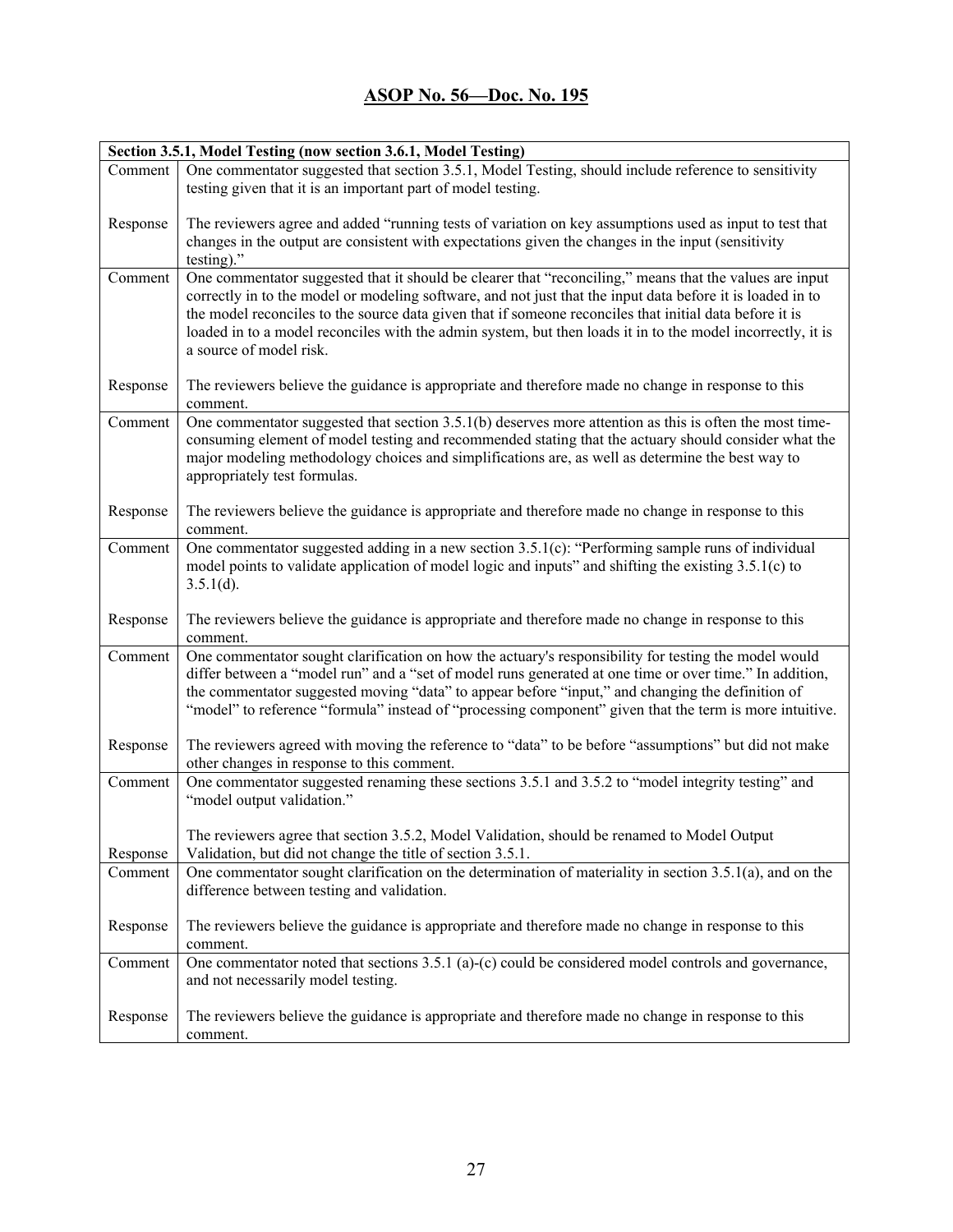| Section 3.5.1, Model Testing (now section 3.6.1, Model Testing) |                                                                                                                                                                                                                                                                                                                                                                                                                                                                            |
|-----------------------------------------------------------------|----------------------------------------------------------------------------------------------------------------------------------------------------------------------------------------------------------------------------------------------------------------------------------------------------------------------------------------------------------------------------------------------------------------------------------------------------------------------------|
| Comment                                                         | One commentator suggested that section 3.5.1, Model Testing, should include reference to sensitivity                                                                                                                                                                                                                                                                                                                                                                       |
|                                                                 | testing given that it is an important part of model testing.                                                                                                                                                                                                                                                                                                                                                                                                               |
| Response                                                        | The reviewers agree and added "running tests of variation on key assumptions used as input to test that<br>changes in the output are consistent with expectations given the changes in the input (sensitivity<br>testing)."                                                                                                                                                                                                                                                |
| Comment                                                         | One commentator suggested that it should be clearer that "reconciling," means that the values are input<br>correctly in to the model or modeling software, and not just that the input data before it is loaded in to<br>the model reconciles to the source data given that if someone reconciles that initial data before it is<br>loaded in to a model reconciles with the admin system, but then loads it in to the model incorrectly, it is<br>a source of model risk. |
| Response                                                        | The reviewers believe the guidance is appropriate and therefore made no change in response to this<br>comment.                                                                                                                                                                                                                                                                                                                                                             |
| Comment                                                         | One commentator suggested that section 3.5.1(b) deserves more attention as this is often the most time-<br>consuming element of model testing and recommended stating that the actuary should consider what the<br>major modeling methodology choices and simplifications are, as well as determine the best way to<br>appropriately test formulas.                                                                                                                        |
| Response                                                        | The reviewers believe the guidance is appropriate and therefore made no change in response to this<br>comment.                                                                                                                                                                                                                                                                                                                                                             |
| Comment                                                         | One commentator suggested adding in a new section $3.5.1(c)$ : "Performing sample runs of individual<br>model points to validate application of model logic and inputs" and shifting the existing 3.5.1(c) to<br>$3.5.1(d)$ .                                                                                                                                                                                                                                              |
| Response                                                        | The reviewers believe the guidance is appropriate and therefore made no change in response to this<br>comment.                                                                                                                                                                                                                                                                                                                                                             |
| Comment                                                         | One commentator sought clarification on how the actuary's responsibility for testing the model would<br>differ between a "model run" and a "set of model runs generated at one time or over time." In addition,<br>the commentator suggested moving "data" to appear before "input," and changing the definition of<br>"model" to reference "formula" instead of "processing component" given that the term is more intuitive.                                             |
| Response                                                        | The reviewers agreed with moving the reference to "data" to be before "assumptions" but did not make<br>other changes in response to this comment.                                                                                                                                                                                                                                                                                                                         |
| Comment                                                         | One commentator suggested renaming these sections 3.5.1 and 3.5.2 to "model integrity testing" and<br>"model output validation."                                                                                                                                                                                                                                                                                                                                           |
| Response                                                        | The reviewers agree that section 3.5.2, Model Validation, should be renamed to Model Output<br>Validation, but did not change the title of section 3.5.1.                                                                                                                                                                                                                                                                                                                  |
| Comment                                                         | One commentator sought clarification on the determination of materiality in section $3.5.1(a)$ , and on the<br>difference between testing and validation.                                                                                                                                                                                                                                                                                                                  |
| Response                                                        | The reviewers believe the guidance is appropriate and therefore made no change in response to this<br>comment.                                                                                                                                                                                                                                                                                                                                                             |
| Comment                                                         | One commentator noted that sections $3.5.1$ (a)-(c) could be considered model controls and governance,<br>and not necessarily model testing.                                                                                                                                                                                                                                                                                                                               |
| Response                                                        | The reviewers believe the guidance is appropriate and therefore made no change in response to this<br>comment.                                                                                                                                                                                                                                                                                                                                                             |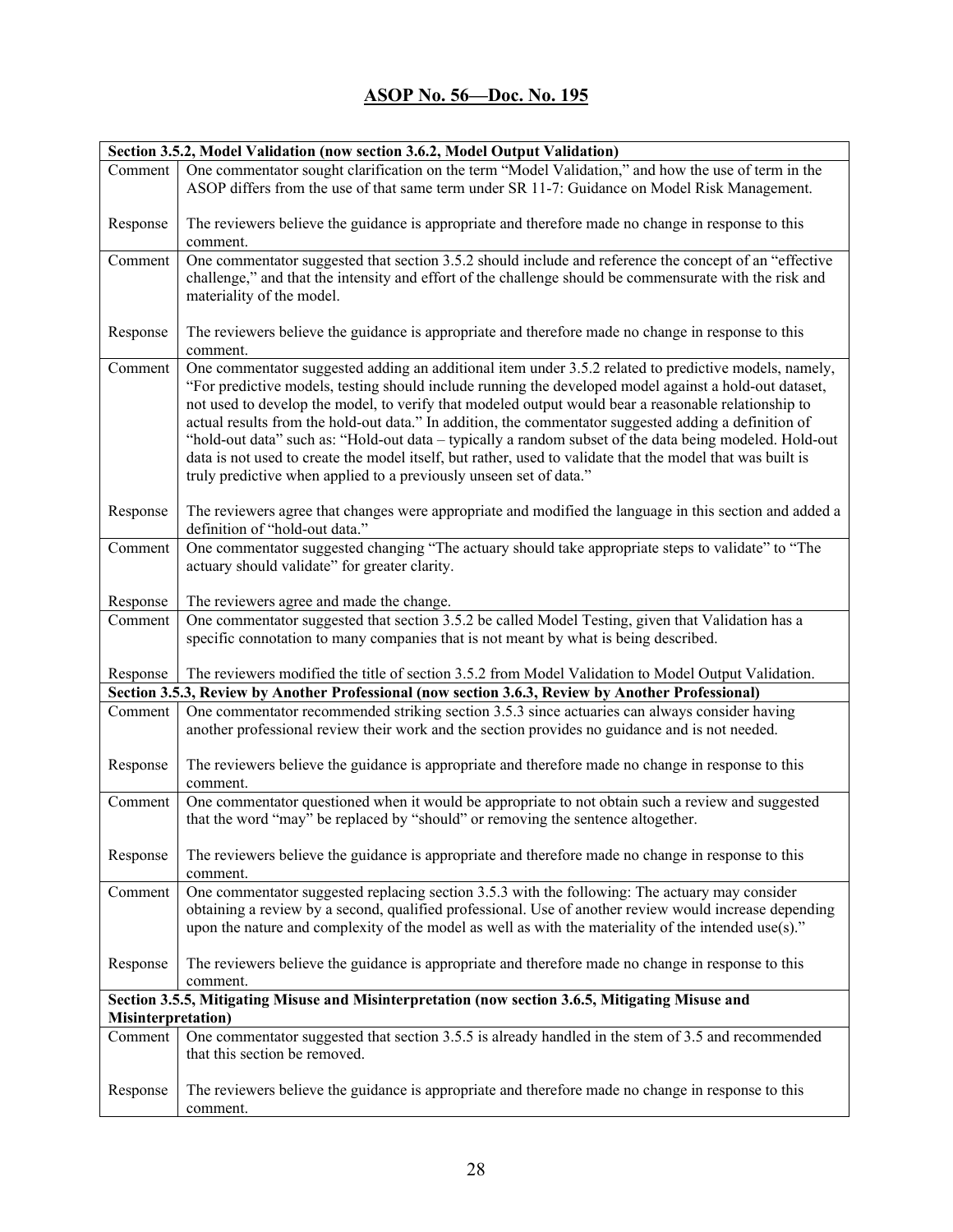| Section 3.5.2, Model Validation (now section 3.6.2, Model Output Validation) |                                                                                                                                                                                                                                                                                                                                                                                                                                                                                                                                                                                                                                                                                                                                 |
|------------------------------------------------------------------------------|---------------------------------------------------------------------------------------------------------------------------------------------------------------------------------------------------------------------------------------------------------------------------------------------------------------------------------------------------------------------------------------------------------------------------------------------------------------------------------------------------------------------------------------------------------------------------------------------------------------------------------------------------------------------------------------------------------------------------------|
| Comment                                                                      | One commentator sought clarification on the term "Model Validation," and how the use of term in the<br>ASOP differs from the use of that same term under SR 11-7: Guidance on Model Risk Management.                                                                                                                                                                                                                                                                                                                                                                                                                                                                                                                            |
| Response                                                                     | The reviewers believe the guidance is appropriate and therefore made no change in response to this<br>comment.                                                                                                                                                                                                                                                                                                                                                                                                                                                                                                                                                                                                                  |
| Comment                                                                      | One commentator suggested that section 3.5.2 should include and reference the concept of an "effective<br>challenge," and that the intensity and effort of the challenge should be commensurate with the risk and<br>materiality of the model.                                                                                                                                                                                                                                                                                                                                                                                                                                                                                  |
| Response                                                                     | The reviewers believe the guidance is appropriate and therefore made no change in response to this<br>comment.                                                                                                                                                                                                                                                                                                                                                                                                                                                                                                                                                                                                                  |
| Comment                                                                      | One commentator suggested adding an additional item under 3.5.2 related to predictive models, namely,<br>"For predictive models, testing should include running the developed model against a hold-out dataset,<br>not used to develop the model, to verify that modeled output would bear a reasonable relationship to<br>actual results from the hold-out data." In addition, the commentator suggested adding a definition of<br>"hold-out data" such as: "Hold-out data - typically a random subset of the data being modeled. Hold-out<br>data is not used to create the model itself, but rather, used to validate that the model that was built is<br>truly predictive when applied to a previously unseen set of data." |
| Response                                                                     | The reviewers agree that changes were appropriate and modified the language in this section and added a<br>definition of "hold-out data."                                                                                                                                                                                                                                                                                                                                                                                                                                                                                                                                                                                       |
| Comment                                                                      | One commentator suggested changing "The actuary should take appropriate steps to validate" to "The<br>actuary should validate" for greater clarity.                                                                                                                                                                                                                                                                                                                                                                                                                                                                                                                                                                             |
| Response                                                                     | The reviewers agree and made the change.                                                                                                                                                                                                                                                                                                                                                                                                                                                                                                                                                                                                                                                                                        |
| Comment                                                                      | One commentator suggested that section 3.5.2 be called Model Testing, given that Validation has a                                                                                                                                                                                                                                                                                                                                                                                                                                                                                                                                                                                                                               |
|                                                                              | specific connotation to many companies that is not meant by what is being described.                                                                                                                                                                                                                                                                                                                                                                                                                                                                                                                                                                                                                                            |
| Response                                                                     | The reviewers modified the title of section 3.5.2 from Model Validation to Model Output Validation.                                                                                                                                                                                                                                                                                                                                                                                                                                                                                                                                                                                                                             |
|                                                                              | Section 3.5.3, Review by Another Professional (now section 3.6.3, Review by Another Professional)                                                                                                                                                                                                                                                                                                                                                                                                                                                                                                                                                                                                                               |
| Comment                                                                      | One commentator recommended striking section 3.5.3 since actuaries can always consider having<br>another professional review their work and the section provides no guidance and is not needed.                                                                                                                                                                                                                                                                                                                                                                                                                                                                                                                                 |
| Response                                                                     | The reviewers believe the guidance is appropriate and therefore made no change in response to this<br>comment.                                                                                                                                                                                                                                                                                                                                                                                                                                                                                                                                                                                                                  |
| Comment                                                                      | One commentator questioned when it would be appropriate to not obtain such a review and suggested<br>that the word "may" be replaced by "should" or removing the sentence altogether.                                                                                                                                                                                                                                                                                                                                                                                                                                                                                                                                           |
| Response                                                                     | The reviewers believe the guidance is appropriate and therefore made no change in response to this<br>comment.                                                                                                                                                                                                                                                                                                                                                                                                                                                                                                                                                                                                                  |
| Comment                                                                      | One commentator suggested replacing section 3.5.3 with the following: The actuary may consider<br>obtaining a review by a second, qualified professional. Use of another review would increase depending<br>upon the nature and complexity of the model as well as with the materiality of the intended use(s)."                                                                                                                                                                                                                                                                                                                                                                                                                |
| Response                                                                     | The reviewers believe the guidance is appropriate and therefore made no change in response to this<br>comment.                                                                                                                                                                                                                                                                                                                                                                                                                                                                                                                                                                                                                  |
| <b>Misinterpretation</b> )                                                   | Section 3.5.5, Mitigating Misuse and Misinterpretation (now section 3.6.5, Mitigating Misuse and                                                                                                                                                                                                                                                                                                                                                                                                                                                                                                                                                                                                                                |
| Comment                                                                      | One commentator suggested that section 3.5.5 is already handled in the stem of 3.5 and recommended<br>that this section be removed.                                                                                                                                                                                                                                                                                                                                                                                                                                                                                                                                                                                             |
| Response                                                                     | The reviewers believe the guidance is appropriate and therefore made no change in response to this<br>comment.                                                                                                                                                                                                                                                                                                                                                                                                                                                                                                                                                                                                                  |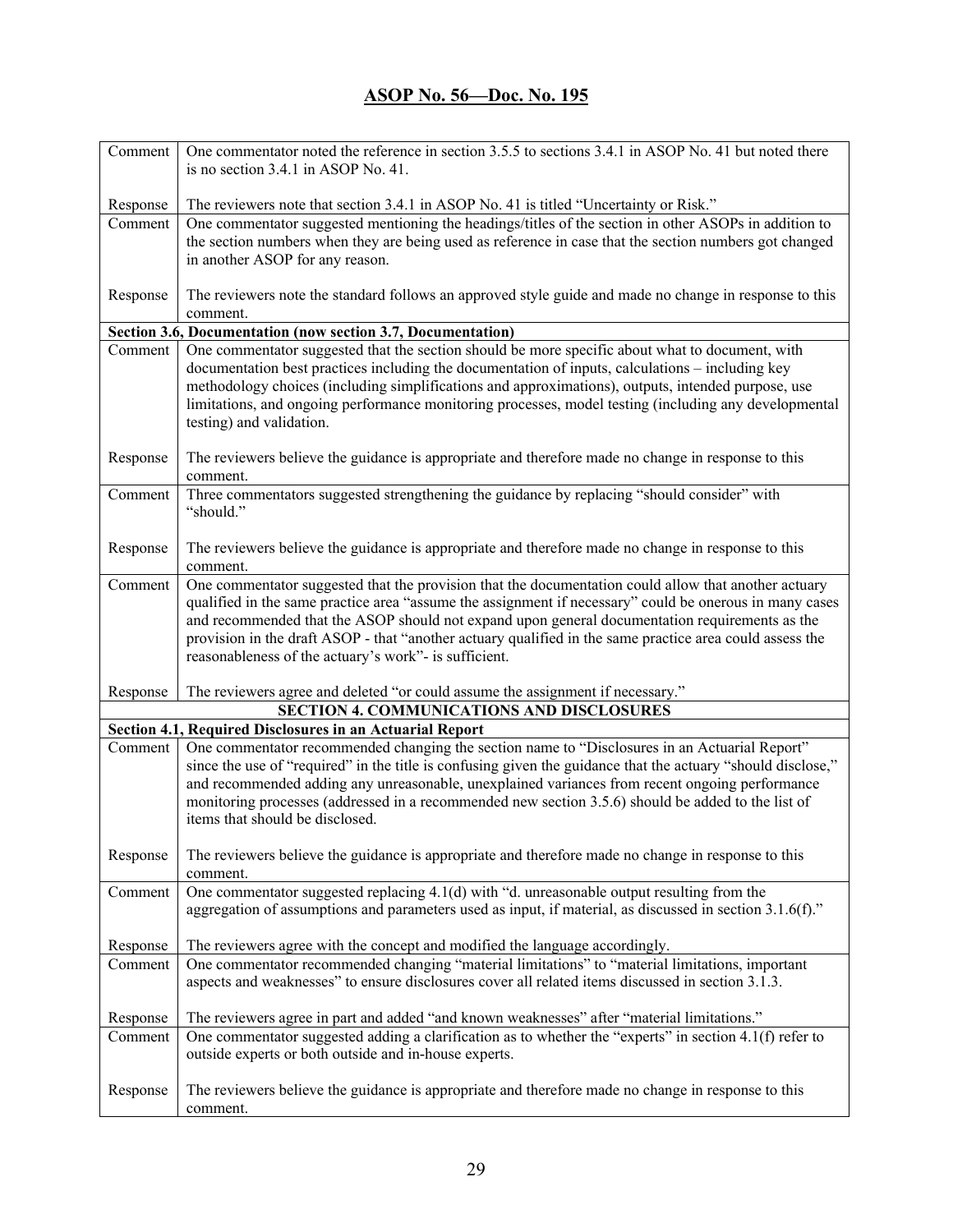| Comment  | One commentator noted the reference in section 3.5.5 to sections 3.4.1 in ASOP No. 41 but noted there<br>is no section 3.4.1 in ASOP No. 41.                                                                                                                                                                                                                                                                                                             |
|----------|----------------------------------------------------------------------------------------------------------------------------------------------------------------------------------------------------------------------------------------------------------------------------------------------------------------------------------------------------------------------------------------------------------------------------------------------------------|
| Response | The reviewers note that section 3.4.1 in ASOP No. 41 is titled "Uncertainty or Risk."                                                                                                                                                                                                                                                                                                                                                                    |
| Comment  | One commentator suggested mentioning the headings/titles of the section in other ASOPs in addition to                                                                                                                                                                                                                                                                                                                                                    |
|          | the section numbers when they are being used as reference in case that the section numbers got changed                                                                                                                                                                                                                                                                                                                                                   |
|          | in another ASOP for any reason.                                                                                                                                                                                                                                                                                                                                                                                                                          |
| Response | The reviewers note the standard follows an approved style guide and made no change in response to this                                                                                                                                                                                                                                                                                                                                                   |
|          | comment.                                                                                                                                                                                                                                                                                                                                                                                                                                                 |
|          | Section 3.6, Documentation (now section 3.7, Documentation)                                                                                                                                                                                                                                                                                                                                                                                              |
| Comment  | One commentator suggested that the section should be more specific about what to document, with<br>documentation best practices including the documentation of inputs, calculations – including key<br>methodology choices (including simplifications and approximations), outputs, intended purpose, use<br>limitations, and ongoing performance monitoring processes, model testing (including any developmental<br>testing) and validation.           |
| Response | The reviewers believe the guidance is appropriate and therefore made no change in response to this<br>comment.                                                                                                                                                                                                                                                                                                                                           |
| Comment  | Three commentators suggested strengthening the guidance by replacing "should consider" with<br>"should."                                                                                                                                                                                                                                                                                                                                                 |
| Response | The reviewers believe the guidance is appropriate and therefore made no change in response to this<br>comment.                                                                                                                                                                                                                                                                                                                                           |
| Comment  | One commentator suggested that the provision that the documentation could allow that another actuary                                                                                                                                                                                                                                                                                                                                                     |
|          | qualified in the same practice area "assume the assignment if necessary" could be onerous in many cases<br>and recommended that the ASOP should not expand upon general documentation requirements as the                                                                                                                                                                                                                                                |
|          | provision in the draft ASOP - that "another actuary qualified in the same practice area could assess the<br>reasonableness of the actuary's work"- is sufficient.                                                                                                                                                                                                                                                                                        |
| Response | The reviewers agree and deleted "or could assume the assignment if necessary."                                                                                                                                                                                                                                                                                                                                                                           |
|          | <b>SECTION 4. COMMUNICATIONS AND DISCLOSURES</b>                                                                                                                                                                                                                                                                                                                                                                                                         |
|          | <b>Section 4.1, Required Disclosures in an Actuarial Report</b>                                                                                                                                                                                                                                                                                                                                                                                          |
| Comment  | One commentator recommended changing the section name to "Disclosures in an Actuarial Report"<br>since the use of "required" in the title is confusing given the guidance that the actuary "should disclose,"<br>and recommended adding any unreasonable, unexplained variances from recent ongoing performance<br>monitoring processes (addressed in a recommended new section 3.5.6) should be added to the list of<br>items that should be disclosed. |
| Response | The reviewers believe the guidance is appropriate and therefore made no change in response to this<br>comment.                                                                                                                                                                                                                                                                                                                                           |
| Comment  | One commentator suggested replacing 4.1(d) with "d. unreasonable output resulting from the<br>aggregation of assumptions and parameters used as input, if material, as discussed in section 3.1.6(f)."                                                                                                                                                                                                                                                   |
| Response | The reviewers agree with the concept and modified the language accordingly.                                                                                                                                                                                                                                                                                                                                                                              |
| Comment  | One commentator recommended changing "material limitations" to "material limitations, important<br>aspects and weaknesses" to ensure disclosures cover all related items discussed in section 3.1.3.                                                                                                                                                                                                                                                     |
| Response | The reviewers agree in part and added "and known weaknesses" after "material limitations."                                                                                                                                                                                                                                                                                                                                                               |
| Comment  | One commentator suggested adding a clarification as to whether the "experts" in section $4.1(f)$ refer to<br>outside experts or both outside and in-house experts.                                                                                                                                                                                                                                                                                       |
| Response | The reviewers believe the guidance is appropriate and therefore made no change in response to this<br>comment.                                                                                                                                                                                                                                                                                                                                           |